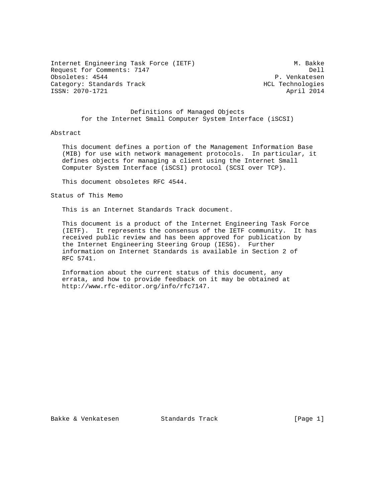Internet Engineering Task Force (IETF) M. Bakke Request for Comments: 7147 Dell<br>
Obsoletes: 4544 Deboor P. Venkatesen Obsoletes: 4544 Category: Standards Track HCL Technologies ISSN: 2070-1721 April 2014

 Definitions of Managed Objects for the Internet Small Computer System Interface (iSCSI)

## Abstract

 This document defines a portion of the Management Information Base (MIB) for use with network management protocols. In particular, it defines objects for managing a client using the Internet Small Computer System Interface (iSCSI) protocol (SCSI over TCP).

This document obsoletes RFC 4544.

Status of This Memo

This is an Internet Standards Track document.

 This document is a product of the Internet Engineering Task Force (IETF). It represents the consensus of the IETF community. It has received public review and has been approved for publication by the Internet Engineering Steering Group (IESG). Further information on Internet Standards is available in Section 2 of RFC 5741.

 Information about the current status of this document, any errata, and how to provide feedback on it may be obtained at http://www.rfc-editor.org/info/rfc7147.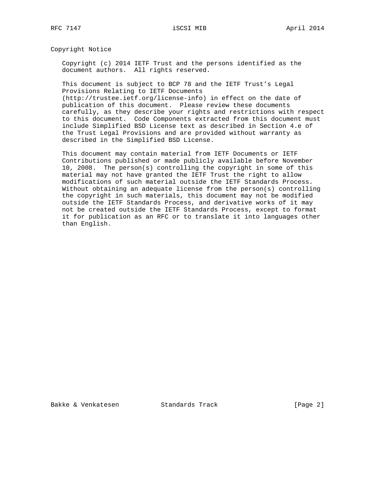Copyright Notice

 Copyright (c) 2014 IETF Trust and the persons identified as the document authors. All rights reserved.

 This document is subject to BCP 78 and the IETF Trust's Legal Provisions Relating to IETF Documents

 (http://trustee.ietf.org/license-info) in effect on the date of publication of this document. Please review these documents carefully, as they describe your rights and restrictions with respect to this document. Code Components extracted from this document must include Simplified BSD License text as described in Section 4.e of the Trust Legal Provisions and are provided without warranty as described in the Simplified BSD License.

 This document may contain material from IETF Documents or IETF Contributions published or made publicly available before November 10, 2008. The person(s) controlling the copyright in some of this material may not have granted the IETF Trust the right to allow modifications of such material outside the IETF Standards Process. Without obtaining an adequate license from the person(s) controlling the copyright in such materials, this document may not be modified outside the IETF Standards Process, and derivative works of it may not be created outside the IETF Standards Process, except to format it for publication as an RFC or to translate it into languages other than English.

Bakke & Venkatesen Standards Track [Page 2]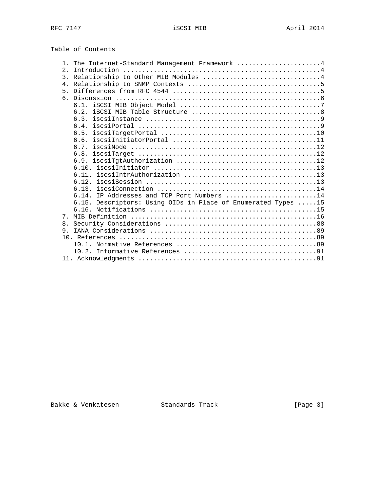Table of Contents

|       | The Internet-Standard Management Framework 4                  |
|-------|---------------------------------------------------------------|
| 2.1   |                                                               |
|       | 3. Relationship to Other MIB Modules 4                        |
|       |                                                               |
| $5 -$ |                                                               |
|       |                                                               |
|       |                                                               |
|       |                                                               |
|       |                                                               |
|       | 6.4.                                                          |
|       | 6.5.                                                          |
|       |                                                               |
|       |                                                               |
|       |                                                               |
|       |                                                               |
|       |                                                               |
|       |                                                               |
|       |                                                               |
|       |                                                               |
|       | 6.14. IP Addresses and TCP Port Numbers 14                    |
|       | 6.15. Descriptors: Using OIDs in Place of Enumerated Types 15 |
|       |                                                               |
| 7     |                                                               |
| 8.    |                                                               |
| 9.    |                                                               |
|       |                                                               |
|       |                                                               |
|       |                                                               |
|       |                                                               |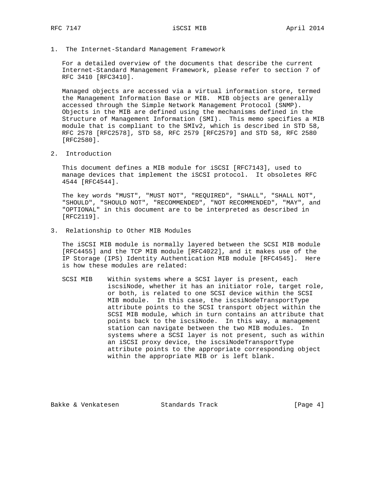1. The Internet-Standard Management Framework

 For a detailed overview of the documents that describe the current Internet-Standard Management Framework, please refer to section 7 of RFC 3410 [RFC3410].

 Managed objects are accessed via a virtual information store, termed the Management Information Base or MIB. MIB objects are generally accessed through the Simple Network Management Protocol (SNMP). Objects in the MIB are defined using the mechanisms defined in the Structure of Management Information (SMI). This memo specifies a MIB module that is compliant to the SMIv2, which is described in STD 58, RFC 2578 [RFC2578], STD 58, RFC 2579 [RFC2579] and STD 58, RFC 2580 [RFC2580].

2. Introduction

 This document defines a MIB module for iSCSI [RFC7143], used to manage devices that implement the iSCSI protocol. It obsoletes RFC 4544 [RFC4544].

 The key words "MUST", "MUST NOT", "REQUIRED", "SHALL", "SHALL NOT", "SHOULD", "SHOULD NOT", "RECOMMENDED", "NOT RECOMMENDED", "MAY", and "OPTIONAL" in this document are to be interpreted as described in [RFC2119].

3. Relationship to Other MIB Modules

 The iSCSI MIB module is normally layered between the SCSI MIB module [RFC4455] and the TCP MIB module [RFC4022], and it makes use of the IP Storage (IPS) Identity Authentication MIB module [RFC4545]. Here is how these modules are related:

 SCSI MIB Within systems where a SCSI layer is present, each iscsiNode, whether it has an initiator role, target role, or both, is related to one SCSI device within the SCSI MIB module. In this case, the iscsiNodeTransportType attribute points to the SCSI transport object within the SCSI MIB module, which in turn contains an attribute that points back to the iscsiNode. In this way, a management station can navigate between the two MIB modules. In systems where a SCSI layer is not present, such as within an iSCSI proxy device, the iscsiNodeTransportType attribute points to the appropriate corresponding object within the appropriate MIB or is left blank.

Bakke & Venkatesen Standards Track [Page 4]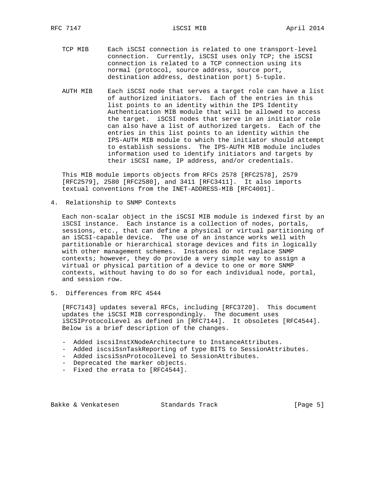- TCP MIB Each iSCSI connection is related to one transport-level connection. Currently, iSCSI uses only TCP; the iSCSI connection is related to a TCP connection using its normal (protocol, source address, source port, destination address, destination port) 5-tuple.
- AUTH MIB Each iSCSI node that serves a target role can have a list of authorized initiators. Each of the entries in this list points to an identity within the IPS Identity Authentication MIB module that will be allowed to access the target. iSCSI nodes that serve in an initiator role can also have a list of authorized targets. Each of the entries in this list points to an identity within the IPS-AUTH MIB module to which the initiator should attempt to establish sessions. The IPS-AUTH MIB module includes information used to identify initiators and targets by their iSCSI name, IP address, and/or credentials.

 This MIB module imports objects from RFCs 2578 [RFC2578], 2579 [RFC2579], 2580 [RFC2580], and 3411 [RFC3411]. It also imports textual conventions from the INET-ADDRESS-MIB [RFC4001].

4. Relationship to SNMP Contexts

 Each non-scalar object in the iSCSI MIB module is indexed first by an iSCSI instance. Each instance is a collection of nodes, portals, sessions, etc., that can define a physical or virtual partitioning of an iSCSI-capable device. The use of an instance works well with partitionable or hierarchical storage devices and fits in logically with other management schemes. Instances do not replace SNMP contexts; however, they do provide a very simple way to assign a virtual or physical partition of a device to one or more SNMP contexts, without having to do so for each individual node, portal, and session row.

5. Differences from RFC 4544

 [RFC7143] updates several RFCs, including [RFC3720]. This document updates the iSCSI MIB correspondingly. The document uses iSCSIProtocolLevel as defined in [RFC7144]. It obsoletes [RFC4544]. Below is a brief description of the changes.

- Added iscsiInstXNodeArchitecture to InstanceAttributes.
- Added iscsiSsnTaskReporting of type BITS to SessionAttributes.
- Added iscsiSsnProtocolLevel to SessionAttributes.
- Deprecated the marker objects.
- Fixed the errata to [RFC4544].

Bakke & Venkatesen Standards Track [Page 5]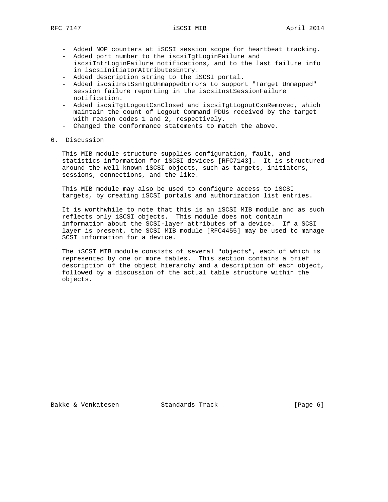- Added NOP counters at iSCSI session scope for heartbeat tracking.
- Added port number to the iscsiTgtLoginFailure and iscsiIntrLoginFailure notifications, and to the last failure info in iscsiInitiatorAttributesEntry.
- Added description string to the iSCSI portal.
- Added iscsiInstSsnTgtUnmappedErrors to support "Target Unmapped" session failure reporting in the iscsiInstSessionFailure notification.
- Added iscsiTgtLogoutCxnClosed and iscsiTgtLogoutCxnRemoved, which maintain the count of Logout Command PDUs received by the target with reason codes 1 and 2, respectively.
- Changed the conformance statements to match the above.
- 6. Discussion

 This MIB module structure supplies configuration, fault, and statistics information for iSCSI devices [RFC7143]. It is structured around the well-known iSCSI objects, such as targets, initiators, sessions, connections, and the like.

 This MIB module may also be used to configure access to iSCSI targets, by creating iSCSI portals and authorization list entries.

 It is worthwhile to note that this is an iSCSI MIB module and as such reflects only iSCSI objects. This module does not contain information about the SCSI-layer attributes of a device. If a SCSI layer is present, the SCSI MIB module [RFC4455] may be used to manage SCSI information for a device.

 The iSCSI MIB module consists of several "objects", each of which is represented by one or more tables. This section contains a brief description of the object hierarchy and a description of each object, followed by a discussion of the actual table structure within the objects.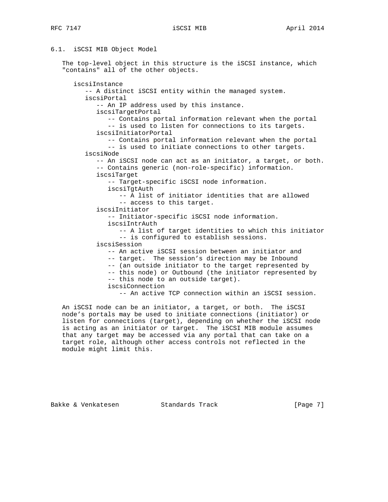## 6.1. iSCSI MIB Object Model

 The top-level object in this structure is the iSCSI instance, which "contains" all of the other objects.

 iscsiInstance -- A distinct iSCSI entity within the managed system. iscsiPortal -- An IP address used by this instance. iscsiTargetPortal -- Contains portal information relevant when the portal -- is used to listen for connections to its targets. iscsiInitiatorPortal -- Contains portal information relevant when the portal -- is used to initiate connections to other targets. iscsiNode -- An iSCSI node can act as an initiator, a target, or both. -- Contains generic (non-role-specific) information. iscsiTarget -- Target-specific iSCSI node information. iscsiTgtAuth -- A list of initiator identities that are allowed -- access to this target. iscsiInitiator -- Initiator-specific iSCSI node information. iscsiIntrAuth -- A list of target identities to which this initiator -- is configured to establish sessions. iscsiSession -- An active iSCSI session between an initiator and -- target. The session's direction may be Inbound -- (an outside initiator to the target represented by -- this node) or Outbound (the initiator represented by -- this node to an outside target). iscsiConnection -- An active TCP connection within an iSCSI session.

 An iSCSI node can be an initiator, a target, or both. The iSCSI node's portals may be used to initiate connections (initiator) or listen for connections (target), depending on whether the iSCSI node is acting as an initiator or target. The iSCSI MIB module assumes that any target may be accessed via any portal that can take on a target role, although other access controls not reflected in the module might limit this.

Bakke & Venkatesen Standards Track [Page 7]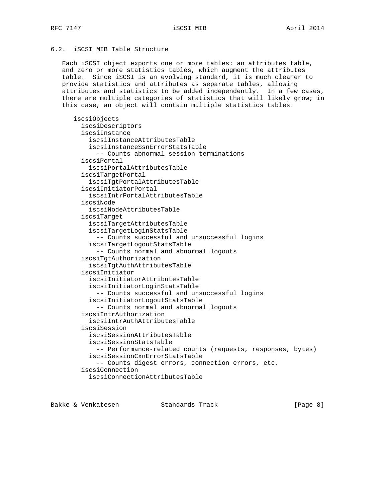# 6.2. iSCSI MIB Table Structure

 Each iSCSI object exports one or more tables: an attributes table, and zero or more statistics tables, which augment the attributes table. Since iSCSI is an evolving standard, it is much cleaner to provide statistics and attributes as separate tables, allowing attributes and statistics to be added independently. In a few cases, there are multiple categories of statistics that will likely grow; in this case, an object will contain multiple statistics tables.

 iscsiObjects iscsiDescriptors iscsiInstance iscsiInstanceAttributesTable iscsiInstanceSsnErrorStatsTable -- Counts abnormal session terminations iscsiPortal iscsiPortalAttributesTable iscsiTargetPortal iscsiTgtPortalAttributesTable iscsiInitiatorPortal iscsiIntrPortalAttributesTable iscsiNode iscsiNodeAttributesTable iscsiTarget iscsiTargetAttributesTable iscsiTargetLoginStatsTable -- Counts successful and unsuccessful logins iscsiTargetLogoutStatsTable -- Counts normal and abnormal logouts iscsiTgtAuthorization iscsiTgtAuthAttributesTable iscsiInitiator iscsiInitiatorAttributesTable iscsiInitiatorLoginStatsTable -- Counts successful and unsuccessful logins iscsiInitiatorLogoutStatsTable -- Counts normal and abnormal logouts iscsiIntrAuthorization iscsiIntrAuthAttributesTable iscsiSession iscsiSessionAttributesTable iscsiSessionStatsTable -- Performance-related counts (requests, responses, bytes) iscsiSessionCxnErrorStatsTable -- Counts digest errors, connection errors, etc. iscsiConnection iscsiConnectionAttributesTable

Bakke & Venkatesen Standards Track [Paqe 8]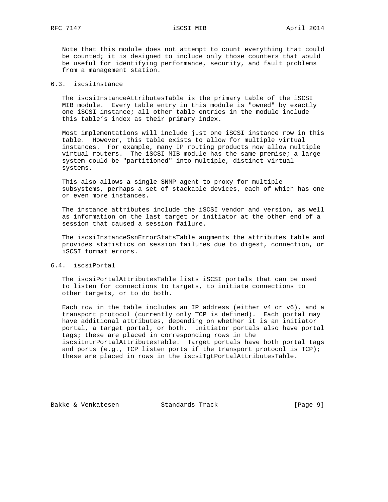Note that this module does not attempt to count everything that could be counted; it is designed to include only those counters that would be useful for identifying performance, security, and fault problems from a management station.

# 6.3. iscsiInstance

 The iscsiInstanceAttributesTable is the primary table of the iSCSI MIB module. Every table entry in this module is "owned" by exactly one iSCSI instance; all other table entries in the module include this table's index as their primary index.

 Most implementations will include just one iSCSI instance row in this table. However, this table exists to allow for multiple virtual instances. For example, many IP routing products now allow multiple virtual routers. The iSCSI MIB module has the same premise; a large system could be "partitioned" into multiple, distinct virtual systems.

 This also allows a single SNMP agent to proxy for multiple subsystems, perhaps a set of stackable devices, each of which has one or even more instances.

 The instance attributes include the iSCSI vendor and version, as well as information on the last target or initiator at the other end of a session that caused a session failure.

 The iscsiInstanceSsnErrorStatsTable augments the attributes table and provides statistics on session failures due to digest, connection, or iSCSI format errors.

## 6.4. iscsiPortal

 The iscsiPortalAttributesTable lists iSCSI portals that can be used to listen for connections to targets, to initiate connections to other targets, or to do both.

 Each row in the table includes an IP address (either v4 or v6), and a transport protocol (currently only TCP is defined). Each portal may have additional attributes, depending on whether it is an initiator portal, a target portal, or both. Initiator portals also have portal tags; these are placed in corresponding rows in the iscsiIntrPortalAttributesTable. Target portals have both portal tags and ports (e.g., TCP listen ports if the transport protocol is TCP); these are placed in rows in the iscsiTgtPortalAttributesTable.

Bakke & Venkatesen Standards Track [Page 9]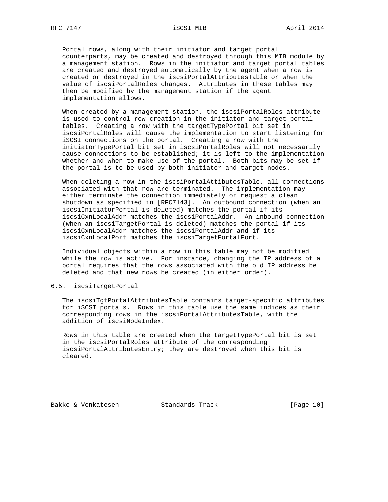Portal rows, along with their initiator and target portal counterparts, may be created and destroyed through this MIB module by a management station. Rows in the initiator and target portal tables are created and destroyed automatically by the agent when a row is created or destroyed in the iscsiPortalAttributesTable or when the value of iscsiPortalRoles changes. Attributes in these tables may then be modified by the management station if the agent implementation allows.

 When created by a management station, the iscsiPortalRoles attribute is used to control row creation in the initiator and target portal tables. Creating a row with the targetTypePortal bit set in iscsiPortalRoles will cause the implementation to start listening for iSCSI connections on the portal. Creating a row with the initiatorTypePortal bit set in iscsiPortalRoles will not necessarily cause connections to be established; it is left to the implementation whether and when to make use of the portal. Both bits may be set if the portal is to be used by both initiator and target nodes.

 When deleting a row in the iscsiPortalAttibutesTable, all connections associated with that row are terminated. The implementation may either terminate the connection immediately or request a clean shutdown as specified in [RFC7143]. An outbound connection (when an iscsiInitiatorPortal is deleted) matches the portal if its iscsiCxnLocalAddr matches the iscsiPortalAddr. An inbound connection (when an iscsiTargetPortal is deleted) matches the portal if its iscsiCxnLocalAddr matches the iscsiPortalAddr and if its iscsiCxnLocalPort matches the iscsiTargetPortalPort.

 Individual objects within a row in this table may not be modified while the row is active. For instance, changing the IP address of a portal requires that the rows associated with the old IP address be deleted and that new rows be created (in either order).

## 6.5. iscsiTargetPortal

 The iscsiTgtPortalAttributesTable contains target-specific attributes for iSCSI portals. Rows in this table use the same indices as their corresponding rows in the iscsiPortalAttributesTable, with the addition of iscsiNodeIndex.

 Rows in this table are created when the targetTypePortal bit is set in the iscsiPortalRoles attribute of the corresponding iscsiPortalAttributesEntry; they are destroyed when this bit is cleared.

Bakke & Venkatesen Standards Track [Page 10]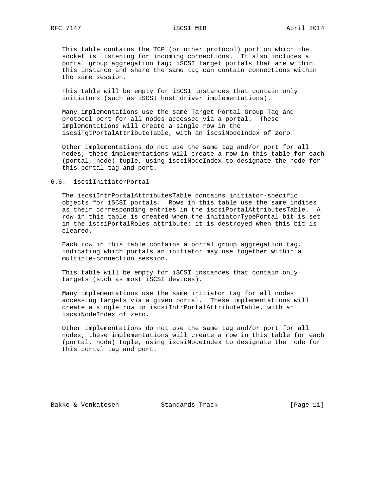This table contains the TCP (or other protocol) port on which the socket is listening for incoming connections. It also includes a portal group aggregation tag; iSCSI target portals that are within this instance and share the same tag can contain connections within the same session.

 This table will be empty for iSCSI instances that contain only initiators (such as iSCSI host driver implementations).

 Many implementations use the same Target Portal Group Tag and protocol port for all nodes accessed via a portal. These implementations will create a single row in the iscsiTgtPortalAttributeTable, with an iscsiNodeIndex of zero.

 Other implementations do not use the same tag and/or port for all nodes; these implementations will create a row in this table for each (portal, node) tuple, using iscsiNodeIndex to designate the node for this portal tag and port.

### 6.6. iscsiInitiatorPortal

 The iscsiIntrPortalAttributesTable contains initiator-specific objects for iSCSI portals. Rows in this table use the same indices as their corresponding entries in the iscsiPortalAttributesTable. A row in this table is created when the initiatorTypePortal bit is set in the iscsiPortalRoles attribute; it is destroyed when this bit is cleared.

 Each row in this table contains a portal group aggregation tag, indicating which portals an initiator may use together within a multiple-connection session.

 This table will be empty for iSCSI instances that contain only targets (such as most iSCSI devices).

 Many implementations use the same initiator tag for all nodes accessing targets via a given portal. These implementations will create a single row in iscsiIntrPortalAttributeTable, with an iscsiNodeIndex of zero.

 Other implementations do not use the same tag and/or port for all nodes; these implementations will create a row in this table for each (portal, node) tuple, using iscsiNodeIndex to designate the node for this portal tag and port.

Bakke & Venkatesen Standards Track [Page 11]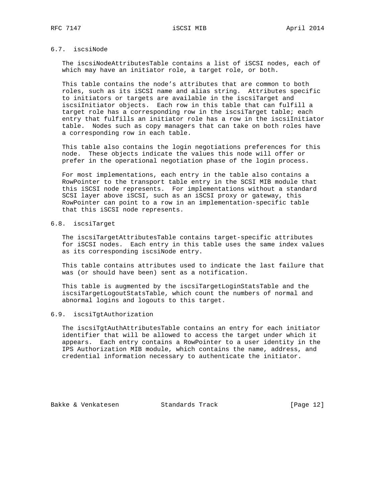# 6.7. iscsiNode

 The iscsiNodeAttributesTable contains a list of iSCSI nodes, each of which may have an initiator role, a target role, or both.

 This table contains the node's attributes that are common to both roles, such as its iSCSI name and alias string. Attributes specific to initiators or targets are available in the iscsiTarget and iscsiInitiator objects. Each row in this table that can fulfill a target role has a corresponding row in the iscsiTarget table; each entry that fulfills an initiator role has a row in the iscsiInitiator table. Nodes such as copy managers that can take on both roles have a corresponding row in each table.

 This table also contains the login negotiations preferences for this node. These objects indicate the values this node will offer or prefer in the operational negotiation phase of the login process.

 For most implementations, each entry in the table also contains a RowPointer to the transport table entry in the SCSI MIB module that this iSCSI node represents. For implementations without a standard SCSI layer above iSCSI, such as an iSCSI proxy or gateway, this RowPointer can point to a row in an implementation-specific table that this iSCSI node represents.

# 6.8. iscsiTarget

 The iscsiTargetAttributesTable contains target-specific attributes for iSCSI nodes. Each entry in this table uses the same index values as its corresponding iscsiNode entry.

 This table contains attributes used to indicate the last failure that was (or should have been) sent as a notification.

 This table is augmented by the iscsiTargetLoginStatsTable and the iscsiTargetLogoutStatsTable, which count the numbers of normal and abnormal logins and logouts to this target.

## 6.9. iscsiTgtAuthorization

 The iscsiTgtAuthAttributesTable contains an entry for each initiator identifier that will be allowed to access the target under which it appears. Each entry contains a RowPointer to a user identity in the IPS Authorization MIB module, which contains the name, address, and credential information necessary to authenticate the initiator.

Bakke & Venkatesen Standards Track [Page 12]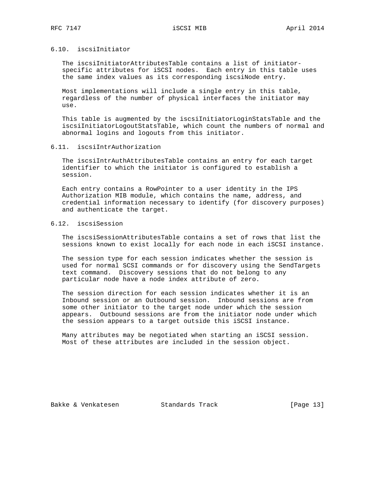## 6.10. iscsiInitiator

 The iscsiInitiatorAttributesTable contains a list of initiator specific attributes for iSCSI nodes. Each entry in this table uses the same index values as its corresponding iscsiNode entry.

 Most implementations will include a single entry in this table, regardless of the number of physical interfaces the initiator may use.

 This table is augmented by the iscsiInitiatorLoginStatsTable and the iscsiInitiatorLogoutStatsTable, which count the numbers of normal and abnormal logins and logouts from this initiator.

### 6.11. iscsiIntrAuthorization

 The iscsiIntrAuthAttributesTable contains an entry for each target identifier to which the initiator is configured to establish a session.

 Each entry contains a RowPointer to a user identity in the IPS Authorization MIB module, which contains the name, address, and credential information necessary to identify (for discovery purposes) and authenticate the target.

# 6.12. iscsiSession

 The iscsiSessionAttributesTable contains a set of rows that list the sessions known to exist locally for each node in each iSCSI instance.

 The session type for each session indicates whether the session is used for normal SCSI commands or for discovery using the SendTargets text command. Discovery sessions that do not belong to any particular node have a node index attribute of zero.

 The session direction for each session indicates whether it is an Inbound session or an Outbound session. Inbound sessions are from some other initiator to the target node under which the session appears. Outbound sessions are from the initiator node under which the session appears to a target outside this iSCSI instance.

 Many attributes may be negotiated when starting an iSCSI session. Most of these attributes are included in the session object.

Bakke & Venkatesen Standards Track [Page 13]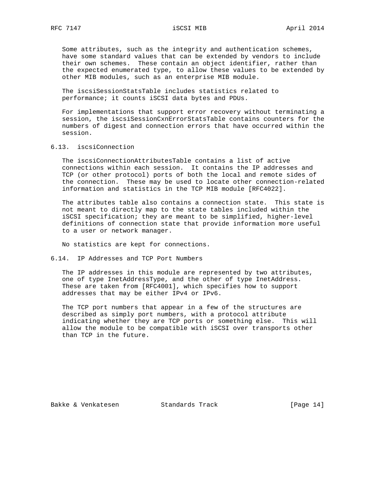Some attributes, such as the integrity and authentication schemes, have some standard values that can be extended by vendors to include their own schemes. These contain an object identifier, rather than the expected enumerated type, to allow these values to be extended by other MIB modules, such as an enterprise MIB module.

 The iscsiSessionStatsTable includes statistics related to performance; it counts iSCSI data bytes and PDUs.

 For implementations that support error recovery without terminating a session, the iscsiSessionCxnErrorStatsTable contains counters for the numbers of digest and connection errors that have occurred within the session.

# 6.13. iscsiConnection

 The iscsiConnectionAttributesTable contains a list of active connections within each session. It contains the IP addresses and TCP (or other protocol) ports of both the local and remote sides of the connection. These may be used to locate other connection-related information and statistics in the TCP MIB module [RFC4022].

 The attributes table also contains a connection state. This state is not meant to directly map to the state tables included within the iSCSI specification; they are meant to be simplified, higher-level definitions of connection state that provide information more useful to a user or network manager.

No statistics are kept for connections.

### 6.14. IP Addresses and TCP Port Numbers

 The IP addresses in this module are represented by two attributes, one of type InetAddressType, and the other of type InetAddress. These are taken from [RFC4001], which specifies how to support addresses that may be either IPv4 or IPv6.

 The TCP port numbers that appear in a few of the structures are described as simply port numbers, with a protocol attribute indicating whether they are TCP ports or something else. This will allow the module to be compatible with iSCSI over transports other than TCP in the future.

Bakke & Venkatesen Standards Track [Page 14]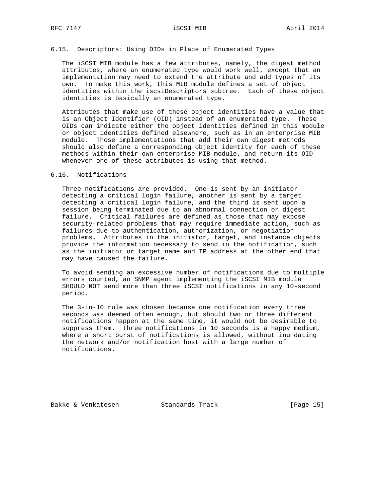## 6.15. Descriptors: Using OIDs in Place of Enumerated Types

The iSCSI MIB module has a few attributes, namely, the digest method attributes, where an enumerated type would work well, except that an implementation may need to extend the attribute and add types of its own. To make this work, this MIB module defines a set of object identities within the iscsiDescriptors subtree. Each of these object identities is basically an enumerated type.

 Attributes that make use of these object identities have a value that is an Object Identifier (OID) instead of an enumerated type. These OIDs can indicate either the object identities defined in this module or object identities defined elsewhere, such as in an enterprise MIB module. Those implementations that add their own digest methods should also define a corresponding object identity for each of these methods within their own enterprise MIB module, and return its OID whenever one of these attributes is using that method.

## 6.16. Notifications

 Three notifications are provided. One is sent by an initiator detecting a critical login failure, another is sent by a target detecting a critical login failure, and the third is sent upon a session being terminated due to an abnormal connection or digest failure. Critical failures are defined as those that may expose security-related problems that may require immediate action, such as failures due to authentication, authorization, or negotiation problems. Attributes in the initiator, target, and instance objects provide the information necessary to send in the notification, such as the initiator or target name and IP address at the other end that may have caused the failure.

 To avoid sending an excessive number of notifications due to multiple errors counted, an SNMP agent implementing the iSCSI MIB module SHOULD NOT send more than three iSCSI notifications in any 10-second period.

 The 3-in-10 rule was chosen because one notification every three seconds was deemed often enough, but should two or three different notifications happen at the same time, it would not be desirable to suppress them. Three notifications in 10 seconds is a happy medium, where a short burst of notifications is allowed, without inundating the network and/or notification host with a large number of notifications.

Bakke & Venkatesen Standards Track [Page 15]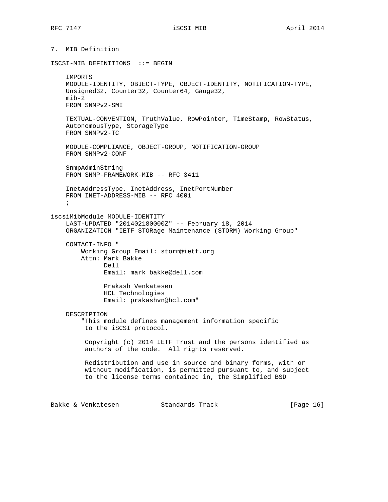7. MIB Definition

ISCSI-MIB DEFINITIONS ::= BEGIN

 IMPORTS MODULE-IDENTITY, OBJECT-TYPE, OBJECT-IDENTITY, NOTIFICATION-TYPE, Unsigned32, Counter32, Counter64, Gauge32, mib-2 FROM SNMPv2-SMI

 TEXTUAL-CONVENTION, TruthValue, RowPointer, TimeStamp, RowStatus, AutonomousType, StorageType FROM SNMPv2-TC

 MODULE-COMPLIANCE, OBJECT-GROUP, NOTIFICATION-GROUP FROM SNMPv2-CONF

 SnmpAdminString FROM SNMP-FRAMEWORK-MIB -- RFC 3411

 InetAddressType, InetAddress, InetPortNumber FROM INET-ADDRESS-MIB -- RFC 4001 ;

iscsiMibModule MODULE-IDENTITY

 LAST-UPDATED "201402180000Z" -- February 18, 2014 ORGANIZATION "IETF STORage Maintenance (STORM) Working Group"

 CONTACT-INFO " Working Group Email: storm@ietf.org Attn: Mark Bakke Dell Email: mark\_bakke@dell.com

> Prakash Venkatesen HCL Technologies Email: prakashvn@hcl.com"

DESCRIPTION

 "This module defines management information specific to the iSCSI protocol.

 Copyright (c) 2014 IETF Trust and the persons identified as authors of the code. All rights reserved.

 Redistribution and use in source and binary forms, with or without modification, is permitted pursuant to, and subject to the license terms contained in, the Simplified BSD

Bakke & Venkatesen Standards Track [Page 16]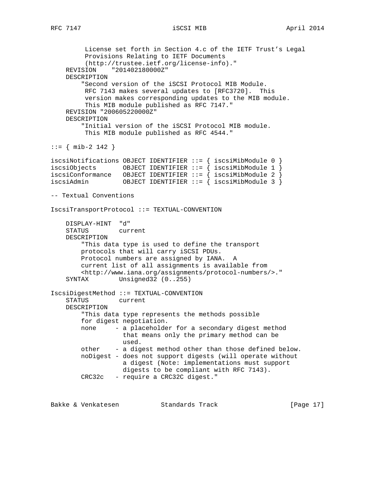License set forth in Section 4.c of the IETF Trust's Legal Provisions Relating to IETF Documents (http://trustee.ietf.org/license-info)." REVISION "201402180000Z" DESCRIPTION "Second version of the iSCSI Protocol MIB Module. RFC 7143 makes several updates to [RFC3720]. This version makes corresponding updates to the MIB module. This MIB module published as RFC 7147." REVISION "200605220000Z" DESCRIPTION "Initial version of the iSCSI Protocol MIB module. This MIB module published as RFC 4544." ::= { mib-2 142 } iscsiNotifications OBJECT IDENTIFIER ::= { iscsiMibModule 0 } iscsiObjects OBJECT IDENTIFIER ::=  $\{$  iscsiMibModule 1  $\}$ iscsiConformance OBJECT IDENTIFIER ::=  $\{$  iscsiMibModule 2  $\}$ iscsiAdmin OBJECT IDENTIFIER ::= { iscsiMibModule 3 } -- Textual Conventions IscsiTransportProtocol ::= TEXTUAL-CONVENTION DISPLAY-HINT "d" STATUS current DESCRIPTION "This data type is used to define the transport protocols that will carry iSCSI PDUs. Protocol numbers are assigned by IANA. A current list of all assignments is available from <http://www.iana.org/assignments/protocol-numbers/>." SYNTAX Unsigned32 (0..255) IscsiDigestMethod ::= TEXTUAL-CONVENTION STATUS current DESCRIPTION "This data type represents the methods possible for digest negotiation. none - a placeholder for a secondary digest method that means only the primary method can be used. other - a digest method other than those defined below. noDigest - does not support digests (will operate without a digest (Note: implementations must support digests to be compliant with RFC 7143). CRC32c - require a CRC32C digest."

Bakke & Venkatesen Standards Track [Page 17]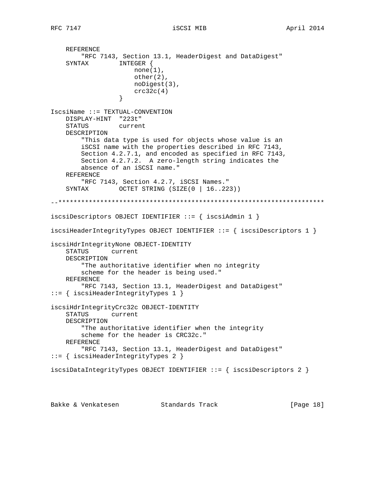```
 REFERENCE
         "RFC 7143, Section 13.1, HeaderDigest and DataDigest"
     SYNTAX INTEGER {
                     none(1),
                      other(2),
                      noDigest(3),
                  \csc 32c(4) }
IscsiName ::= TEXTUAL-CONVENTION
    DISPLAY-HINT "223t"
    STATUS current
    DESCRIPTION
         "This data type is used for objects whose value is an
         iSCSI name with the properties described in RFC 7143,
        Section 4.2.7.1, and encoded as specified in RFC 7143,
        Section 4.2.7.2. A zero-length string indicates the
        absence of an iSCSI name."
    REFERENCE
        "RFC 7143, Section 4.2.7, iSCSI Names."
    SYNTAX OCTET STRING (SIZE(0 | 16..223))
--**********************************************************************
iscsiDescriptors OBJECT IDENTIFIER ::= { iscsiAdmin 1 }
iscsiHeaderIntegrityTypes OBJECT IDENTIFIER ::= { iscsiDescriptors 1 }
iscsiHdrIntegrityNone OBJECT-IDENTITY
    STATUS current
    DESCRIPTION
        "The authoritative identifier when no integrity
        scheme for the header is being used."
    REFERENCE
         "RFC 7143, Section 13.1, HeaderDigest and DataDigest"
::= { iscsiHeaderIntegrityTypes 1 }
iscsiHdrIntegrityCrc32c OBJECT-IDENTITY
     STATUS current
    DESCRIPTION
         "The authoritative identifier when the integrity
        scheme for the header is CRC32c."
    REFERENCE
        "RFC 7143, Section 13.1, HeaderDigest and DataDigest"
::= { iscsiHeaderIntegrityTypes 2 }
iscsiDataIntegrityTypes OBJECT IDENTIFIER ::= { iscsiDescriptors 2 }
Bakke & Venkatesen                       Standards Track                           [Paqe 18]
```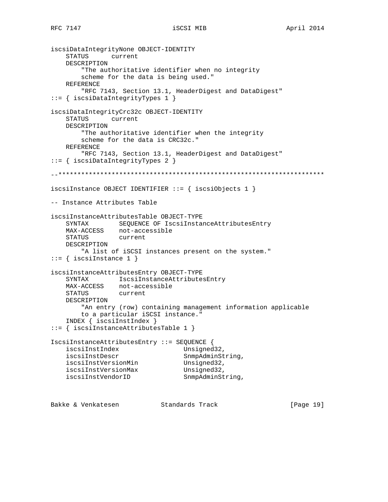RFC 7147 **iSCSI MIB http://wikiprover.com/iSCSI MIB April 2014** 

```
iscsiDataIntegrityNone OBJECT-IDENTITY
    STATUS current
    DESCRIPTION
         "The authoritative identifier when no integrity
        scheme for the data is being used."
    REFERENCE
         "RFC 7143, Section 13.1, HeaderDigest and DataDigest"
::= { iscsiDataIntegrityTypes 1 }
iscsiDataIntegrityCrc32c OBJECT-IDENTITY
    STATUS current
    DESCRIPTION
         "The authoritative identifier when the integrity
        scheme for the data is CRC32c."
    REFERENCE
         "RFC 7143, Section 13.1, HeaderDigest and DataDigest"
::= { iscsiDataIntegrityTypes 2 }
--**********************************************************************
iscsiInstance OBJECT IDENTIFIER ::= { iscsiObjects 1 }
-- Instance Attributes Table
iscsiInstanceAttributesTable OBJECT-TYPE
 SYNTAX SEQUENCE OF IscsiInstanceAttributesEntry
 MAX-ACCESS not-accessible
    STATUS current
    DESCRIPTION
        "A list of iSCSI instances present on the system."
::= { iscsiInstance 1 }
iscsiInstanceAttributesEntry OBJECT-TYPE
    SYNTAX IscsiInstanceAttributesEntry
 MAX-ACCESS not-accessible
 STATUS current
    DESCRIPTION
         "An entry (row) containing management information applicable
        to a particular iSCSI instance."
    INDEX { iscsiInstIndex }
::= { iscsiInstanceAttributesTable 1 }
IscsiInstanceAttributesEntry ::= SEQUENCE {
   iscsiInstIndex Unsigned32,
   iscsiInstDescr SnmpAdminString,<br>
iscsiInstVersionMin Unsigned32,<br>
iscsiInstVersionMax Unsigned32,<br>
iscsiInstVendorID SnmpAdminString,
iscsiInstVersionMin Unsigned32,
iscsiInstVersionMax Unsigned32,
iscsiInstVendorID SnmpAdminString,
```
Bakke & Venkatesen Standards Track [Page 19]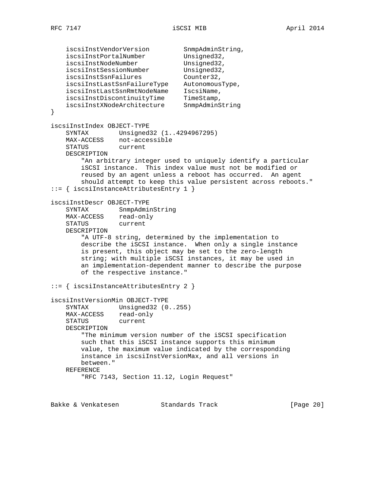iscsiInstVendorVersion SnmpAdminString, iscsiInstPortalNumber Unsigned32, iscsiInstNodeNumber Unsigned32, iscsiInstSessionNumber Unsigned32, iscsiInstSsnFailures Counter32, iscsiInstLastSsnFailureType AutonomousType, iscsiInstLastSsnRmtNodeName IscsiName, iscsiInstDiscontinuityTime TimeStamp, iscsiInstXNodeArchitecture SnmpAdminString } iscsiInstIndex OBJECT-TYPE SYNTAX Unsigned32 (1..4294967295) MAX-ACCESS not-accessible STATUS current DESCRIPTION "An arbitrary integer used to uniquely identify a particular iSCSI instance. This index value must not be modified or reused by an agent unless a reboot has occurred. An agent should attempt to keep this value persistent across reboots." ::= { iscsiInstanceAttributesEntry 1 } iscsiInstDescr OBJECT-TYPE SYNTAX SnmpAdminString MAX-ACCESS read-only STATUS current DESCRIPTION "A UTF-8 string, determined by the implementation to describe the iSCSI instance. When only a single instance is present, this object may be set to the zero-length string; with multiple iSCSI instances, it may be used in an implementation-dependent manner to describe the purpose of the respective instance." ::= { iscsiInstanceAttributesEntry 2 } iscsiInstVersionMin OBJECT-TYPE SYNTAX Unsigned32 (0..255) MAX-ACCESS read-only STATUS current DESCRIPTION "The minimum version number of the iSCSI specification such that this iSCSI instance supports this minimum value, the maximum value indicated by the corresponding instance in iscsiInstVersionMax, and all versions in between." REFERENCE "RFC 7143, Section 11.12, Login Request"

Bakke & Venkatesen Standards Track [Paqe 20]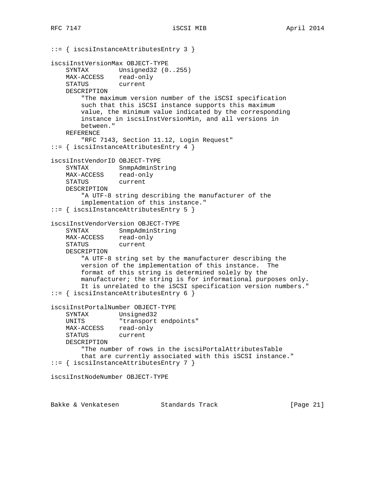```
::= { iscsiInstanceAttributesEntry 3 }
iscsiInstVersionMax OBJECT-TYPE
   SYNTAX Unsigned32 (0..255)
   MAX-ACCESS read-only<br>STATUS current
   STATUS
    DESCRIPTION
        "The maximum version number of the iSCSI specification
        such that this iSCSI instance supports this maximum
        value, the minimum value indicated by the corresponding
        instance in iscsiInstVersionMin, and all versions in
        between."
    REFERENCE
        "RFC 7143, Section 11.12, Login Request"
::= { iscsiInstanceAttributesEntry 4 }
iscsiInstVendorID OBJECT-TYPE
    SYNTAX SnmpAdminString
    MAX-ACCESS read-only
    STATUS current
    DESCRIPTION
        "A UTF-8 string describing the manufacturer of the
        implementation of this instance."
::= { iscsiInstanceAttributesEntry 5 }
iscsiInstVendorVersion OBJECT-TYPE
 SYNTAX SnmpAdminString
 MAX-ACCESS read-only
    STATUS current
    DESCRIPTION
        "A UTF-8 string set by the manufacturer describing the
        version of the implementation of this instance. The
        format of this string is determined solely by the
        manufacturer; the string is for informational purposes only.
        It is unrelated to the iSCSI specification version numbers."
::= { iscsiInstanceAttributesEntry 6 }
iscsiInstPortalNumber OBJECT-TYPE
    SYNTAX Unsigned32
   UNITS "transport endpoints"
    MAX-ACCESS read-only
    STATUS current
    DESCRIPTION
         "The number of rows in the iscsiPortalAttributesTable
        that are currently associated with this iSCSI instance."
::= { iscsiInstanceAttributesEntry 7 }
iscsiInstNodeNumber OBJECT-TYPE
```
Bakke & Venkatesen Standards Track [Page 21]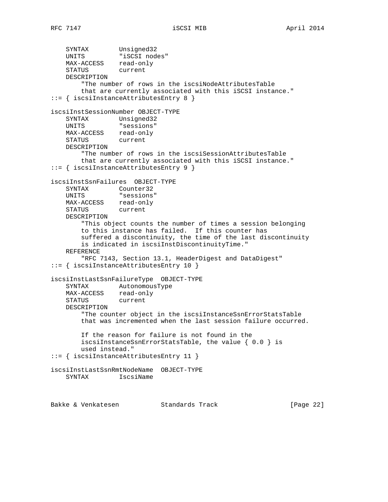```
 SYNTAX Unsigned32
 UNITS "iSCSI nodes"
 MAX-ACCESS read-only
 STATUS current
    DESCRIPTION
        "The number of rows in the iscsiNodeAttributesTable
        that are currently associated with this iSCSI instance."
::= { iscsiInstanceAttributesEntry 8 }
iscsiInstSessionNumber OBJECT-TYPE
 SYNTAX Unsigned32
 UNITS "sessions"
 MAX-ACCESS read-only
 STATUS current
    DESCRIPTION
        "The number of rows in the iscsiSessionAttributesTable
        that are currently associated with this iSCSI instance."
::= { iscsiInstanceAttributesEntry 9 }
iscsiInstSsnFailures OBJECT-TYPE
    SYNTAX Counter32
    UNITS "sessions"
 MAX-ACCESS read-only
 STATUS current
    DESCRIPTION
        "This object counts the number of times a session belonging
        to this instance has failed. If this counter has
        suffered a discontinuity, the time of the last discontinuity
        is indicated in iscsiInstDiscontinuityTime."
    REFERENCE
        "RFC 7143, Section 13.1, HeaderDigest and DataDigest"
::= { iscsiInstanceAttributesEntry 10 }
iscsiInstLastSsnFailureType OBJECT-TYPE
    SYNTAX AutonomousType
 MAX-ACCESS read-only
 STATUS current
    DESCRIPTION
        "The counter object in the iscsiInstanceSsnErrorStatsTable
        that was incremented when the last session failure occurred.
        If the reason for failure is not found in the
        iscsiInstanceSsnErrorStatsTable, the value { 0.0 } is
        used instead."
::= { iscsiInstanceAttributesEntry 11 }
iscsiInstLastSsnRmtNodeName OBJECT-TYPE
    SYNTAX IscsiName
```
Bakke & Venkatesen Standards Track [Page 22]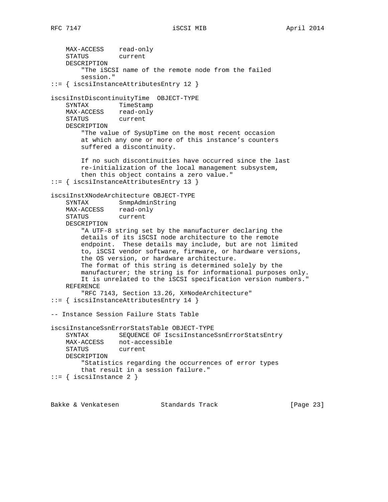MAX-ACCESS read-only STATUS current DESCRIPTION "The iSCSI name of the remote node from the failed session." ::= { iscsiInstanceAttributesEntry 12 } iscsiInstDiscontinuityTime OBJECT-TYPE SYNTAX TimeStamp MAX-ACCESS read-only STATUS current DESCRIPTION "The value of SysUpTime on the most recent occasion at which any one or more of this instance's counters suffered a discontinuity. If no such discontinuities have occurred since the last re-initialization of the local management subsystem, then this object contains a zero value." ::= { iscsiInstanceAttributesEntry 13 } iscsiInstXNodeArchitecture OBJECT-TYPE SYNTAX SnmpAdminString MAX-ACCESS read-only<br>STATUS current STATUS DESCRIPTION "A UTF-8 string set by the manufacturer declaring the details of its iSCSI node architecture to the remote endpoint. These details may include, but are not limited to, iSCSI vendor software, firmware, or hardware versions, the OS version, or hardware architecture. The format of this string is determined solely by the manufacturer; the string is for informational purposes only. It is unrelated to the iSCSI specification version numbers." REFERENCE "RFC 7143, Section 13.26, X#NodeArchitecture" ::= { iscsiInstanceAttributesEntry 14 } -- Instance Session Failure Stats Table iscsiInstanceSsnErrorStatsTable OBJECT-TYPE SYNTAX SEQUENCE OF IscsiInstanceSsnErrorStatsEntry MAX-ACCESS not-accessible STATUS current DESCRIPTION "Statistics regarding the occurrences of error types that result in a session failure."  $::=$  { iscsiInstance 2 }

Bakke & Venkatesen Standards Track [Page 23]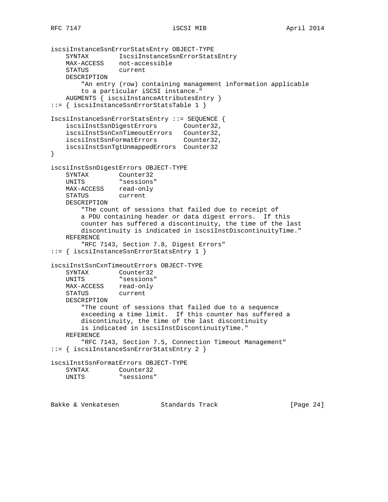```
iscsiInstanceSsnErrorStatsEntry OBJECT-TYPE
 SYNTAX IscsiInstanceSsnErrorStatsEntry
 MAX-ACCESS not-accessible
 STATUS current
    DESCRIPTION
        "An entry (row) containing management information applicable
        to a particular iSCSI instance."
    AUGMENTS { iscsiInstanceAttributesEntry }
::= { iscsiInstanceSsnErrorStatsTable 1 }
IscsiInstanceSsnErrorStatsEntry ::= SEQUENCE {
    iscsiInstSsnDigestErrors Counter32,
 iscsiInstSsnCxnTimeoutErrors Counter32,
 iscsiInstSsnFormatErrors Counter32,
    iscsiInstSsnTgtUnmappedErrors Counter32
}
iscsiInstSsnDigestErrors OBJECT-TYPE
    SYNTAX Counter32
    UNITS "sessions"
 MAX-ACCESS read-only
 STATUS current
    DESCRIPTION
        "The count of sessions that failed due to receipt of
        a PDU containing header or data digest errors. If this
        counter has suffered a discontinuity, the time of the last
        discontinuity is indicated in iscsiInstDiscontinuityTime."
    REFERENCE
        "RFC 7143, Section 7.8, Digest Errors"
::= { iscsiInstanceSsnErrorStatsEntry 1 }
iscsiInstSsnCxnTimeoutErrors OBJECT-TYPE
    SYNTAX Counter32
    UNITS "sessions"
 MAX-ACCESS read-only
 STATUS current
    DESCRIPTION
        "The count of sessions that failed due to a sequence
        exceeding a time limit. If this counter has suffered a
        discontinuity, the time of the last discontinuity
        is indicated in iscsiInstDiscontinuityTime."
    REFERENCE
        "RFC 7143, Section 7.5, Connection Timeout Management"
::= { iscsiInstanceSsnErrorStatsEntry 2 }
iscsiInstSsnFormatErrors OBJECT-TYPE
   SYNTAX Counter32<br>UNITS "sessions
             "sessions"
```
Bakke & Venkatesen Standards Track [Page 24]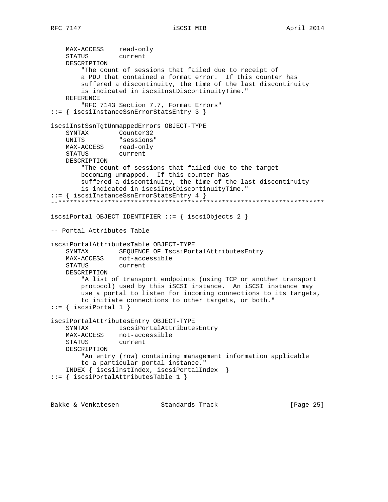MAX-ACCESS read-only STATUS current DESCRIPTION "The count of sessions that failed due to receipt of a PDU that contained a format error. If this counter has suffered a discontinuity, the time of the last discontinuity is indicated in iscsiInstDiscontinuityTime." REFERENCE "RFC 7143 Section 7.7, Format Errors" ::= { iscsiInstanceSsnErrorStatsEntry 3 } iscsiInstSsnTgtUnmappedErrors OBJECT-TYPE SYNTAX Counter32 UNITS "sessions" MAX-ACCESS read-only STATUS current DESCRIPTION "The count of sessions that failed due to the target becoming unmapped. If this counter has suffered a discontinuity, the time of the last discontinuity is indicated in iscsiInstDiscontinuityTime." ::= { iscsiInstanceSsnErrorStatsEntry 4 } --\*\*\*\*\*\*\*\*\*\*\*\*\*\*\*\*\*\*\*\*\*\*\*\*\*\*\*\*\*\*\*\*\*\*\*\*\*\*\*\*\*\*\*\*\*\*\*\*\*\*\*\*\*\*\*\*\*\*\*\*\*\*\*\*\*\*\*\*\*\* iscsiPortal OBJECT IDENTIFIER ::= { iscsiObjects 2 } -- Portal Attributes Table iscsiPortalAttributesTable OBJECT-TYPE SYNTAX SEQUENCE OF IscsiPortalAttributesEntry MAX-ACCESS not-accessible STATUS current DESCRIPTION "A list of transport endpoints (using TCP or another transport protocol) used by this iSCSI instance. An iSCSI instance may use a portal to listen for incoming connections to its targets, to initiate connections to other targets, or both."  $::=$  { iscsiPortal 1 } iscsiPortalAttributesEntry OBJECT-TYPE SYNTAX IscsiPortalAttributesEntry MAX-ACCESS not-accessible STATUS current DESCRIPTION "An entry (row) containing management information applicable to a particular portal instance." INDEX { iscsiInstIndex, iscsiPortalIndex } ::= { iscsiPortalAttributesTable 1 }

Bakke & Venkatesen Standards Track [Page 25]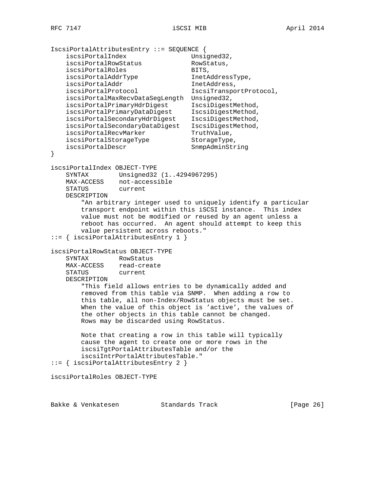```
IscsiPortalAttributesEntry ::= SEQUENCE {
iscsiPortalIndex Unsigned32,
iscsiPortalRowStatus RowStatus,
iscsiPortalRoles BITS,
iscsiPortalAddrType InetAddressType,
iscsiPortalAddr InetAddress,
iscsiPortalProtocol 1scsiTransportProtocol,
    iscsiPortalMaxRecvDataSegLength Unsigned32,
 iscsiPortalPrimaryHdrDigest IscsiDigestMethod,
 iscsiPortalPrimaryDataDigest IscsiDigestMethod,
 iscsiPortalSecondaryHdrDigest IscsiDigestMethod,
    iscsiPortalSecondaryDataDigest IscsiDigestMethod,
iscsiPortalRecvMarker TruthValue,
iscsiPortalStorageType StorageType,
iscsiPortalDescr SnmpAdminString
}
iscsiPortalIndex OBJECT-TYPE
    SYNTAX Unsigned32 (1..4294967295)
 MAX-ACCESS not-accessible
 STATUS current
    DESCRIPTION
        "An arbitrary integer used to uniquely identify a particular
        transport endpoint within this iSCSI instance. This index
        value must not be modified or reused by an agent unless a
        reboot has occurred. An agent should attempt to keep this
        value persistent across reboots."
::= { iscsiPortalAttributesEntry 1 }
iscsiPortalRowStatus OBJECT-TYPE
    SYNTAX RowStatus
    MAX-ACCESS read-create
    STATUS current
    DESCRIPTION
        "This field allows entries to be dynamically added and
        removed from this table via SNMP. When adding a row to
        this table, all non-Index/RowStatus objects must be set.
        When the value of this object is 'active', the values of
        the other objects in this table cannot be changed.
        Rows may be discarded using RowStatus.
        Note that creating a row in this table will typically
        cause the agent to create one or more rows in the
        iscsiTgtPortalAttributesTable and/or the
        iscsiIntrPortalAttributesTable."
::= { iscsiPortalAttributesEntry 2 }
iscsiPortalRoles OBJECT-TYPE
```
Bakke & Venkatesen Standards Track [Paqe 26]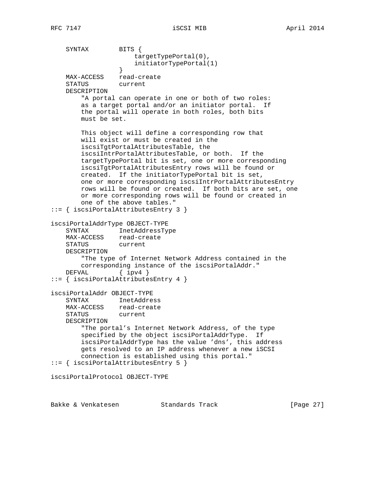SYNTAX BITS { targetTypePortal(0), initiatorTypePortal(1) } MAX-ACCESS read-create<br>STATUS current STATUS DESCRIPTION "A portal can operate in one or both of two roles: as a target portal and/or an initiator portal. If the portal will operate in both roles, both bits must be set. This object will define a corresponding row that will exist or must be created in the iscsiTgtPortalAttributesTable, the iscsiIntrPortalAttributesTable, or both. If the targetTypePortal bit is set, one or more corresponding iscsiTgtPortalAttributesEntry rows will be found or created. If the initiatorTypePortal bit is set, one or more corresponding iscsiIntrPortalAttributesEntry rows will be found or created. If both bits are set, one or more corresponding rows will be found or created in one of the above tables." ::= { iscsiPortalAttributesEntry 3 } iscsiPortalAddrType OBJECT-TYPE SYNTAX InetAddressType MAX-ACCESS read-create STATUS current DESCRIPTION "The type of Internet Network Address contained in the corresponding instance of the iscsiPortalAddr." DEFVAL { ipv4 } ::= { iscsiPortalAttributesEntry 4 } iscsiPortalAddr OBJECT-TYPE SYNTAX InetAddress MAX-ACCESS read-create STATUS current DESCRIPTION "The portal's Internet Network Address, of the type specified by the object iscsiPortalAddrType. If iscsiPortalAddrType has the value 'dns', this address gets resolved to an IP address whenever a new iSCSI connection is established using this portal." ::= { iscsiPortalAttributesEntry 5 } iscsiPortalProtocol OBJECT-TYPE

Bakke & Venkatesen Standards Track [Paqe 27]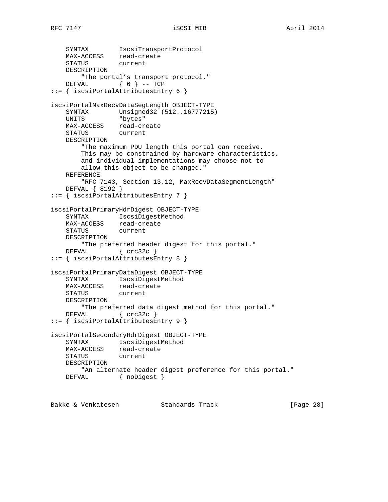```
 SYNTAX IscsiTransportProtocol
 MAX-ACCESS read-create
 STATUS current
    DESCRIPTION
        "The portal's transport protocol."
   DEFVAL \{ 6 \} -- TCP
::= { iscsiPortalAttributesEntry 6 }
iscsiPortalMaxRecvDataSegLength OBJECT-TYPE
    SYNTAX Unsigned32 (512..16777215)
    UNITS "bytes"
 MAX-ACCESS read-create
 STATUS current
    DESCRIPTION
        "The maximum PDU length this portal can receive.
        This may be constrained by hardware characteristics,
        and individual implementations may choose not to
        allow this object to be changed."
    REFERENCE
        "RFC 7143, Section 13.12, MaxRecvDataSegmentLength"
    DEFVAL { 8192 }
::= { iscsiPortalAttributesEntry 7 }
iscsiPortalPrimaryHdrDigest OBJECT-TYPE
 SYNTAX IscsiDigestMethod
 MAX-ACCESS read-create
 STATUS current
    DESCRIPTION
        "The preferred header digest for this portal."
   DEFVAL { crc32c }
::= { iscsiPortalAttributesEntry 8 }
iscsiPortalPrimaryDataDigest OBJECT-TYPE
    SYNTAX IscsiDigestMethod
 MAX-ACCESS read-create
 STATUS current
    DESCRIPTION
       "The preferred data digest method for this portal."
   DEFVAL { crc32c }
::= { iscsiPortalAttributesEntry 9 }
iscsiPortalSecondaryHdrDigest OBJECT-TYPE
    SYNTAX IscsiDigestMethod
    MAX-ACCESS read-create
    STATUS current
    DESCRIPTION
        "An alternate header digest preference for this portal."
   DEFVAL { noDigest }
```
Bakke & Venkatesen Standards Track [Page 28]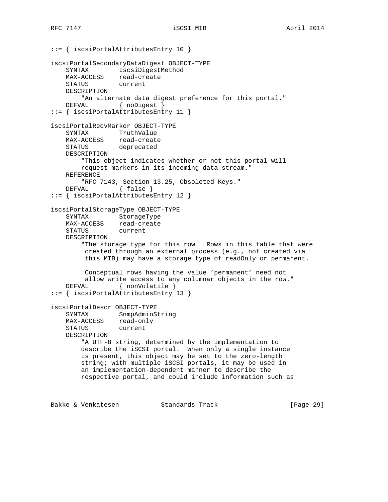```
::= { iscsiPortalAttributesEntry 10 }
iscsiPortalSecondaryDataDigest OBJECT-TYPE
    SYNTAX IscsiDigestMethod
   MAX-ACCESS read-create<br>STATUS current
   STATUS
    DESCRIPTION
        "An alternate data digest preference for this portal."
   DEFVAL { noDigest }
::= { iscsiPortalAttributesEntry 11 }
iscsiPortalRecvMarker OBJECT-TYPE
    SYNTAX TruthValue
 MAX-ACCESS read-create
 STATUS deprecated
    DESCRIPTION
        "This object indicates whether or not this portal will
        request markers in its incoming data stream."
    REFERENCE
        "RFC 7143, Section 13.25, Obsoleted Keys."
   DEFVAL { false }
::= { iscsiPortalAttributesEntry 12 }
iscsiPortalStorageType OBJECT-TYPE
   SYNTAX StorageType<br>MAX-ACCESS read-create
                read-create
    STATUS current
    DESCRIPTION
         "The storage type for this row. Rows in this table that were
         created through an external process (e.g., not created via
         this MIB) may have a storage type of readOnly or permanent.
         Conceptual rows having the value 'permanent' need not
         allow write access to any columnar objects in the row."
   DEFVAL { nonVolatile }
::= { iscsiPortalAttributesEntry 13 }
iscsiPortalDescr OBJECT-TYPE
    SYNTAX SnmpAdminString
    MAX-ACCESS read-only
    STATUS current
    DESCRIPTION
        "A UTF-8 string, determined by the implementation to
        describe the iSCSI portal. When only a single instance
        is present, this object may be set to the zero-length
        string; with multiple iSCSI portals, it may be used in
        an implementation-dependent manner to describe the
        respective portal, and could include information such as
```
Bakke & Venkatesen Standards Track [Paqe 29]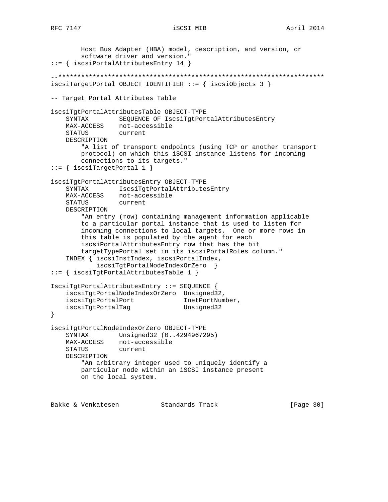```
 Host Bus Adapter (HBA) model, description, and version, or
        software driver and version."
::= { iscsiPortalAttributesEntry 14 }
--**********************************************************************
iscsiTargetPortal OBJECT IDENTIFIER ::= { iscsiObjects 3 }
-- Target Portal Attributes Table
iscsiTgtPortalAttributesTable OBJECT-TYPE
    SYNTAX SEQUENCE OF IscsiTgtPortalAttributesEntry
 MAX-ACCESS not-accessible
 STATUS current
    DESCRIPTION
        "A list of transport endpoints (using TCP or another transport
        protocol) on which this iSCSI instance listens for incoming
        connections to its targets."
::= { iscsiTargetPortal 1 }
iscsiTgtPortalAttributesEntry OBJECT-TYPE
    SYNTAX IscsiTgtPortalAttributesEntry
    MAX-ACCESS not-accessible
    STATUS current
    DESCRIPTION
        "An entry (row) containing management information applicable
        to a particular portal instance that is used to listen for
        incoming connections to local targets. One or more rows in
        this table is populated by the agent for each
        iscsiPortalAttributesEntry row that has the bit
        targetTypePortal set in its iscsiPortalRoles column."
     INDEX { iscsiInstIndex, iscsiPortalIndex,
            iscsiTgtPortalNodeIndexOrZero }
::= { iscsiTgtPortalAttributesTable 1 }
IscsiTgtPortalAttributesEntry ::= SEQUENCE {
    iscsiTgtPortalNodeIndexOrZero Unsigned32,
iscsiTgtPortalPort InetPortNumber,
iscsiTgtPortalTag Unsigned32
}
iscsiTgtPortalNodeIndexOrZero OBJECT-TYPE
    SYNTAX Unsigned32 (0..4294967295)
    MAX-ACCESS not-accessible
    STATUS current
    DESCRIPTION
        "An arbitrary integer used to uniquely identify a
        particular node within an iSCSI instance present
        on the local system.
```
Bakke & Venkatesen Standards Track [Page 30]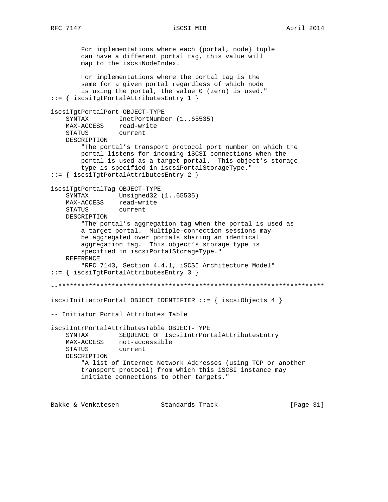For implementations where each {portal, node} tuple can have a different portal tag, this value will map to the iscsiNodeIndex. For implementations where the portal tag is the same for a given portal regardless of which node is using the portal, the value 0 (zero) is used." ::= { iscsiTgtPortalAttributesEntry 1 } iscsiTgtPortalPort OBJECT-TYPE SYNTAX InetPortNumber (1..65535) MAX-ACCESS read-write STATUS current DESCRIPTION "The portal's transport protocol port number on which the portal listens for incoming iSCSI connections when the portal is used as a target portal. This object's storage type is specified in iscsiPortalStorageType." ::= { iscsiTgtPortalAttributesEntry 2 } iscsiTgtPortalTag OBJECT-TYPE SYNTAX Unsigned32 (1..65535) MAX-ACCESS read-write STATUS current DESCRIPTION "The portal's aggregation tag when the portal is used as a target portal. Multiple-connection sessions may be aggregated over portals sharing an identical aggregation tag. This object's storage type is specified in iscsiPortalStorageType." REFERENCE "RFC 7143, Section 4.4.1, iSCSI Architecture Model" ::= { iscsiTgtPortalAttributesEntry 3 } --\*\*\*\*\*\*\*\*\*\*\*\*\*\*\*\*\*\*\*\*\*\*\*\*\*\*\*\*\*\*\*\*\*\*\*\*\*\*\*\*\*\*\*\*\*\*\*\*\*\*\*\*\*\*\*\*\*\*\*\*\*\*\*\*\*\*\*\*\*\* iscsiInitiatorPortal OBJECT IDENTIFIER ::= { iscsiObjects 4 } -- Initiator Portal Attributes Table iscsiIntrPortalAttributesTable OBJECT-TYPE SYNTAX SEQUENCE OF IscsiIntrPortalAttributesEntry MAX-ACCESS not-accessible STATUS current DESCRIPTION "A list of Internet Network Addresses (using TCP or another transport protocol) from which this iSCSI instance may initiate connections to other targets."

Bakke & Venkatesen Standards Track [Page 31]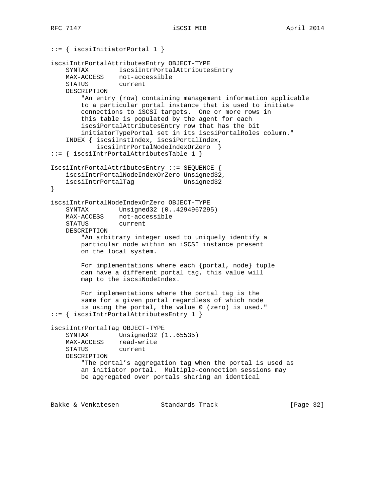```
::= { iscsiInitiatorPortal 1 }
iscsiIntrPortalAttributesEntry OBJECT-TYPE
   SYNTAX IscsiIntrPortalAttributesEntry<br>MAX-ACCESS not-accessible
                not-accessible<br>current
   STATUS
    DESCRIPTION
         "An entry (row) containing management information applicable
         to a particular portal instance that is used to initiate
         connections to iSCSI targets. One or more rows in
         this table is populated by the agent for each
         iscsiPortalAttributesEntry row that has the bit
         initiatorTypePortal set in its iscsiPortalRoles column."
     INDEX { iscsiInstIndex, iscsiPortalIndex,
             iscsiIntrPortalNodeIndexOrZero }
::= { iscsiIntrPortalAttributesTable 1 }
IscsiIntrPortalAttributesEntry ::= SEQUENCE {
    iscsiIntrPortalNodeIndexOrZero Unsigned32,
    iscsiIntrPortalTag Unsigned32
}
iscsiIntrPortalNodeIndexOrZero OBJECT-TYPE
     SYNTAX Unsigned32 (0..4294967295)
    MAX-ACCESS not-accessible
    STATUS current
    DESCRIPTION
         "An arbitrary integer used to uniquely identify a
        particular node within an iSCSI instance present
        on the local system.
        For implementations where each {portal, node} tuple
         can have a different portal tag, this value will
         map to the iscsiNodeIndex.
         For implementations where the portal tag is the
         same for a given portal regardless of which node
         is using the portal, the value 0 (zero) is used."
::= { iscsiIntrPortalAttributesEntry 1 }
iscsiIntrPortalTag OBJECT-TYPE
    SYNTAX Unsigned32 (1..65535)
    MAX-ACCESS read-write
    STATUS current
    DESCRIPTION
         "The portal's aggregation tag when the portal is used as
         an initiator portal. Multiple-connection sessions may
        be aggregated over portals sharing an identical
```
Bakke & Venkatesen Standards Track [Paqe 32]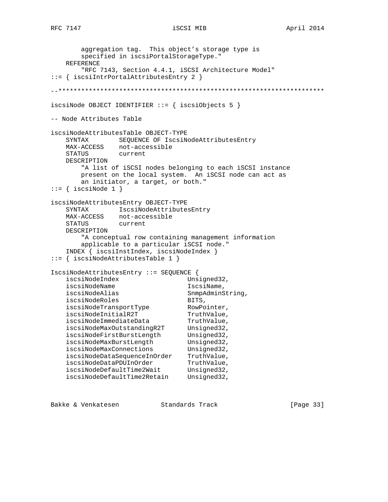```
 aggregation tag. This object's storage type is
        specified in iscsiPortalStorageType."
    REFERENCE
        "RFC 7143, Section 4.4.1, iSCSI Architecture Model"
::= { iscsiIntrPortalAttributesEntry 2 }
--**********************************************************************
iscsiNode OBJECT IDENTIFIER ::= { iscsiObjects 5 }
-- Node Attributes Table
iscsiNodeAttributesTable OBJECT-TYPE
    SYNTAX SEQUENCE OF IscsiNodeAttributesEntry
 MAX-ACCESS not-accessible
 STATUS current
    DESCRIPTION
        "A list of iSCSI nodes belonging to each iSCSI instance
        present on the local system. An iSCSI node can act as
        an initiator, a target, or both."
::= { iscsiNode 1 }
iscsiNodeAttributesEntry OBJECT-TYPE
   SYNTAX IscsiNodeAttributesEntry<br>MAX-ACCESS not-accessible
              not-accessible
    STATUS current
    DESCRIPTION
        "A conceptual row containing management information
        applicable to a particular iSCSI node."
    INDEX { iscsiInstIndex, iscsiNodeIndex }
::= { iscsiNodeAttributesTable 1 }
IscsiNodeAttributesEntry ::= SEQUENCE {
   iscsiNodeIndex Unsigned32,
   iscsiNodeName IscsiName,
   iscsiNodeAlias SnmpAdminString,
iscsiNodeRoles BITS,
iscsiNodeTransportType RowPointer,
iscsiNodeInitialR2T TruthValue,
iscsiNodeImmediateData TruthValue,
 iscsiNodeMaxOutstandingR2T Unsigned32,
 iscsiNodeFirstBurstLength Unsigned32,
iscsiNodeMaxBurstLength Unsigned32,
iscsiNodeMaxConnections Unsigned32,
 iscsiNodeDataSequenceInOrder TruthValue,
iscsiNodeDataPDUInOrder TruthValue,
iscsiNodeDefaultTime2Wait Unsigned32,
 iscsiNodeDefaultTime2Retain Unsigned32,
```
Bakke & Venkatesen Standards Track [Page 33]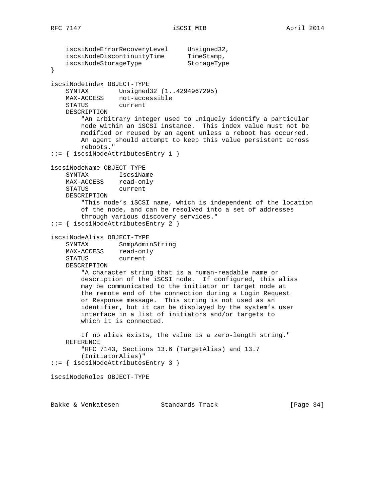```
 iscsiNodeErrorRecoveryLevel Unsigned32,
iscsiNodeDiscontinuityTime TimeStamp,
iscsiNodeStorageType StorageType
}
iscsiNodeIndex OBJECT-TYPE
    SYNTAX Unsigned32 (1..4294967295)
 MAX-ACCESS not-accessible
 STATUS current
    DESCRIPTION
        "An arbitrary integer used to uniquely identify a particular
        node within an iSCSI instance. This index value must not be
        modified or reused by an agent unless a reboot has occurred.
        An agent should attempt to keep this value persistent across
        reboots."
::= { iscsiNodeAttributesEntry 1 }
iscsiNodeName OBJECT-TYPE
    SYNTAX IscsiName
    MAX-ACCESS read-only
    STATUS current
    DESCRIPTION
        "This node's iSCSI name, which is independent of the location
        of the node, and can be resolved into a set of addresses
        through various discovery services."
::= { iscsiNodeAttributesEntry 2 }
iscsiNodeAlias OBJECT-TYPE
 SYNTAX SnmpAdminString
 MAX-ACCESS read-only
    STATUS current
    DESCRIPTION
        "A character string that is a human-readable name or
        description of the iSCSI node. If configured, this alias
        may be communicated to the initiator or target node at
        the remote end of the connection during a Login Request
        or Response message. This string is not used as an
        identifier, but it can be displayed by the system's user
        interface in a list of initiators and/or targets to
        which it is connected.
        If no alias exists, the value is a zero-length string."
    REFERENCE
        "RFC 7143, Sections 13.6 (TargetAlias) and 13.7
        (InitiatorAlias)"
::= { iscsiNodeAttributesEntry 3 }
iscsiNodeRoles OBJECT-TYPE
```
Bakke & Venkatesen Standards Track [Page 34]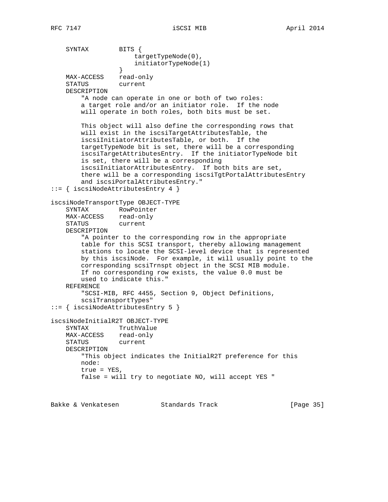SYNTAX BITS { targetTypeNode(0), initiatorTypeNode(1) } MAX-ACCESS read-only STATUS current DESCRIPTION "A node can operate in one or both of two roles: a target role and/or an initiator role. If the node will operate in both roles, both bits must be set. This object will also define the corresponding rows that will exist in the iscsiTargetAttributesTable, the iscsiInitiatorAttributesTable, or both. If the targetTypeNode bit is set, there will be a corresponding iscsiTargetAttributesEntry. If the initiatorTypeNode bit is set, there will be a corresponding iscsiInitiatorAttributesEntry. If both bits are set, there will be a corresponding iscsiTgtPortalAttributesEntry and iscsiPortalAttributesEntry." ::= { iscsiNodeAttributesEntry 4 } iscsiNodeTransportType OBJECT-TYPE SYNTAX RowPointer MAX-ACCESS read-only STATUS current DESCRIPTION "A pointer to the corresponding row in the appropriate table for this SCSI transport, thereby allowing management stations to locate the SCSI-level device that is represented by this iscsiNode. For example, it will usually point to the corresponding scsiTrnspt object in the SCSI MIB module. If no corresponding row exists, the value 0.0 must be used to indicate this." REFERENCE "SCSI-MIB, RFC 4455, Section 9, Object Definitions, scsiTransportTypes" ::= { iscsiNodeAttributesEntry 5 } iscsiNodeInitialR2T OBJECT-TYPE SYNTAX TruthValue MAX-ACCESS read-only STATUS current DESCRIPTION "This object indicates the InitialR2T preference for this node: true = YES, false = will try to negotiate NO, will accept YES "

Bakke & Venkatesen Standards Track [Paqe 35]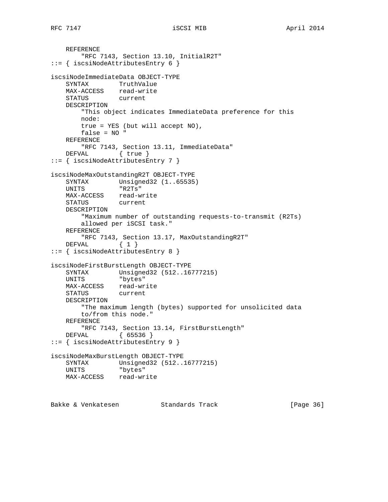```
 REFERENCE
        "RFC 7143, Section 13.10, InitialR2T"
::= { iscsiNodeAttributesEntry 6 }
iscsiNodeImmediateData OBJECT-TYPE
    SYNTAX TruthValue
    MAX-ACCESS read-write
    STATUS current
    DESCRIPTION
        "This object indicates ImmediateData preference for this
        node:
        true = YES (but will accept NO),
        false = NO "
    REFERENCE
       "RFC 7143, Section 13.11, ImmediateData"
   DEFVAL { true }
::= { iscsiNodeAttributesEntry 7 }
iscsiNodeMaxOutstandingR2T OBJECT-TYPE
 SYNTAX Unsigned32 (1..65535)
 UNITS "R2Ts"
    MAX-ACCESS read-write
    STATUS current
    DESCRIPTION
        "Maximum number of outstanding requests-to-transmit (R2Ts)
        allowed per iSCSI task."
    REFERENCE
        "RFC 7143, Section 13.17, MaxOutstandingR2T"
   DEFVAL \{ 1 \}::= { iscsiNodeAttributesEntry 8 }
iscsiNodeFirstBurstLength OBJECT-TYPE
    SYNTAX Unsigned32 (512..16777215)
    UNITS "bytes"
 MAX-ACCESS read-write
 STATUS current
    DESCRIPTION
        "The maximum length (bytes) supported for unsolicited data
        to/from this node."
    REFERENCE
       "RFC 7143, Section 13.14, FirstBurstLength"
    DEFVAL { 65536 }
::= { iscsiNodeAttributesEntry 9 }
iscsiNodeMaxBurstLength OBJECT-TYPE
    SYNTAX Unsigned32 (512..16777215)
    UNITS "bytes"
    MAX-ACCESS read-write
```
Bakke & Venkatesen Standards Track [Page 36]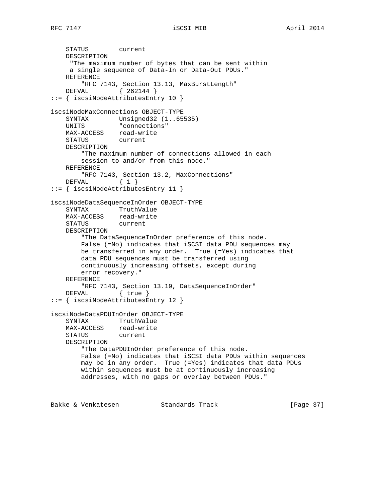```
 STATUS current
    DESCRIPTION
     "The maximum number of bytes that can be sent within
     a single sequence of Data-In or Data-Out PDUs."
    REFERENCE
        "RFC 7143, Section 13.13, MaxBurstLength"
    DEFVAL { 262144 }
::= { iscsiNodeAttributesEntry 10 }
iscsiNodeMaxConnections OBJECT-TYPE
 SYNTAX Unsigned32 (1..65535)
 UNITS "connections"
 MAX-ACCESS read-write
 STATUS current
    DESCRIPTION
        "The maximum number of connections allowed in each
        session to and/or from this node."
    REFERENCE
        "RFC 7143, Section 13.2, MaxConnections"
   DEFVAL { 1 }
::= { iscsiNodeAttributesEntry 11 }
iscsiNodeDataSequenceInOrder OBJECT-TYPE
 SYNTAX TruthValue
 MAX-ACCESS read-write
    STATUS current
    DESCRIPTION
        "The DataSequenceInOrder preference of this node.
        False (=No) indicates that iSCSI data PDU sequences may
        be transferred in any order. True (=Yes) indicates that
        data PDU sequences must be transferred using
        continuously increasing offsets, except during
        error recovery."
    REFERENCE
        "RFC 7143, Section 13.19, DataSequenceInOrder"
    DEFVAL { true }
::= { iscsiNodeAttributesEntry 12 }
iscsiNodeDataPDUInOrder OBJECT-TYPE
    SYNTAX TruthValue
    MAX-ACCESS read-write
    STATUS current
    DESCRIPTION
        "The DataPDUInOrder preference of this node.
        False (=No) indicates that iSCSI data PDUs within sequences
        may be in any order. True (=Yes) indicates that data PDUs
        within sequences must be at continuously increasing
        addresses, with no gaps or overlay between PDUs."
```
Bakke & Venkatesen Standards Track [Paqe 37]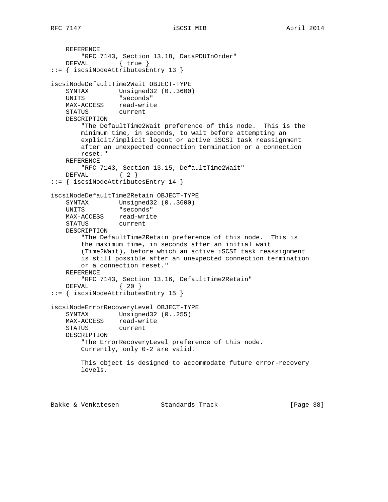```
 REFERENCE
        "RFC 7143, Section 13.18, DataPDUInOrder"
    DEFVAL { true }
::= { iscsiNodeAttributesEntry 13 }
iscsiNodeDefaultTime2Wait OBJECT-TYPE
   SYNTAX Unsigned32 (0..3600)
    UNITS "seconds"
    MAX-ACCESS read-write
    STATUS current
    DESCRIPTION
        "The DefaultTime2Wait preference of this node. This is the
        minimum time, in seconds, to wait before attempting an
        explicit/implicit logout or active iSCSI task reassignment
        after an unexpected connection termination or a connection
        reset."
    REFERENCE
        "RFC 7143, Section 13.15, DefaultTime2Wait"
   DEFVAL { 2 }
::= { iscsiNodeAttributesEntry 14 }
iscsiNodeDefaultTime2Retain OBJECT-TYPE
 SYNTAX Unsigned32 (0..3600)
 UNITS "seconds"
   MAX-ACCESS read-write
    STATUS current
    DESCRIPTION
        "The DefaultTime2Retain preference of this node. This is
        the maximum time, in seconds after an initial wait
        (Time2Wait), before which an active iSCSI task reassignment
        is still possible after an unexpected connection termination
        or a connection reset."
    REFERENCE
        "RFC 7143, Section 13.16, DefaultTime2Retain"
    DEFVAL { 20 }
::= { iscsiNodeAttributesEntry 15 }
iscsiNodeErrorRecoveryLevel OBJECT-TYPE
   SYNTAX Unsigned32 (0..255)
   MAX-ACCESS read-write<br>STATUS current
   STATUS
    DESCRIPTION
        "The ErrorRecoveryLevel preference of this node.
        Currently, only 0-2 are valid.
        This object is designed to accommodate future error-recovery
        levels.
```
Bakke & Venkatesen Standards Track [Page 38]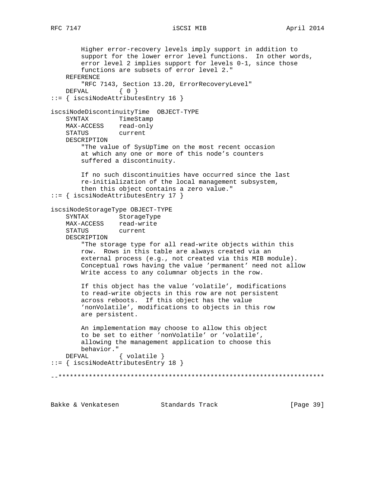Higher error-recovery levels imply support in addition to support for the lower error level functions. In other words, error level 2 implies support for levels 0-1, since those functions are subsets of error level 2." REFERENCE "RFC 7143, Section 13.20, ErrorRecoveryLevel" DEFVAL { 0 } ::= { iscsiNodeAttributesEntry 16 } iscsiNodeDiscontinuityTime OBJECT-TYPE SYNTAX TimeStamp MAX-ACCESS read-only STATUS current DESCRIPTION "The value of SysUpTime on the most recent occasion at which any one or more of this node's counters suffered a discontinuity. If no such discontinuities have occurred since the last re-initialization of the local management subsystem, then this object contains a zero value." ::= { iscsiNodeAttributesEntry 17 } iscsiNodeStorageType OBJECT-TYPE SYNTAX StorageType MAX-ACCESS read-write STATUS current DESCRIPTION "The storage type for all read-write objects within this row. Rows in this table are always created via an external process (e.g., not created via this MIB module). Conceptual rows having the value 'permanent' need not allow Write access to any columnar objects in the row. If this object has the value 'volatile', modifications to read-write objects in this row are not persistent across reboots. If this object has the value 'nonVolatile', modifications to objects in this row are persistent. An implementation may choose to allow this object to be set to either 'nonVolatile' or 'volatile', allowing the management application to choose this behavior." DEFVAL { volatile } ::= { iscsiNodeAttributesEntry 18 } --\*\*\*\*\*\*\*\*\*\*\*\*\*\*\*\*\*\*\*\*\*\*\*\*\*\*\*\*\*\*\*\*\*\*\*\*\*\*\*\*\*\*\*\*\*\*\*\*\*\*\*\*\*\*\*\*\*\*\*\*\*\*\*\*\*\*\*\*\*\*

Bakke & Venkatesen Standards Track [Page 39]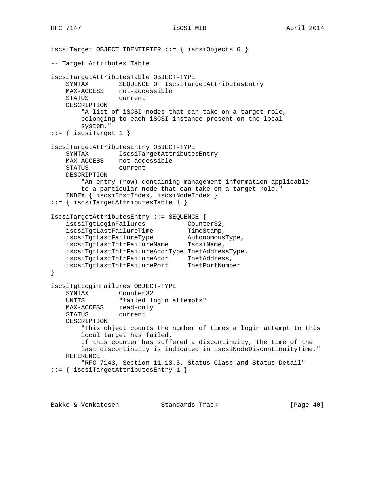```
iscsiTarget OBJECT IDENTIFIER ::= { iscsiObjects 6 }
-- Target Attributes Table
iscsiTargetAttributesTable OBJECT-TYPE
    SYNTAX SEQUENCE OF IscsiTargetAttributesEntry
    MAX-ACCESS not-accessible
    STATUS current
    DESCRIPTION
        "A list of iSCSI nodes that can take on a target role,
        belonging to each iSCSI instance present on the local
        system."
::= { iscsiTarget 1 }
iscsiTargetAttributesEntry OBJECT-TYPE
    SYNTAX IscsiTargetAttributesEntry
   MAX-ACCESS not-accessible<br>STATUS current
   STATUS
    DESCRIPTION
        "An entry (row) containing management information applicable
        to a particular node that can take on a target role."
    INDEX { iscsiInstIndex, iscsiNodeIndex }
::= { iscsiTargetAttributesTable 1 }
IscsiTargetAttributesEntry ::= SEQUENCE {
iscsiTgtLoginFailures Counter32,
iscsiTgtLastFailureTime TimeStamp,
iscsiTgtLastFailureType AutonomousType,
 iscsiTgtLastIntrFailureName IscsiName,
    iscsiTgtLastIntrFailureAddrType InetAddressType,
 iscsiTgtLastIntrFailureAddr InetAddress,
 iscsiTgtLastIntrFailurePort InetPortNumber
}
iscsiTgtLoginFailures OBJECT-TYPE
    SYNTAX Counter32
   UNITS "failed login attempts"
 MAX-ACCESS read-only
 STATUS current
    DESCRIPTION
        "This object counts the number of times a login attempt to this
        local target has failed.
        If this counter has suffered a discontinuity, the time of the
        last discontinuity is indicated in iscsiNodeDiscontinuityTime."
    REFERENCE
        "RFC 7143, Section 11.13.5, Status-Class and Status-Detail"
::= { iscsiTargetAttributesEntry 1 }
```
Bakke & Venkatesen Standards Track [Paqe 40]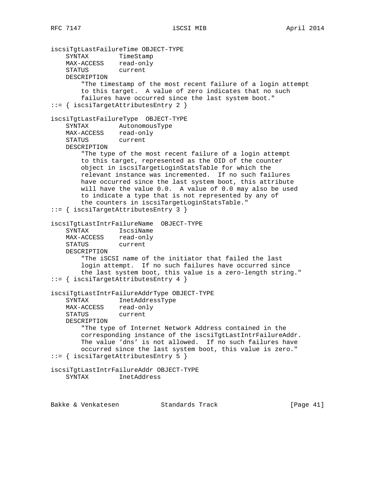```
iscsiTgtLastFailureTime OBJECT-TYPE
 SYNTAX TimeStamp
 MAX-ACCESS read-only
 STATUS current
    DESCRIPTION
        "The timestamp of the most recent failure of a login attempt
        to this target. A value of zero indicates that no such
        failures have occurred since the last system boot."
::= { iscsiTargetAttributesEntry 2 }
iscsiTgtLastFailureType OBJECT-TYPE
    SYNTAX AutonomousType
 MAX-ACCESS read-only
 STATUS current
    DESCRIPTION
        "The type of the most recent failure of a login attempt
        to this target, represented as the OID of the counter
        object in iscsiTargetLoginStatsTable for which the
        relevant instance was incremented. If no such failures
        have occurred since the last system boot, this attribute
        will have the value 0.0. A value of 0.0 may also be used
        to indicate a type that is not represented by any of
        the counters in iscsiTargetLoginStatsTable."
::= { iscsiTargetAttributesEntry 3 }
iscsiTgtLastIntrFailureName OBJECT-TYPE
 SYNTAX IscsiName
 MAX-ACCESS read-only
 STATUS current
    DESCRIPTION
        "The iSCSI name of the initiator that failed the last
        login attempt. If no such failures have occurred since
        the last system boot, this value is a zero-length string."
::= { iscsiTargetAttributesEntry 4 }
iscsiTgtLastIntrFailureAddrType OBJECT-TYPE
    SYNTAX InetAddressType
 MAX-ACCESS read-only
 STATUS current
    DESCRIPTION
        "The type of Internet Network Address contained in the
        corresponding instance of the iscsiTgtLastIntrFailureAddr.
        The value 'dns' is not allowed. If no such failures have
        occurred since the last system boot, this value is zero."
::= { iscsiTargetAttributesEntry 5 }
iscsiTgtLastIntrFailureAddr OBJECT-TYPE
    SYNTAX InetAddress
```
Bakke & Venkatesen Standards Track [Page 41]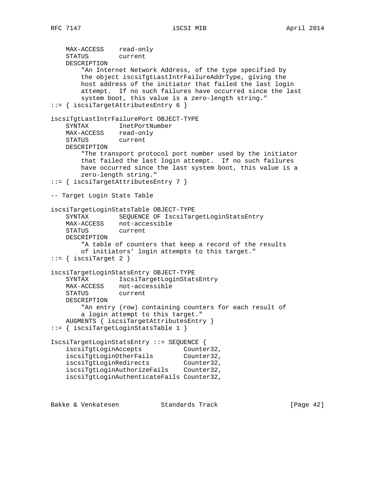```
 MAX-ACCESS read-only
 STATUS current
    DESCRIPTION
        "An Internet Network Address, of the type specified by
        the object iscsiTgtLastIntrFailureAddrType, giving the
        host address of the initiator that failed the last login
        attempt. If no such failures have occurred since the last
        system boot, this value is a zero-length string."
::= { iscsiTargetAttributesEntry 6 }
iscsiTgtLastIntrFailurePort OBJECT-TYPE
    SYNTAX InetPortNumber
   MAX-ACCESS read-only
    STATUS current
    DESCRIPTION
        "The transport protocol port number used by the initiator
        that failed the last login attempt. If no such failures
        have occurred since the last system boot, this value is a
        zero-length string."
::= { iscsiTargetAttributesEntry 7 }
-- Target Login Stats Table
iscsiTargetLoginStatsTable OBJECT-TYPE
    SYNTAX SEQUENCE OF IscsiTargetLoginStatsEntry
 MAX-ACCESS not-accessible
 STATUS current
    DESCRIPTION
        "A table of counters that keep a record of the results
        of initiators' login attempts to this target."
::= { iscsiTarget 2 }
iscsiTargetLoginStatsEntry OBJECT-TYPE
    SYNTAX IscsiTargetLoginStatsEntry
 MAX-ACCESS not-accessible
 STATUS current
    DESCRIPTION
        "An entry (row) containing counters for each result of
        a login attempt to this target."
    AUGMENTS { iscsiTargetAttributesEntry }
::= { iscsiTargetLoginStatsTable 1 }
IscsiTargetLoginStatsEntry ::= SEQUENCE {
 iscsiTgtLoginAccepts Counter32,
 iscsiTgtLoginOtherFails Counter32,
 iscsiTgtLoginRedirects Counter32,
   iscsiTgtLoginAuthorizeFails Counter32,
    iscsiTgtLoginAuthenticateFails Counter32,
```
Bakke & Venkatesen Standards Track [Paqe 42]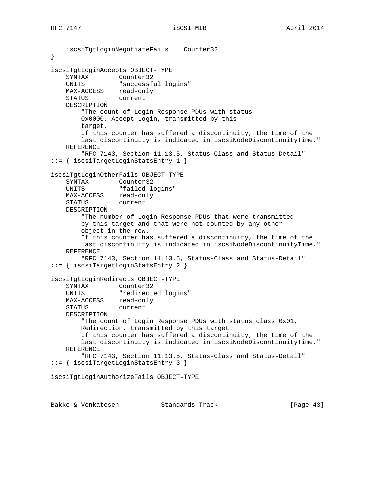```
 iscsiTgtLoginNegotiateFails Counter32
}
iscsiTgtLoginAccepts OBJECT-TYPE
 SYNTAX Counter32
 UNITS "successful logins"
   MAX-ACCESS read-only
    STATUS current
    DESCRIPTION
        "The count of Login Response PDUs with status
        0x0000, Accept Login, transmitted by this
        target.
        If this counter has suffered a discontinuity, the time of the
        last discontinuity is indicated in iscsiNodeDiscontinuityTime."
    REFERENCE
        "RFC 7143, Section 11.13.5, Status-Class and Status-Detail"
::= { iscsiTargetLoginStatsEntry 1 }
iscsiTgtLoginOtherFails OBJECT-TYPE
    SYNTAX Counter32
   UNITS "failed logins"
    MAX-ACCESS read-only
    STATUS current
    DESCRIPTION
        "The number of Login Response PDUs that were transmitted
        by this target and that were not counted by any other
        object in the row.
        If this counter has suffered a discontinuity, the time of the
        last discontinuity is indicated in iscsiNodeDiscontinuityTime."
    REFERENCE
        "RFC 7143, Section 11.13.5, Status-Class and Status-Detail"
::= { iscsiTargetLoginStatsEntry 2 }
iscsiTgtLoginRedirects OBJECT-TYPE
    SYNTAX Counter32
    UNITS "redirected logins"
   MAX-ACCESS read-only
    STATUS current
    DESCRIPTION
        "The count of Login Response PDUs with status class 0x01,
        Redirection, transmitted by this target.
        If this counter has suffered a discontinuity, the time of the
        last discontinuity is indicated in iscsiNodeDiscontinuityTime."
    REFERENCE
        "RFC 7143, Section 11.13.5, Status-Class and Status-Detail"
::= { iscsiTargetLoginStatsEntry 3 }
iscsiTgtLoginAuthorizeFails OBJECT-TYPE
```
Bakke & Venkatesen Standards Track [Page 43]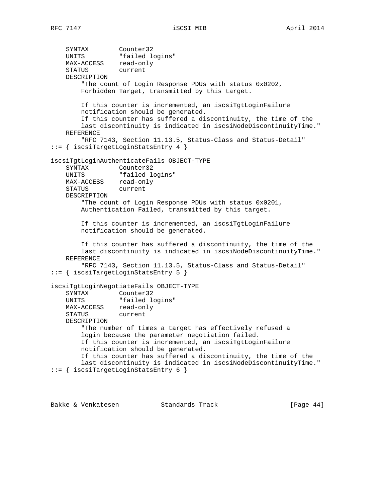SYNTAX Counter32 UNITS "failed logins" MAX-ACCESS read-only STATUS current DESCRIPTION "The count of Login Response PDUs with status 0x0202, Forbidden Target, transmitted by this target. If this counter is incremented, an iscsiTgtLoginFailure notification should be generated. If this counter has suffered a discontinuity, the time of the last discontinuity is indicated in iscsiNodeDiscontinuityTime." REFERENCE "RFC 7143, Section 11.13.5, Status-Class and Status-Detail" ::= { iscsiTargetLoginStatsEntry 4 } iscsiTgtLoginAuthenticateFails OBJECT-TYPE SYNTAX Counter32 UNITS "failed logins" MAX-ACCESS read-only STATUS current DESCRIPTION "The count of Login Response PDUs with status 0x0201, Authentication Failed, transmitted by this target. If this counter is incremented, an iscsiTgtLoginFailure notification should be generated. If this counter has suffered a discontinuity, the time of the last discontinuity is indicated in iscsiNodeDiscontinuityTime." REFERENCE "RFC 7143, Section 11.13.5, Status-Class and Status-Detail" ::= { iscsiTargetLoginStatsEntry 5 } iscsiTgtLoginNegotiateFails OBJECT-TYPE SYNTAX Counter32 UNITS "failed logins" MAX-ACCESS read-only STATUS current DESCRIPTION "The number of times a target has effectively refused a login because the parameter negotiation failed. If this counter is incremented, an iscsiTgtLoginFailure notification should be generated. If this counter has suffered a discontinuity, the time of the last discontinuity is indicated in iscsiNodeDiscontinuityTime." ::= { iscsiTargetLoginStatsEntry 6 }

Bakke & Venkatesen Standards Track [Page 44]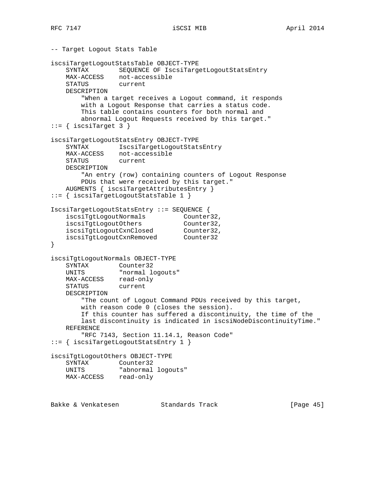-- Target Logout Stats Table iscsiTargetLogoutStatsTable OBJECT-TYPE SYNTAX SEQUENCE OF IscsiTargetLogoutStatsEntry<br>MAX-ACCESS not-accessible not-accessible<br>current STATUS DESCRIPTION "When a target receives a Logout command, it responds with a Logout Response that carries a status code. This table contains counters for both normal and abnormal Logout Requests received by this target."  $::=$  { iscsiTarget 3 } iscsiTargetLogoutStatsEntry OBJECT-TYPE SYNTAX IscsiTargetLogoutStatsEntry MAX-ACCESS not-accessible STATUS current DESCRIPTION "An entry (row) containing counters of Logout Response PDUs that were received by this target." AUGMENTS { iscsiTargetAttributesEntry } ::= { iscsiTargetLogoutStatsTable 1 } IscsiTargetLogoutStatsEntry ::= SEQUENCE { iscsiTgtLogoutNormals Counter32, iscsiTgtLogoutOthers Counter32, iscsiTgtLogoutCxnClosed Counter32, iscsiTgtLogoutCxnRemoved Counter32 } iscsiTgtLogoutNormals OBJECT-TYPE SYNTAX Counter32 UNITS "normal logouts" MAX-ACCESS read-only STATUS current DESCRIPTION "The count of Logout Command PDUs received by this target, with reason code 0 (closes the session). If this counter has suffered a discontinuity, the time of the last discontinuity is indicated in iscsiNodeDiscontinuityTime." REFERENCE "RFC 7143, Section 11.14.1, Reason Code" ::= { iscsiTargetLogoutStatsEntry 1 } iscsiTgtLogoutOthers OBJECT-TYPE SYNTAX Counter32 UNITS "abnormal logouts" MAX-ACCESS read-only Bakke & Venkatesen Standards Track [Paqe 45]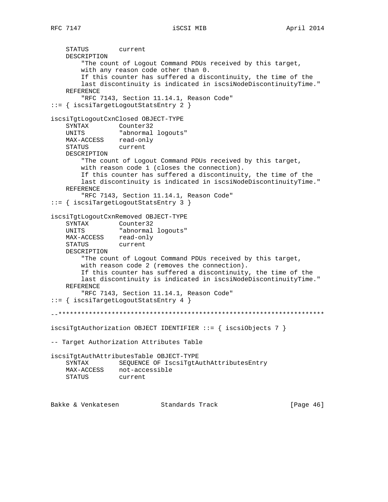STATUS current DESCRIPTION "The count of Logout Command PDUs received by this target, with any reason code other than 0. If this counter has suffered a discontinuity, the time of the last discontinuity is indicated in iscsiNodeDiscontinuityTime." REFERENCE "RFC 7143, Section 11.14.1, Reason Code" ::= { iscsiTargetLogoutStatsEntry 2 } iscsiTgtLogoutCxnClosed OBJECT-TYPE SYNTAX Counter32 UNITS "abnormal logouts" MAX-ACCESS read-only STATUS current DESCRIPTION "The count of Logout Command PDUs received by this target, with reason code 1 (closes the connection). If this counter has suffered a discontinuity, the time of the last discontinuity is indicated in iscsiNodeDiscontinuityTime." REFERENCE "RFC 7143, Section 11.14.1, Reason Code" ::= { iscsiTargetLogoutStatsEntry 3 } iscsiTgtLogoutCxnRemoved OBJECT-TYPE SYNTAX Counter32 UNITS "abnormal logouts" MAX-ACCESS read-only<br>STATUS current **STATUS**  DESCRIPTION "The count of Logout Command PDUs received by this target, with reason code 2 (removes the connection). If this counter has suffered a discontinuity, the time of the last discontinuity is indicated in iscsiNodeDiscontinuityTime." REFERENCE "RFC 7143, Section 11.14.1, Reason Code" ::= { iscsiTargetLogoutStatsEntry 4 } --\*\*\*\*\*\*\*\*\*\*\*\*\*\*\*\*\*\*\*\*\*\*\*\*\*\*\*\*\*\*\*\*\*\*\*\*\*\*\*\*\*\*\*\*\*\*\*\*\*\*\*\*\*\*\*\*\*\*\*\*\*\*\*\*\*\*\*\*\*\* iscsiTgtAuthorization OBJECT IDENTIFIER ::= { iscsiObjects 7 } -- Target Authorization Attributes Table iscsiTgtAuthAttributesTable OBJECT-TYPE SYNTAX SEQUENCE OF IscsiTgtAuthAttributesEntry MAX-ACCESS not-accessible STATUS current

Bakke & Venkatesen Standards Track [Page 46]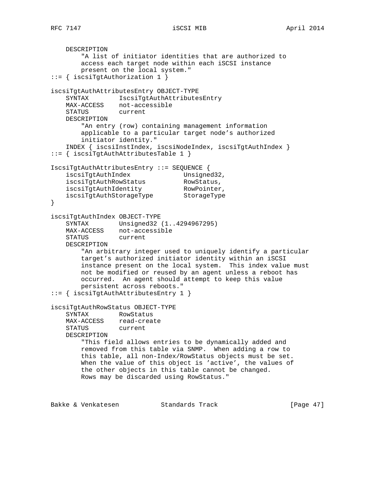```
 DESCRIPTION
        "A list of initiator identities that are authorized to
        access each target node within each iSCSI instance
        present on the local system."
::= { iscsiTgtAuthorization 1 }
iscsiTgtAuthAttributesEntry OBJECT-TYPE
    SYNTAX IscsiTgtAuthAttributesEntry
    MAX-ACCESS not-accessible
    STATUS current
    DESCRIPTION
        "An entry (row) containing management information
        applicable to a particular target node's authorized
        initiator identity."
    INDEX { iscsiInstIndex, iscsiNodeIndex, iscsiTgtAuthIndex }
::= { iscsiTgtAuthAttributesTable 1 }
IscsiTgtAuthAttributesEntry ::= SEQUENCE {
iscsiTgtAuthIndex Unsigned32,
iscsiTgtAuthRowStatus RowStatus,
 iscsiTgtAuthIdentity RowPointer,
 iscsiTgtAuthStorageType StorageType
}
iscsiTgtAuthIndex OBJECT-TYPE
 SYNTAX Unsigned32 (1..4294967295)
 MAX-ACCESS not-accessible
 STATUS current
    DESCRIPTION
        "An arbitrary integer used to uniquely identify a particular
        target's authorized initiator identity within an iSCSI
        instance present on the local system. This index value must
        not be modified or reused by an agent unless a reboot has
        occurred. An agent should attempt to keep this value
        persistent across reboots."
::= { iscsiTgtAuthAttributesEntry 1 }
iscsiTgtAuthRowStatus OBJECT-TYPE
    SYNTAX RowStatus
   MAX-ACCESS read-create<br>STATUS current
   STATUS
    DESCRIPTION
        "This field allows entries to be dynamically added and
        removed from this table via SNMP. When adding a row to
        this table, all non-Index/RowStatus objects must be set.
        When the value of this object is 'active', the values of
        the other objects in this table cannot be changed.
        Rows may be discarded using RowStatus."
```
Bakke & Venkatesen Standards Track [Page 47]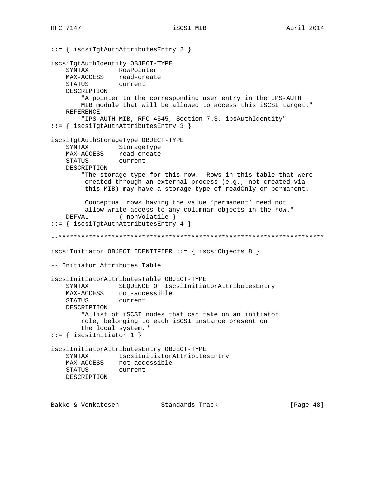::= { iscsiTgtAuthAttributesEntry 2 } iscsiTgtAuthIdentity OBJECT-TYPE SYNTAX RowPointer<br>MAX-ACCESS read-create read-create<br>current STATUS DESCRIPTION "A pointer to the corresponding user entry in the IPS-AUTH MIB module that will be allowed to access this iSCSI target." REFERENCE "IPS-AUTH MIB, RFC 4545, Section 7.3, ipsAuthIdentity" ::= { iscsiTgtAuthAttributesEntry 3 } iscsiTgtAuthStorageType OBJECT-TYPE SYNTAX StorageType MAX-ACCESS read-create<br>STATUS current STATUS DESCRIPTION "The storage type for this row. Rows in this table that were created through an external process (e.g., not created via this MIB) may have a storage type of readOnly or permanent. Conceptual rows having the value 'permanent' need not allow write access to any columnar objects in the row." DEFVAL { nonVolatile } ::= { iscsiTgtAuthAttributesEntry 4 } --\*\*\*\*\*\*\*\*\*\*\*\*\*\*\*\*\*\*\*\*\*\*\*\*\*\*\*\*\*\*\*\*\*\*\*\*\*\*\*\*\*\*\*\*\*\*\*\*\*\*\*\*\*\*\*\*\*\*\*\*\*\*\*\*\*\*\*\*\*\* iscsiInitiator OBJECT IDENTIFIER ::= { iscsiObjects 8 } -- Initiator Attributes Table iscsiInitiatorAttributesTable OBJECT-TYPE SYNTAX SEQUENCE OF IscsiInitiatorAttributesEntry MAX-ACCESS not-accessible STATUS current DESCRIPTION "A list of iSCSI nodes that can take on an initiator role, belonging to each iSCSI instance present on the local system." ::= { iscsiInitiator 1 } iscsiInitiatorAttributesEntry OBJECT-TYPE SYNTAX IscsiInitiatorAttributesEntry MAX-ACCESS not-accessible STATUS current DESCRIPTION

Bakke & Venkatesen Standards Track [Page 48]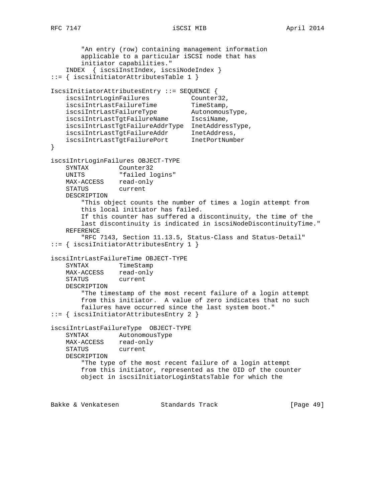```
 "An entry (row) containing management information
        applicable to a particular iSCSI node that has
        initiator capabilities."
    INDEX { iscsiInstIndex, iscsiNodeIndex }
::= { iscsiInitiatorAttributesTable 1 }
IscsiInitiatorAttributesEntry ::= SEQUENCE {
iscsiIntrLoginFailures Counter32,
iscsiIntrLastFailureTime TimeStamp,
iscsiIntrLastFailureType AutonomousType,
 iscsiIntrLastTgtFailureName IscsiName,
    iscsiIntrLastTgtFailureAddrType InetAddressType,
 iscsiIntrLastTgtFailureAddr InetAddress,
 iscsiIntrLastTgtFailurePort InetPortNumber
}
iscsiIntrLoginFailures OBJECT-TYPE
    SYNTAX Counter32
   UNITS "failed logins"
 MAX-ACCESS read-only
 STATUS current
    DESCRIPTION
        "This object counts the number of times a login attempt from
        this local initiator has failed.
        If this counter has suffered a discontinuity, the time of the
        last discontinuity is indicated in iscsiNodeDiscontinuityTime."
    REFERENCE
        "RFC 7143, Section 11.13.5, Status-Class and Status-Detail"
::= { iscsiInitiatorAttributesEntry 1 }
iscsiIntrLastFailureTime OBJECT-TYPE
    SYNTAX TimeStamp
 MAX-ACCESS read-only
 STATUS current
    DESCRIPTION
        "The timestamp of the most recent failure of a login attempt
        from this initiator. A value of zero indicates that no such
        failures have occurred since the last system boot."
::= { iscsiInitiatorAttributesEntry 2 }
iscsiIntrLastFailureType OBJECT-TYPE
    SYNTAX AutonomousType
    MAX-ACCESS read-only
    STATUS current
    DESCRIPTION
        "The type of the most recent failure of a login attempt
        from this initiator, represented as the OID of the counter
        object in iscsiInitiatorLoginStatsTable for which the
```
Bakke & Venkatesen Standards Track [Paqe 49]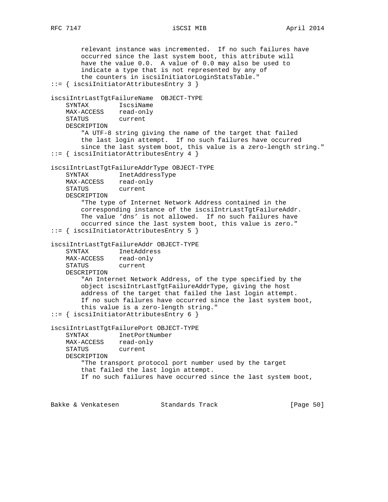relevant instance was incremented. If no such failures have occurred since the last system boot, this attribute will have the value 0.0. A value of 0.0 may also be used to indicate a type that is not represented by any of the counters in iscsiInitiatorLoginStatsTable." ::= { iscsiInitiatorAttributesEntry 3 } iscsiIntrLastTgtFailureName OBJECT-TYPE SYNTAX IscsiName MAX-ACCESS read-only STATUS current DESCRIPTION "A UTF-8 string giving the name of the target that failed the last login attempt. If no such failures have occurred since the last system boot, this value is a zero-length string." ::= { iscsiInitiatorAttributesEntry 4 } iscsiIntrLastTgtFailureAddrType OBJECT-TYPE SYNTAX InetAddressType MAX-ACCESS read-only STATUS current DESCRIPTION "The type of Internet Network Address contained in the corresponding instance of the iscsiIntrLastTgtFailureAddr. The value 'dns' is not allowed. If no such failures have occurred since the last system boot, this value is zero." ::= { iscsiInitiatorAttributesEntry 5 } iscsiIntrLastTgtFailureAddr OBJECT-TYPE SYNTAX InetAddress MAX-ACCESS read-only STATUS current DESCRIPTION "An Internet Network Address, of the type specified by the object iscsiIntrLastTgtFailureAddrType, giving the host address of the target that failed the last login attempt. If no such failures have occurred since the last system boot, this value is a zero-length string." ::= { iscsiInitiatorAttributesEntry 6 } iscsiIntrLastTgtFailurePort OBJECT-TYPE SYNTAX InetPortNumber MAX-ACCESS read-only STATUS current DESCRIPTION "The transport protocol port number used by the target that failed the last login attempt. If no such failures have occurred since the last system boot,

Bakke & Venkatesen Standards Track [Paqe 50]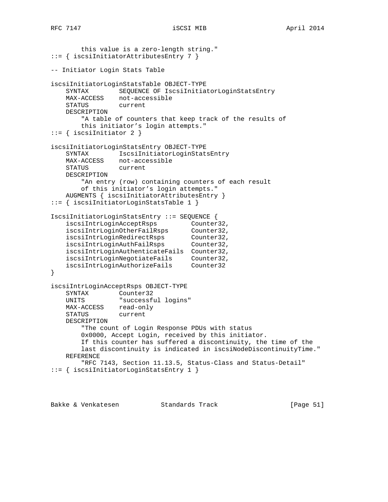```
 this value is a zero-length string."
::= { iscsiInitiatorAttributesEntry 7 }
-- Initiator Login Stats Table
iscsiInitiatorLoginStatsTable OBJECT-TYPE
    SYNTAX SEQUENCE OF IscsiInitiatorLoginStatsEntry
 MAX-ACCESS not-accessible
 STATUS current
    DESCRIPTION
        "A table of counters that keep track of the results of
        this initiator's login attempts."
::= { iscsiInitiator 2 }
iscsiInitiatorLoginStatsEntry OBJECT-TYPE
    SYNTAX IscsiInitiatorLoginStatsEntry
   MAX-ACCESS not-accessible<br>STATUS current
   STATUS
    DESCRIPTION
        "An entry (row) containing counters of each result
        of this initiator's login attempts."
    AUGMENTS { iscsiInitiatorAttributesEntry }
::= { iscsiInitiatorLoginStatsTable 1 }
IscsiInitiatorLoginStatsEntry ::= SEQUENCE {
 iscsiIntrLoginAcceptRsps Counter32,
 iscsiIntrLoginOtherFailRsps Counter32,
 iscsiIntrLoginRedirectRsps Counter32,
 iscsiIntrLoginAuthFailRsps Counter32,
    iscsiIntrLoginAuthenticateFails Counter32,
 iscsiIntrLoginNegotiateFails Counter32,
 iscsiIntrLoginAuthorizeFails Counter32
}
iscsiIntrLoginAcceptRsps OBJECT-TYPE
   SYNTAX Counter32
    UNITS "successful logins"
    MAX-ACCESS read-only
    STATUS current
    DESCRIPTION
        "The count of Login Response PDUs with status
        0x0000, Accept Login, received by this initiator.
        If this counter has suffered a discontinuity, the time of the
        last discontinuity is indicated in iscsiNodeDiscontinuityTime."
    REFERENCE
        "RFC 7143, Section 11.13.5, Status-Class and Status-Detail"
::= { iscsiInitiatorLoginStatsEntry 1 }
```
Bakke & Venkatesen Standards Track [Page 51]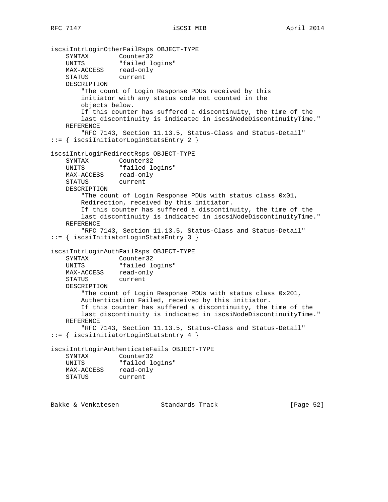iscsiIntrLoginOtherFailRsps OBJECT-TYPE SYNTAX Counter32 UNITS "failed logins" MAX-ACCESS read-only STATUS current DESCRIPTION "The count of Login Response PDUs received by this initiator with any status code not counted in the objects below. If this counter has suffered a discontinuity, the time of the last discontinuity is indicated in iscsiNodeDiscontinuityTime." REFERENCE "RFC 7143, Section 11.13.5, Status-Class and Status-Detail" ::= { iscsiInitiatorLoginStatsEntry 2 } iscsiIntrLoginRedirectRsps OBJECT-TYPE SYNTAX Counter32 UNITS "failed logins" MAX-ACCESS read-only STATUS current DESCRIPTION "The count of Login Response PDUs with status class 0x01, Redirection, received by this initiator. If this counter has suffered a discontinuity, the time of the last discontinuity is indicated in iscsiNodeDiscontinuityTime." REFERENCE "RFC 7143, Section 11.13.5, Status-Class and Status-Detail" ::= { iscsiInitiatorLoginStatsEntry 3 } iscsiIntrLoginAuthFailRsps OBJECT-TYPE SYNTAX Counter32 UNITS "failed logins" MAX-ACCESS read-only STATUS current DESCRIPTION "The count of Login Response PDUs with status class 0x201, Authentication Failed, received by this initiator. If this counter has suffered a discontinuity, the time of the last discontinuity is indicated in iscsiNodeDiscontinuityTime." REFERENCE "RFC 7143, Section 11.13.5, Status-Class and Status-Detail" ::= { iscsiInitiatorLoginStatsEntry 4 } iscsiIntrLoginAuthenticateFails OBJECT-TYPE SYNTAX Counter32 UNITS "failed logins" MAX-ACCESS read-only STATUS current

Bakke & Venkatesen Standards Track [Paqe 52]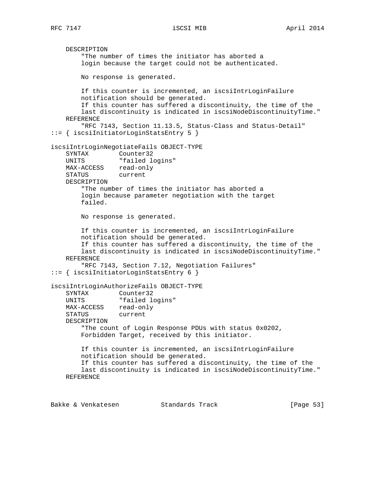DESCRIPTION "The number of times the initiator has aborted a login because the target could not be authenticated. No response is generated. If this counter is incremented, an iscsiIntrLoginFailure notification should be generated. If this counter has suffered a discontinuity, the time of the last discontinuity is indicated in iscsiNodeDiscontinuityTime." REFERENCE "RFC 7143, Section 11.13.5, Status-Class and Status-Detail" ::= { iscsiInitiatorLoginStatsEntry 5 } iscsiIntrLoginNegotiateFails OBJECT-TYPE SYNTAX Counter32 UNITS "failed logins" MAX-ACCESS read-only<br>STATUS current STATUS DESCRIPTION "The number of times the initiator has aborted a login because parameter negotiation with the target failed. No response is generated. If this counter is incremented, an iscsiIntrLoginFailure notification should be generated. If this counter has suffered a discontinuity, the time of the last discontinuity is indicated in iscsiNodeDiscontinuityTime." REFERENCE "RFC 7143, Section 7.12, Negotiation Failures" ::= { iscsiInitiatorLoginStatsEntry 6 } iscsiIntrLoginAuthorizeFails OBJECT-TYPE SYNTAX Counter32 UNITS "failed logins" MAX-ACCESS read-only STATUS current DESCRIPTION "The count of Login Response PDUs with status 0x0202, Forbidden Target, received by this initiator. If this counter is incremented, an iscsiIntrLoginFailure notification should be generated. If this counter has suffered a discontinuity, the time of the last discontinuity is indicated in iscsiNodeDiscontinuityTime." REFERENCE

Bakke & Venkatesen Standards Track [Page 53]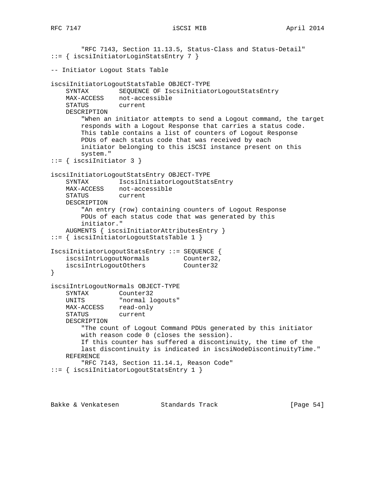```
 "RFC 7143, Section 11.13.5, Status-Class and Status-Detail"
::= { iscsiInitiatorLoginStatsEntry 7 }
-- Initiator Logout Stats Table
iscsiInitiatorLogoutStatsTable OBJECT-TYPE
    SYNTAX SEQUENCE OF IscsiInitiatorLogoutStatsEntry
 MAX-ACCESS not-accessible
 STATUS current
    DESCRIPTION
        "When an initiator attempts to send a Logout command, the target
        responds with a Logout Response that carries a status code.
        This table contains a list of counters of Logout Response
        PDUs of each status code that was received by each
        initiator belonging to this iSCSI instance present on this
        system."
::= { iscsiInitiator 3 }
iscsiInitiatorLogoutStatsEntry OBJECT-TYPE
    SYNTAX IscsiInitiatorLogoutStatsEntry
    MAX-ACCESS not-accessible
    STATUS current
    DESCRIPTION
        "An entry (row) containing counters of Logout Response
        PDUs of each status code that was generated by this
        initiator."
    AUGMENTS { iscsiInitiatorAttributesEntry }
::= { iscsiInitiatorLogoutStatsTable 1 }
IscsiInitiatorLogoutStatsEntry ::= SEQUENCE {
iscsiIntrLogoutNormals Counter32,
 iscsiIntrLogoutOthers Counter32
}
iscsiIntrLogoutNormals OBJECT-TYPE
    SYNTAX Counter32
   UNITS "normal logouts"
   MAX-ACCESS read-only
    STATUS current
    DESCRIPTION
        "The count of Logout Command PDUs generated by this initiator
        with reason code 0 (closes the session).
        If this counter has suffered a discontinuity, the time of the
        last discontinuity is indicated in iscsiNodeDiscontinuityTime."
    REFERENCE
        "RFC 7143, Section 11.14.1, Reason Code"
::= { iscsiInitiatorLogoutStatsEntry 1 }
```
Bakke & Venkatesen Standards Track [Page 54]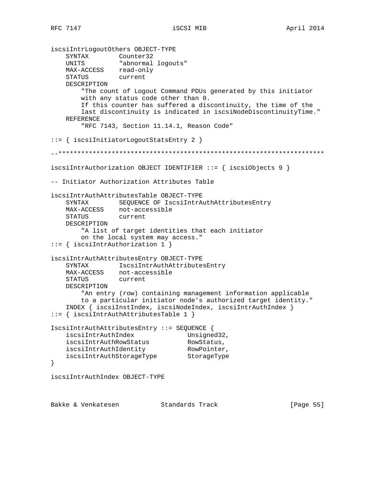```
iscsiIntrLogoutOthers OBJECT-TYPE
 SYNTAX Counter32
 UNITS "abnormal logouts"
 MAX-ACCESS read-only
 STATUS current
    DESCRIPTION
        "The count of Logout Command PDUs generated by this initiator
        with any status code other than 0.
        If this counter has suffered a discontinuity, the time of the
        last discontinuity is indicated in iscsiNodeDiscontinuityTime."
    REFERENCE
        "RFC 7143, Section 11.14.1, Reason Code"
::= { iscsiInitiatorLogoutStatsEntry 2 }
--**********************************************************************
iscsiIntrAuthorization OBJECT IDENTIFIER ::= { iscsiObjects 9 }
-- Initiator Authorization Attributes Table
iscsiIntrAuthAttributesTable OBJECT-TYPE
    SYNTAX SEQUENCE OF IscsiIntrAuthAttributesEntry
   MAX-ACCESS not-accessible<br>STATUS current
   STATUS
    DESCRIPTION
        "A list of target identities that each initiator
        on the local system may access."
::= { iscsiIntrAuthorization 1 }
iscsiIntrAuthAttributesEntry OBJECT-TYPE
    SYNTAX IscsiIntrAuthAttributesEntry
 MAX-ACCESS not-accessible
 STATUS current
    DESCRIPTION
        "An entry (row) containing management information applicable
        to a particular initiator node's authorized target identity."
    INDEX { iscsiInstIndex, iscsiNodeIndex, iscsiIntrAuthIndex }
::= { iscsiIntrAuthAttributesTable 1 }
IscsiIntrAuthAttributesEntry ::= SEQUENCE {
   iscsiIntrAuthIndex Unsigned32,
iscsiIntrAuthRowStatus RowStatus,
 iscsiIntrAuthIdentity RowPointer,
 iscsiIntrAuthStorageType StorageType
}
iscsiIntrAuthIndex OBJECT-TYPE
Bakke & Venkatesen Standards Track [Page 55]
```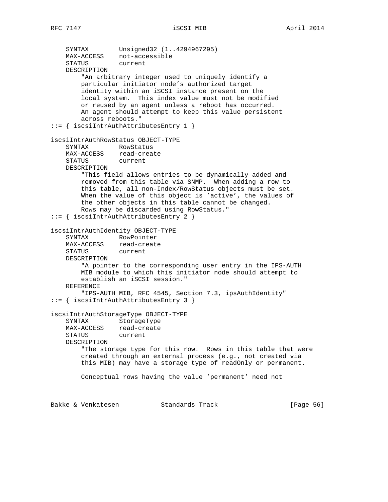SYNTAX Unsigned32 (1..4294967295) MAX-ACCESS not-accessible STATUS current DESCRIPTION "An arbitrary integer used to uniquely identify a particular initiator node's authorized target identity within an iSCSI instance present on the local system. This index value must not be modified or reused by an agent unless a reboot has occurred. An agent should attempt to keep this value persistent across reboots." ::= { iscsiIntrAuthAttributesEntry 1 } iscsiIntrAuthRowStatus OBJECT-TYPE SYNTAX RowStatus MAX-ACCESS read-create<br>STATUS current STATUS DESCRIPTION "This field allows entries to be dynamically added and removed from this table via SNMP. When adding a row to this table, all non-Index/RowStatus objects must be set. When the value of this object is 'active', the values of the other objects in this table cannot be changed. Rows may be discarded using RowStatus." ::= { iscsiIntrAuthAttributesEntry 2 } iscsiIntrAuthIdentity OBJECT-TYPE SYNTAX RowPointer<br>MAX-ACCESS read-creat read-create<br>current STATUS DESCRIPTION "A pointer to the corresponding user entry in the IPS-AUTH MIB module to which this initiator node should attempt to establish an iSCSI session." REFERENCE "IPS-AUTH MIB, RFC 4545, Section 7.3, ipsAuthIdentity" ::= { iscsiIntrAuthAttributesEntry 3 } iscsiIntrAuthStorageType OBJECT-TYPE SYNTAX StorageType MAX-ACCESS read-create STATUS current DESCRIPTION "The storage type for this row. Rows in this table that were created through an external process (e.g., not created via this MIB) may have a storage type of readOnly or permanent. Conceptual rows having the value 'permanent' need not Bakke & Venkatesen Standards Track [Paqe 56]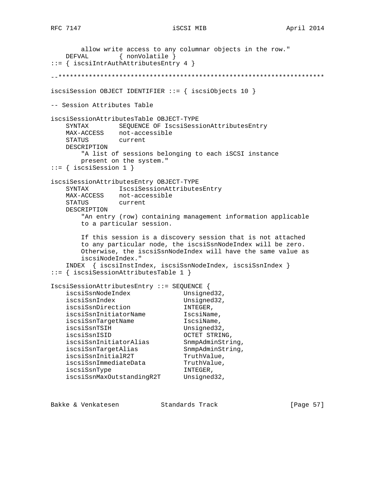allow write access to any columnar objects in the row." DEFVAL { nonVolatile } ::= { iscsiIntrAuthAttributesEntry 4 } --\*\*\*\*\*\*\*\*\*\*\*\*\*\*\*\*\*\*\*\*\*\*\*\*\*\*\*\*\*\*\*\*\*\*\*\*\*\*\*\*\*\*\*\*\*\*\*\*\*\*\*\*\*\*\*\*\*\*\*\*\*\*\*\*\*\*\*\*\*\* iscsiSession OBJECT IDENTIFIER ::= { iscsiObjects 10 } -- Session Attributes Table iscsiSessionAttributesTable OBJECT-TYPE SYNTAX SEQUENCE OF IscsiSessionAttributesEntry MAX-ACCESS not-accessible STATUS current DESCRIPTION "A list of sessions belonging to each iSCSI instance present on the system."  $::=$  { iscsiSession 1 } iscsiSessionAttributesEntry OBJECT-TYPE SYNTAX IscsiSessionAttributesEntry MAX-ACCESS not-accessible STATUS current DESCRIPTION "An entry (row) containing management information applicable to a particular session. If this session is a discovery session that is not attached to any particular node, the iscsiSsnNodeIndex will be zero. Otherwise, the iscsiSsnNodeIndex will have the same value as iscsiNodeIndex." INDEX { iscsiInstIndex, iscsiSsnNodeIndex, iscsiSsnIndex } ::= { iscsiSessionAttributesTable 1 } IscsiSessionAttributesEntry ::= SEQUENCE {<br>iscsiSsnNodeIndex Unsigned32. iscsiSsnNodeIndex iscsiSsnIndex Unsigned32, iscsiSsnDirection INTEGER, iscsiSsnInitiatorName IscsiName, iscsiSsnTargetName IscsiName, iscsiSsnTSIH Unsigned32, iscsiSsnISID OCTET STRING, iscsiSsnInitiatorAlias SnmpAdminString, iscsiSsnTargetAlias SnmpAdminString, iscsiSsnInitialR2T TruthValue, iscsiSsnImmediateData TruthValue, iscsiSsnType INTEGER, iscsiSsnMaxOutstandingR2T Unsigned32,

Bakke & Venkatesen Standards Track [Page 57]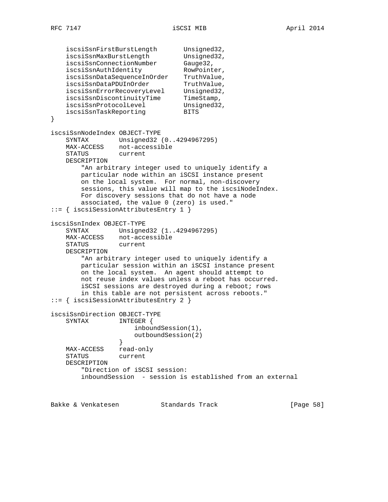iscsiSsnFirstBurstLength Unsigned32, iscsiSsnMaxBurstLength Unsigned32, iscsiSsnConnectionNumber Gauge32, iscsiSsnAuthIdentity RowPointer, iscsiSsnDataSequenceInOrder TruthValue, iscsiSsnDataPDUInOrder TruthValue, iscsiSsnErrorRecoveryLevel Unsigned32, iscsiSsnDiscontinuityTime TimeStamp, iscsiSsnProtocolLevel Unsigned32, iscsiSsnTaskReporting BITS } iscsiSsnNodeIndex OBJECT-TYPE SYNTAX Unsigned32 (0..4294967295) MAX-ACCESS not-accessible STATUS current DESCRIPTION "An arbitrary integer used to uniquely identify a particular node within an iSCSI instance present on the local system. For normal, non-discovery sessions, this value will map to the iscsiNodeIndex. For discovery sessions that do not have a node associated, the value 0 (zero) is used." ::= { iscsiSessionAttributesEntry 1 } iscsiSsnIndex OBJECT-TYPE SYNTAX Unsigned32 (1..4294967295) MAX-ACCESS not-accessible STATUS current DESCRIPTION "An arbitrary integer used to uniquely identify a particular session within an iSCSI instance present on the local system. An agent should attempt to not reuse index values unless a reboot has occurred. iSCSI sessions are destroyed during a reboot; rows in this table are not persistent across reboots." ::= { iscsiSessionAttributesEntry 2 } iscsiSsnDirection OBJECT-TYPE SYNTAX INTEGER { inboundSession(1), outboundSession(2) } MAX-ACCESS read-only STATUS current DESCRIPTION "Direction of iSCSI session: inboundSession - session is established from an external

Bakke & Venkatesen Standards Track [Paqe 58]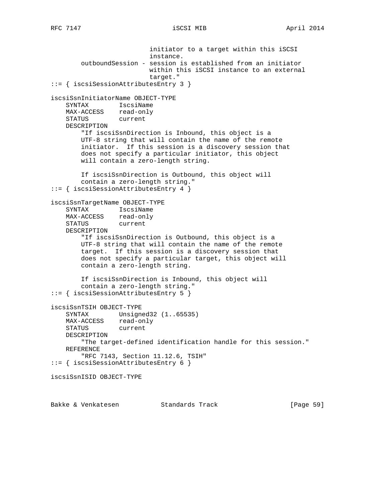initiator to a target within this iSCSI instance. outboundSession - session is established from an initiator within this iSCSI instance to an external target." ::= { iscsiSessionAttributesEntry 3 } iscsiSsnInitiatorName OBJECT-TYPE SYNTAX IscsiName MAX-ACCESS read-only STATUS current DESCRIPTION "If iscsiSsnDirection is Inbound, this object is a UTF-8 string that will contain the name of the remote initiator. If this session is a discovery session that does not specify a particular initiator, this object will contain a zero-length string. If iscsiSsnDirection is Outbound, this object will contain a zero-length string." ::= { iscsiSessionAttributesEntry 4 } iscsiSsnTargetName OBJECT-TYPE SYNTAX IscsiName MAX-ACCESS read-only STATUS current DESCRIPTION "If iscsiSsnDirection is Outbound, this object is a UTF-8 string that will contain the name of the remote target. If this session is a discovery session that does not specify a particular target, this object will contain a zero-length string. If iscsiSsnDirection is Inbound, this object will contain a zero-length string." ::= { iscsiSessionAttributesEntry 5 } iscsiSsnTSIH OBJECT-TYPE SYNTAX Unsigned32 (1..65535) MAX-ACCESS read-only<br>STATUS current STATUS DESCRIPTION "The target-defined identification handle for this session." REFERENCE "RFC 7143, Section 11.12.6, TSIH" ::= { iscsiSessionAttributesEntry 6 } iscsiSsnISID OBJECT-TYPE

Bakke & Venkatesen Standards Track [Page 59]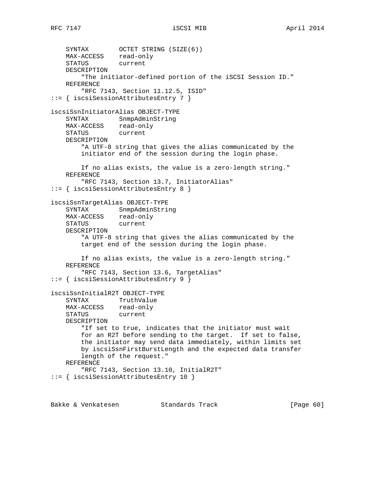```
 SYNTAX OCTET STRING (SIZE(6))
 MAX-ACCESS read-only
 STATUS current
    DESCRIPTION
         "The initiator-defined portion of the iSCSI Session ID."
    REFERENCE
        "RFC 7143, Section 11.12.5, ISID"
::= { iscsiSessionAttributesEntry 7 }
iscsiSsnInitiatorAlias OBJECT-TYPE
    SYNTAX SnmpAdminString
 MAX-ACCESS read-only
 STATUS current
    DESCRIPTION
         "A UTF-8 string that gives the alias communicated by the
        initiator end of the session during the login phase.
        If no alias exists, the value is a zero-length string."
    REFERENCE
        "RFC 7143, Section 13.7, InitiatorAlias"
::= { iscsiSessionAttributesEntry 8 }
iscsiSsnTargetAlias OBJECT-TYPE
   SYNTAX SnmpAdminString<br>
MAX-ACCESS read-only
   MAX-ACCESS
    STATUS current
    DESCRIPTION
         "A UTF-8 string that gives the alias communicated by the
        target end of the session during the login phase.
        If no alias exists, the value is a zero-length string."
    REFERENCE
         "RFC 7143, Section 13.6, TargetAlias"
::= { iscsiSessionAttributesEntry 9 }
iscsiSsnInitialR2T OBJECT-TYPE
    SYNTAX TruthValue
 MAX-ACCESS read-only
 STATUS current
    DESCRIPTION
        "If set to true, indicates that the initiator must wait
        for an R2T before sending to the target. If set to false,
        the initiator may send data immediately, within limits set
        by iscsiSsnFirstBurstLength and the expected data transfer
        length of the request."
    REFERENCE
         "RFC 7143, Section 13.10, InitialR2T"
::= { iscsiSessionAttributesEntry 10 }
```
Bakke & Venkatesen Standards Track [Page 60]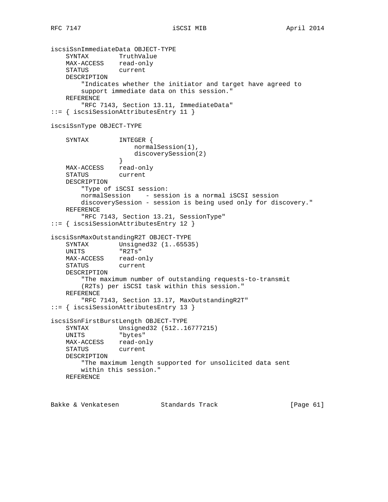```
iscsiSsnImmediateData OBJECT-TYPE
 SYNTAX TruthValue
 MAX-ACCESS read-only
 STATUS current
    DESCRIPTION
        "Indicates whether the initiator and target have agreed to
        support immediate data on this session."
    REFERENCE
        "RFC 7143, Section 13.11, ImmediateData"
::= { iscsiSessionAttributesEntry 11 }
iscsiSsnType OBJECT-TYPE
    SYNTAX INTEGER {
                     normalSession(1),
                     discoverySession(2)
 }
    MAX-ACCESS read-only
    STATUS current
    DESCRIPTION
        "Type of iSCSI session:
        normalSession - session is a normal iSCSI session
        discoverySession - session is being used only for discovery."
    REFERENCE
        "RFC 7143, Section 13.21, SessionType"
::= { iscsiSessionAttributesEntry 12 }
iscsiSsnMaxOutstandingR2T OBJECT-TYPE
 SYNTAX Unsigned32 (1..65535)
 UNITS "R2Ts"
 MAX-ACCESS read-only
 STATUS current
    DESCRIPTION
        "The maximum number of outstanding requests-to-transmit
        (R2Ts) per iSCSI task within this session."
    REFERENCE
        "RFC 7143, Section 13.17, MaxOutstandingR2T"
::= { iscsiSessionAttributesEntry 13 }
iscsiSsnFirstBurstLength OBJECT-TYPE
    SYNTAX Unsigned32 (512..16777215)
    UNITS "bytes"
    MAX-ACCESS read-only
    STATUS current
    DESCRIPTION
        "The maximum length supported for unsolicited data sent
        within this session."
    REFERENCE
```
Bakke & Venkatesen Standards Track [Paqe 61]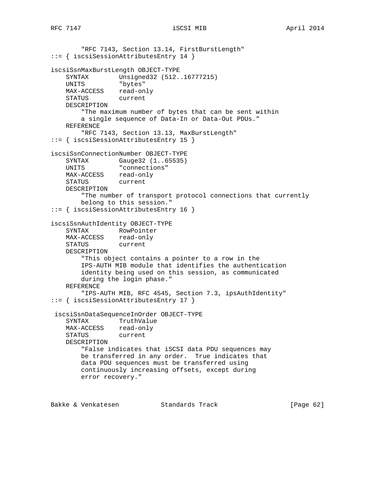```
 "RFC 7143, Section 13.14, FirstBurstLength"
::= { iscsiSessionAttributesEntry 14 }
iscsiSsnMaxBurstLength OBJECT-TYPE
 SYNTAX Unsigned32 (512..16777215)
 UNITS "bytes"
    MAX-ACCESS read-only
    STATUS current
    DESCRIPTION
        "The maximum number of bytes that can be sent within
        a single sequence of Data-In or Data-Out PDUs."
    REFERENCE
        "RFC 7143, Section 13.13, MaxBurstLength"
::= { iscsiSessionAttributesEntry 15 }
iscsiSsnConnectionNumber OBJECT-TYPE
 SYNTAX Gauge32 (1..65535)
 UNITS "connections"
    MAX-ACCESS read-only
    STATUS current
    DESCRIPTION
        "The number of transport protocol connections that currently
        belong to this session."
::= { iscsiSessionAttributesEntry 16 }
iscsiSsnAuthIdentity OBJECT-TYPE
 SYNTAX RowPointer
 MAX-ACCESS read-only
    STATUS current
    DESCRIPTION
        "This object contains a pointer to a row in the
        IPS-AUTH MIB module that identifies the authentication
        identity being used on this session, as communicated
        during the login phase."
    REFERENCE
        "IPS-AUTH MIB, RFC 4545, Section 7.3, ipsAuthIdentity"
::= { iscsiSessionAttributesEntry 17 }
 iscsiSsnDataSequenceInOrder OBJECT-TYPE
    SYNTAX TruthValue
   MAX-ACCESS read-only<br>STATUS current
   STATUS
    DESCRIPTION
        "False indicates that iSCSI data PDU sequences may
        be transferred in any order. True indicates that
        data PDU sequences must be transferred using
        continuously increasing offsets, except during
        error recovery."
```
Bakke & Venkatesen Standards Track [Paqe 62]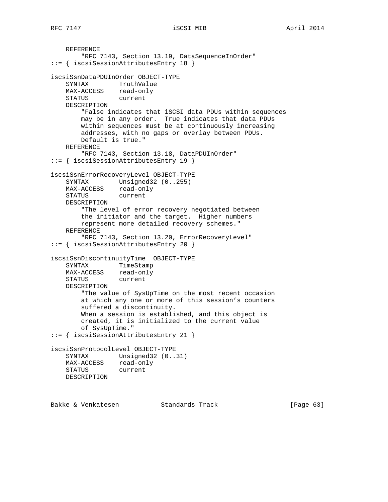```
 REFERENCE
        "RFC 7143, Section 13.19, DataSequenceInOrder"
::= { iscsiSessionAttributesEntry 18 }
iscsiSsnDataPDUInOrder OBJECT-TYPE
    SYNTAX TruthValue
 MAX-ACCESS read-only
 STATUS current
    DESCRIPTION
        "False indicates that iSCSI data PDUs within sequences
        may be in any order. True indicates that data PDUs
        within sequences must be at continuously increasing
        addresses, with no gaps or overlay between PDUs.
        Default is true."
    REFERENCE
        "RFC 7143, Section 13.18, DataPDUInOrder"
::= { iscsiSessionAttributesEntry 19 }
iscsiSsnErrorRecoveryLevel OBJECT-TYPE
   SYNTAX Unsigned32 (0..255)
    MAX-ACCESS read-only
    STATUS current
    DESCRIPTION
        "The level of error recovery negotiated between
        the initiator and the target. Higher numbers
        represent more detailed recovery schemes."
    REFERENCE
        "RFC 7143, Section 13.20, ErrorRecoveryLevel"
::= { iscsiSessionAttributesEntry 20 }
iscsiSsnDiscontinuityTime OBJECT-TYPE
    SYNTAX TimeStamp
 MAX-ACCESS read-only
 STATUS current
    DESCRIPTION
        "The value of SysUpTime on the most recent occasion
        at which any one or more of this session's counters
        suffered a discontinuity.
        When a session is established, and this object is
        created, it is initialized to the current value
        of SysUpTime."
::= { iscsiSessionAttributesEntry 21 }
iscsiSsnProtocolLevel OBJECT-TYPE
   SYNTAX Unsigned32 (0..31)
    MAX-ACCESS read-only
    STATUS current
    DESCRIPTION
```
Bakke & Venkatesen Standards Track [Page 63]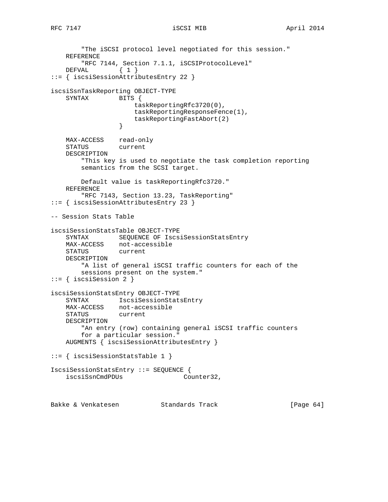"The iSCSI protocol level negotiated for this session." REFERENCE "RFC 7144, Section 7.1.1, iSCSIProtocolLevel" DEFVAL { 1 } ::= { iscsiSessionAttributesEntry 22 } iscsiSsnTaskReporting OBJECT-TYPE SYNTAX BITS { taskReportingRfc3720(0), taskReportingResponseFence(1), taskReportingFastAbort(2)<br>} } MAX-ACCESS read-only STATUS current DESCRIPTION "This key is used to negotiate the task completion reporting semantics from the SCSI target. Default value is taskReportingRfc3720." REFERENCE "RFC 7143, Section 13.23, TaskReporting" ::= { iscsiSessionAttributesEntry 23 } -- Session Stats Table iscsiSessionStatsTable OBJECT-TYPE SYNTAX SEQUENCE OF IscsiSessionStatsEntry MAX-ACCESS not-accessible<br>STATUS current STATUS DESCRIPTION "A list of general iSCSI traffic counters for each of the sessions present on the system." ::= { iscsiSession 2 } iscsiSessionStatsEntry OBJECT-TYPE SYNTAX IscsiSessionStatsEntry MAX-ACCESS not-accessible STATUS current DESCRIPTION "An entry (row) containing general iSCSI traffic counters for a particular session." AUGMENTS { iscsiSessionAttributesEntry } ::= { iscsiSessionStatsTable 1 } IscsiSessionStatsEntry ::= SEQUENCE { iscsiSsnCmdPDUs Counter32, Bakke & Venkatesen Standards Track [Page 64]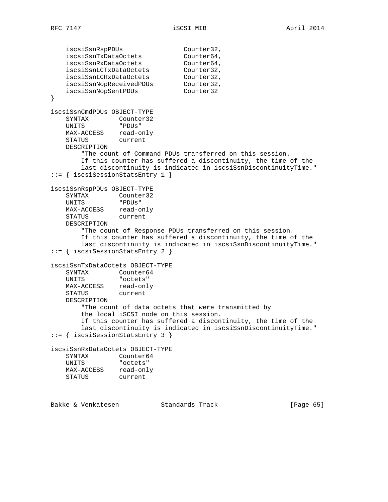```
iscsiSsnRspPDUs Counter32,
 iscsiSsnTxDataOctets Counter64,
 iscsiSsnRxDataOctets Counter64,
 iscsiSsnLCTxDataOctets Counter32,
 iscsiSsnLCRxDataOctets Counter32,
 iscsiSsnNopReceivedPDUs Counter32,
 iscsiSsnNopSentPDUs Counter32
}
iscsiSsnCmdPDUs OBJECT-TYPE
 SYNTAX Counter32
 UNITS "PDUs"
   MAX-ACCESS read-only
    STATUS current
    DESCRIPTION
        "The count of Command PDUs transferred on this session.
       If this counter has suffered a discontinuity, the time of the
       last discontinuity is indicated in iscsiSsnDiscontinuityTime."
::= { iscsiSessionStatsEntry 1 }
iscsiSsnRspPDUs OBJECT-TYPE
 SYNTAX Counter32
 UNITS "PDUs"
 MAX-ACCESS read-only
 STATUS current
    DESCRIPTION
        "The count of Response PDUs transferred on this session.
       If this counter has suffered a discontinuity, the time of the
       last discontinuity is indicated in iscsiSsnDiscontinuityTime."
::= { iscsiSessionStatsEntry 2 }
iscsiSsnTxDataOctets OBJECT-TYPE
   SYNTAX Counter64
    UNITS "octets"
 MAX-ACCESS read-only
 STATUS current
    DESCRIPTION
        "The count of data octets that were transmitted by
        the local iSCSI node on this session.
        If this counter has suffered a discontinuity, the time of the
       last discontinuity is indicated in iscsiSsnDiscontinuityTime."
::= { iscsiSessionStatsEntry 3 }
iscsiSsnRxDataOctets OBJECT-TYPE
SYNTAX Counter64
 UNITS "octets"
 MAX-ACCESS read-only
 STATUS current
```
Bakke & Venkatesen Standards Track [Page 65]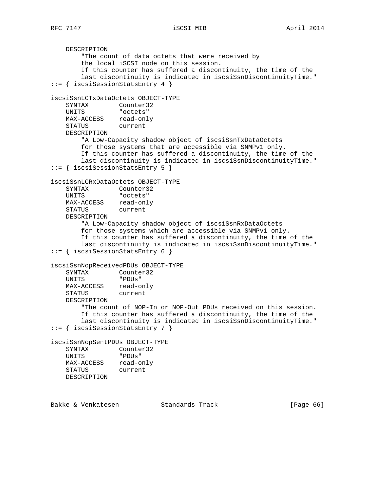RFC 7147 **iSCSI MIB http://wikiprover.com/iSCSI MIB April 2014** 

 DESCRIPTION "The count of data octets that were received by the local iSCSI node on this session. If this counter has suffered a discontinuity, the time of the last discontinuity is indicated in iscsiSsnDiscontinuityTime." ::= { iscsiSessionStatsEntry 4 } iscsiSsnLCTxDataOctets OBJECT-TYPE SYNTAX Counter32 UNITS "octets" MAX-ACCESS read-only STATUS current DESCRIPTION "A Low-Capacity shadow object of iscsiSsnTxDataOctets for those systems that are accessible via SNMPv1 only. If this counter has suffered a discontinuity, the time of the last discontinuity is indicated in iscsiSsnDiscontinuityTime." ::= { iscsiSessionStatsEntry 5 } iscsiSsnLCRxDataOctets OBJECT-TYPE SYNTAX Counter32 UNITS "octets" MAX-ACCESS read-only STATUS current DESCRIPTION "A Low-Capacity shadow object of iscsiSsnRxDataOctets for those systems which are accessible via SNMPv1 only. If this counter has suffered a discontinuity, the time of the last discontinuity is indicated in iscsiSsnDiscontinuityTime." ::= { iscsiSessionStatsEntry 6 } iscsiSsnNopReceivedPDUs OBJECT-TYPE SYNTAX Counter32 UNITS "PDUs" MAX-ACCESS read-only STATUS current DESCRIPTION "The count of NOP-In or NOP-Out PDUs received on this session. If this counter has suffered a discontinuity, the time of the last discontinuity is indicated in iscsiSsnDiscontinuityTime." ::= { iscsiSessionStatsEntry 7 } iscsiSsnNopSentPDUs OBJECT-TYPE SYNTAX Counter32 UNITS "PDUs" MAX-ACCESS read-only STATUS current DESCRIPTION Bakke & Venkatesen Standards Track [Page 66]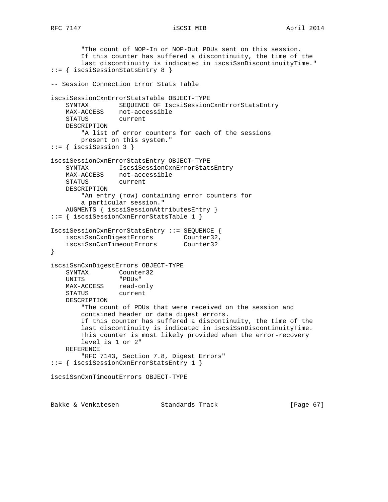```
 "The count of NOP-In or NOP-Out PDUs sent on this session.
        If this counter has suffered a discontinuity, the time of the
        last discontinuity is indicated in iscsiSsnDiscontinuityTime."
::= { iscsiSessionStatsEntry 8 }
-- Session Connection Error Stats Table
iscsiSessionCxnErrorStatsTable OBJECT-TYPE
    SYNTAX SEQUENCE OF IscsiSessionCxnErrorStatsEntry
 MAX-ACCESS not-accessible
 STATUS current
    DESCRIPTION
        "A list of error counters for each of the sessions
        present on this system."
::= { iscsiSession 3 }
iscsiSessionCxnErrorStatsEntry OBJECT-TYPE
    SYNTAX IscsiSessionCxnErrorStatsEntry
    MAX-ACCESS not-accessible
    STATUS current
    DESCRIPTION
        "An entry (row) containing error counters for
        a particular session."
    AUGMENTS { iscsiSessionAttributesEntry }
::= { iscsiSessionCxnErrorStatsTable 1 }
IscsiSessionCxnErrorStatsEntry ::= SEQUENCE {
 iscsiSsnCxnDigestErrors Counter32,
 iscsiSsnCxnTimeoutErrors Counter32
}
iscsiSsnCxnDigestErrors OBJECT-TYPE
   SYNTAX Counter32
    UNITS "PDUs"
 MAX-ACCESS read-only
 STATUS current
    DESCRIPTION
        "The count of PDUs that were received on the session and
        contained header or data digest errors.
        If this counter has suffered a discontinuity, the time of the
        last discontinuity is indicated in iscsiSsnDiscontinuityTime.
        This counter is most likely provided when the error-recovery
        level is 1 or 2"
    REFERENCE
        "RFC 7143, Section 7.8, Digest Errors"
::= { iscsiSessionCxnErrorStatsEntry 1 }
iscsiSsnCxnTimeoutErrors OBJECT-TYPE
```
Bakke & Venkatesen Standards Track [Page 67]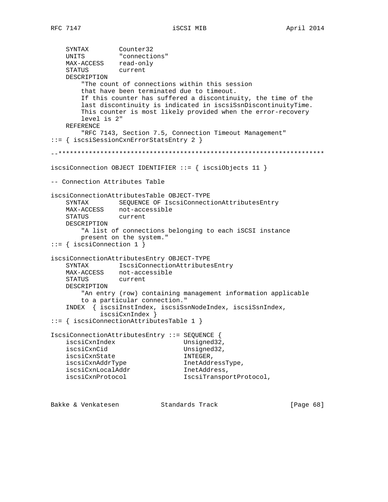```
 SYNTAX Counter32
 UNITS "connections"
 MAX-ACCESS read-only
 STATUS current
    DESCRIPTION
        "The count of connections within this session
        that have been terminated due to timeout.
        If this counter has suffered a discontinuity, the time of the
        last discontinuity is indicated in iscsiSsnDiscontinuityTime.
        This counter is most likely provided when the error-recovery
        level is 2"
    REFERENCE
        "RFC 7143, Section 7.5, Connection Timeout Management"
::= { iscsiSessionCxnErrorStatsEntry 2 }
--**********************************************************************
iscsiConnection OBJECT IDENTIFIER ::= { iscsiObjects 11 }
-- Connection Attributes Table
iscsiConnectionAttributesTable OBJECT-TYPE
    SYNTAX SEQUENCE OF IscsiConnectionAttributesEntry
    MAX-ACCESS not-accessible
    STATUS current
    DESCRIPTION
        "A list of connections belonging to each iSCSI instance
        present on the system."
::= { iscsiConnection 1 }
iscsiConnectionAttributesEntry OBJECT-TYPE
    SYNTAX IscsiConnectionAttributesEntry
 MAX-ACCESS not-accessible
 STATUS current
    DESCRIPTION
        "An entry (row) containing management information applicable
        to a particular connection."
    INDEX { iscsiInstIndex, iscsiSsnNodeIndex, iscsiSsnIndex,
             iscsiCxnIndex }
::= { iscsiConnectionAttributesTable 1 }
IscsiConnectionAttributesEntry ::= SEQUENCE {
   iscsiCxnIndex Unsigned32,
    iscsiCxnCid Unsigned32,
   iscsiCxnState INTEGER,
   iscsiCxnAddrType InetAddressType,<br>iscsiCxnLocalAddr                   InetAddress,
iscsiCxnLocalAddr 1netAddress,
iscsiCxnProtocol 1scsiTransportProtocol,
```
Bakke & Venkatesen Standards Track [Page 68]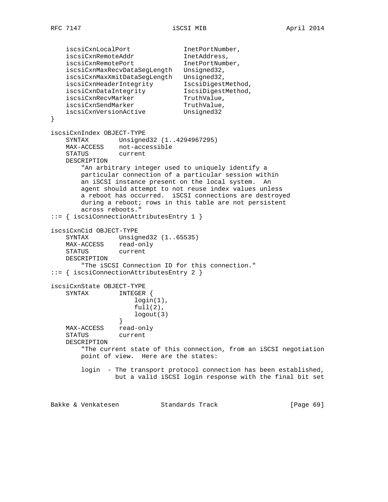iscsiCxnLocalPort 1netPortNumber, iscsiCxnRemoteAddr InetAddress, iscsiCxnRemotePort 1netPortNumber, iscsiCxnMaxRecvDataSegLength Unsigned32, iscsiCxnMaxXmitDataSegLength Unsigned32, iscsiCxnHeaderIntegrity IscsiDigestMethod, iscsiCxnDataIntegrity IscsiDigestMethod, iscsiCxnRecvMarker TruthValue, iscsiCxnSendMarker TruthValue, iscsiCxnVersionActive Unsigned32 } iscsiCxnIndex OBJECT-TYPE SYNTAX Unsigned32 (1..4294967295) MAX-ACCESS not-accessible STATUS current DESCRIPTION "An arbitrary integer used to uniquely identify a particular connection of a particular session within an iSCSI instance present on the local system. An agent should attempt to not reuse index values unless a reboot has occurred. iSCSI connections are destroyed during a reboot; rows in this table are not persistent across reboots." ::= { iscsiConnectionAttributesEntry 1 } iscsiCxnCid OBJECT-TYPE SYNTAX Unsigned32 (1..65535) MAX-ACCESS read-only STATUS current DESCRIPTION "The iSCSI Connection ID for this connection." ::= { iscsiConnectionAttributesEntry 2 } iscsiCxnState OBJECT-TYPE SYNTAX INTEGER { login(1),  $full(2)$ , logout(3) } MAX-ACCESS read-only<br>STATUS current STATUS DESCRIPTION "The current state of this connection, from an iSCSI negotiation point of view. Here are the states: login - The transport protocol connection has been established, but a valid iSCSI login response with the final bit set Bakke & Venkatesen Standards Track [Page 69]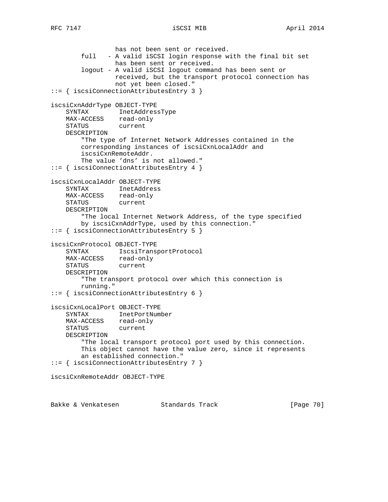has not been sent or received. full - A valid iSCSI login response with the final bit set has been sent or received. logout - A valid iSCSI logout command has been sent or received, but the transport protocol connection has not yet been closed." ::= { iscsiConnectionAttributesEntry 3 } iscsiCxnAddrType OBJECT-TYPE SYNTAX InetAddressType MAX-ACCESS read-only STATUS current DESCRIPTION "The type of Internet Network Addresses contained in the corresponding instances of iscsiCxnLocalAddr and iscsiCxnRemoteAddr. The value 'dns' is not allowed." ::= { iscsiConnectionAttributesEntry 4 } iscsiCxnLocalAddr OBJECT-TYPE SYNTAX InetAddress MAX-ACCESS read-only STATUS current DESCRIPTION "The local Internet Network Address, of the type specified by iscsiCxnAddrType, used by this connection." ::= { iscsiConnectionAttributesEntry 5 } iscsiCxnProtocol OBJECT-TYPE SYNTAX IscsiTransportProtocol MAX-ACCESS read-only STATUS current DESCRIPTION "The transport protocol over which this connection is running." ::= { iscsiConnectionAttributesEntry 6 } iscsiCxnLocalPort OBJECT-TYPE SYNTAX InetPortNumber MAX-ACCESS read-only<br>STATUS current STATUS DESCRIPTION "The local transport protocol port used by this connection. This object cannot have the value zero, since it represents an established connection." ::= { iscsiConnectionAttributesEntry 7 } iscsiCxnRemoteAddr OBJECT-TYPE

Bakke & Venkatesen Standards Track [Paqe 70]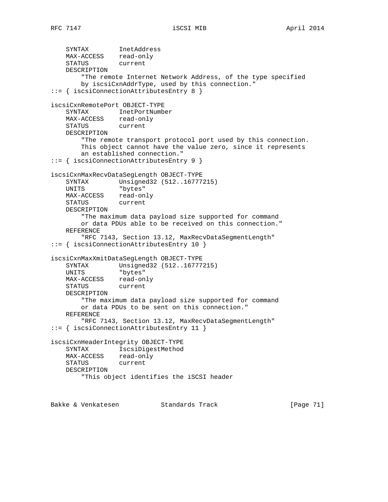SYNTAX InetAddress MAX-ACCESS read-only STATUS current DESCRIPTION "The remote Internet Network Address, of the type specified by iscsiCxnAddrType, used by this connection." ::= { iscsiConnectionAttributesEntry 8 } iscsiCxnRemotePort OBJECT-TYPE SYNTAX InetPortNumber MAX-ACCESS read-only STATUS current DESCRIPTION "The remote transport protocol port used by this connection. This object cannot have the value zero, since it represents an established connection." ::= { iscsiConnectionAttributesEntry 9 } iscsiCxnMaxRecvDataSegLength OBJECT-TYPE SYNTAX Unsigned32 (512..16777215) UNITS "bytes" MAX-ACCESS read-only STATUS current DESCRIPTION "The maximum data payload size supported for command or data PDUs able to be received on this connection." REFERENCE "RFC 7143, Section 13.12, MaxRecvDataSegmentLength" ::= { iscsiConnectionAttributesEntry 10 } iscsiCxnMaxXmitDataSegLength OBJECT-TYPE SYNTAX Unsigned32 (512..16777215) UNITS "bytes" MAX-ACCESS read-only STATUS current DESCRIPTION "The maximum data payload size supported for command or data PDUs to be sent on this connection." REFERENCE "RFC 7143, Section 13.12, MaxRecvDataSegmentLength" ::= { iscsiConnectionAttributesEntry 11 } iscsiCxnHeaderIntegrity OBJECT-TYPE SYNTAX IscsiDigestMethod MAX-ACCESS read-only STATUS current DESCRIPTION "This object identifies the iSCSI header Bakke & Venkatesen Standards Track [Page 71]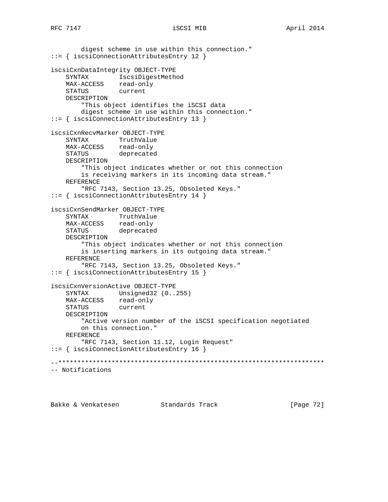digest scheme in use within this connection." ::= { iscsiConnectionAttributesEntry 12 } iscsiCxnDataIntegrity OBJECT-TYPE SYNTAX IscsiDigestMethod MAX-ACCESS read-only STATUS current DESCRIPTION "This object identifies the iSCSI data digest scheme in use within this connection." ::= { iscsiConnectionAttributesEntry 13 } iscsiCxnRecvMarker OBJECT-TYPE SYNTAX TruthValue MAX-ACCESS read-only STATUS deprecated DESCRIPTION "This object indicates whether or not this connection is receiving markers in its incoming data stream." REFERENCE "RFC 7143, Section 13.25, Obsoleted Keys." ::= { iscsiConnectionAttributesEntry 14 } iscsiCxnSendMarker OBJECT-TYPE SYNTAX TruthValue MAX-ACCESS read-only STATUS deprecated DESCRIPTION "This object indicates whether or not this connection is inserting markers in its outgoing data stream." REFERENCE "RFC 7143, Section 13.25, Obsoleted Keys." ::= { iscsiConnectionAttributesEntry 15 } iscsiCxnVersionActive OBJECT-TYPE SYNTAX Unsigned32 (0..255) MAX-ACCESS read-only STATUS current DESCRIPTION "Active version number of the iSCSI specification negotiated on this connection." REFERENCE "RFC 7143, Section 11.12, Login Request" ::= { iscsiConnectionAttributesEntry 16 } --\*\*\*\*\*\*\*\*\*\*\*\*\*\*\*\*\*\*\*\*\*\*\*\*\*\*\*\*\*\*\*\*\*\*\*\*\*\*\*\*\*\*\*\*\*\*\*\*\*\*\*\*\*\*\*\*\*\*\*\*\*\*\*\*\*\*\*\*\*\* -- Notifications

Bakke & Venkatesen Standards Track [Page 72]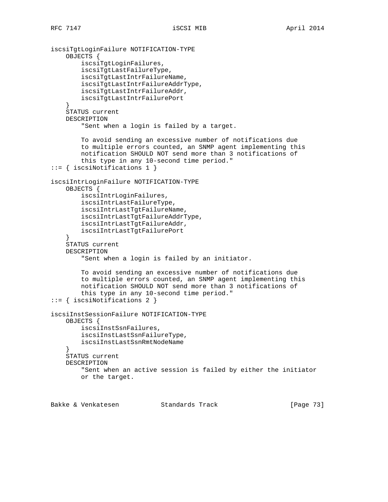```
iscsiTgtLoginFailure NOTIFICATION-TYPE
     OBJECTS {
         iscsiTgtLoginFailures,
         iscsiTgtLastFailureType,
         iscsiTgtLastIntrFailureName,
         iscsiTgtLastIntrFailureAddrType,
         iscsiTgtLastIntrFailureAddr,
         iscsiTgtLastIntrFailurePort
     }
     STATUS current
     DESCRIPTION
         "Sent when a login is failed by a target.
         To avoid sending an excessive number of notifications due
         to multiple errors counted, an SNMP agent implementing this
         notification SHOULD NOT send more than 3 notifications of
         this type in any 10-second time period."
::= { iscsiNotifications 1 }
iscsiIntrLoginFailure NOTIFICATION-TYPE
     OBJECTS {
         iscsiIntrLoginFailures,
         iscsiIntrLastFailureType,
         iscsiIntrLastTgtFailureName,
         iscsiIntrLastTgtFailureAddrType,
         iscsiIntrLastTgtFailureAddr,
         iscsiIntrLastTgtFailurePort
     }
     STATUS current
     DESCRIPTION
         "Sent when a login is failed by an initiator.
         To avoid sending an excessive number of notifications due
         to multiple errors counted, an SNMP agent implementing this
         notification SHOULD NOT send more than 3 notifications of
         this type in any 10-second time period."
::= { iscsiNotifications 2 }
iscsiInstSessionFailure NOTIFICATION-TYPE
    OBJECTS {
         iscsiInstSsnFailures,
         iscsiInstLastSsnFailureType,
         iscsiInstLastSsnRmtNodeName
 }
     STATUS current
     DESCRIPTION
         "Sent when an active session is failed by either the initiator
         or the target.
```
Bakke & Venkatesen Standards Track [Paqe 73]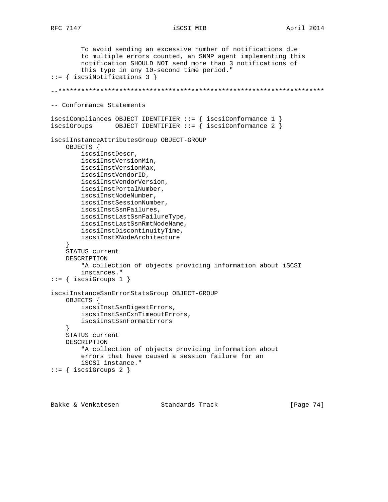```
 To avoid sending an excessive number of notifications due
         to multiple errors counted, an SNMP agent implementing this
         notification SHOULD NOT send more than 3 notifications of
         this type in any 10-second time period."
::= { iscsiNotifications 3 }
--**********************************************************************
-- Conformance Statements
iscsiCompliances OBJECT IDENTIFIER ::= { iscsiConformance 1 }
iscsiGroups 0BJECT IDENTIFIER ::= { iscsiConformance 2 }
iscsiInstanceAttributesGroup OBJECT-GROUP
     OBJECTS {
        iscsiInstDescr,
         iscsiInstVersionMin,
         iscsiInstVersionMax,
         iscsiInstVendorID,
         iscsiInstVendorVersion,
         iscsiInstPortalNumber,
         iscsiInstNodeNumber,
         iscsiInstSessionNumber,
         iscsiInstSsnFailures,
         iscsiInstLastSsnFailureType,
         iscsiInstLastSsnRmtNodeName,
         iscsiInstDiscontinuityTime,
         iscsiInstXNodeArchitecture
 }
     STATUS current
     DESCRIPTION
         "A collection of objects providing information about iSCSI
         instances."
::= { iscsiGroups 1 }
iscsiInstanceSsnErrorStatsGroup OBJECT-GROUP
     OBJECTS {
         iscsiInstSsnDigestErrors,
         iscsiInstSsnCxnTimeoutErrors,
         iscsiInstSsnFormatErrors
 }
     STATUS current
     DESCRIPTION
         "A collection of objects providing information about
         errors that have caused a session failure for an
         iSCSI instance."
::= { iscsiGroups 2 }
```
Bakke & Venkatesen Standards Track [Page 74]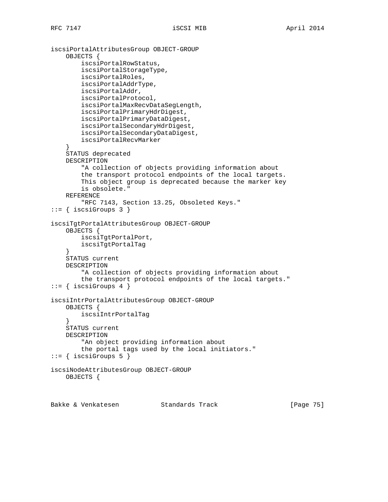```
iscsiPortalAttributesGroup OBJECT-GROUP
     OBJECTS {
         iscsiPortalRowStatus,
         iscsiPortalStorageType,
         iscsiPortalRoles,
         iscsiPortalAddrType,
         iscsiPortalAddr,
         iscsiPortalProtocol,
         iscsiPortalMaxRecvDataSegLength,
         iscsiPortalPrimaryHdrDigest,
         iscsiPortalPrimaryDataDigest,
         iscsiPortalSecondaryHdrDigest,
         iscsiPortalSecondaryDataDigest,
         iscsiPortalRecvMarker
     }
     STATUS deprecated
     DESCRIPTION
         "A collection of objects providing information about
         the transport protocol endpoints of the local targets.
         This object group is deprecated because the marker key
         is obsolete."
     REFERENCE
         "RFC 7143, Section 13.25, Obsoleted Keys."
::= { iscsiGroups 3 }
iscsiTgtPortalAttributesGroup OBJECT-GROUP
     OBJECTS {
         iscsiTgtPortalPort,
         iscsiTgtPortalTag
     }
     STATUS current
     DESCRIPTION
         "A collection of objects providing information about
         the transport protocol endpoints of the local targets."
::= { iscsiGroups 4 }
iscsiIntrPortalAttributesGroup OBJECT-GROUP
     OBJECTS {
         iscsiIntrPortalTag
     }
     STATUS current
     DESCRIPTION
         "An object providing information about
         the portal tags used by the local initiators."
::= { iscsiGroups 5 }
iscsiNodeAttributesGroup OBJECT-GROUP
     OBJECTS {
```
Bakke & Venkatesen Standards Track [Page 75]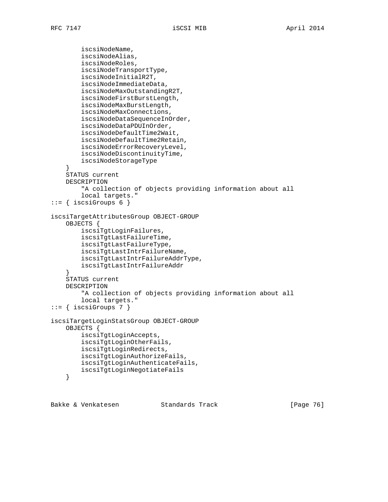```
 iscsiNodeName,
         iscsiNodeAlias,
         iscsiNodeRoles,
         iscsiNodeTransportType,
         iscsiNodeInitialR2T,
         iscsiNodeImmediateData,
         iscsiNodeMaxOutstandingR2T,
         iscsiNodeFirstBurstLength,
         iscsiNodeMaxBurstLength,
         iscsiNodeMaxConnections,
         iscsiNodeDataSequenceInOrder,
         iscsiNodeDataPDUInOrder,
         iscsiNodeDefaultTime2Wait,
         iscsiNodeDefaultTime2Retain,
         iscsiNodeErrorRecoveryLevel,
         iscsiNodeDiscontinuityTime,
         iscsiNodeStorageType
     }
     STATUS current
     DESCRIPTION
         "A collection of objects providing information about all
         local targets."
::= { iscsiGroups 6 }
iscsiTargetAttributesGroup OBJECT-GROUP
     OBJECTS {
         iscsiTgtLoginFailures,
         iscsiTgtLastFailureTime,
         iscsiTgtLastFailureType,
         iscsiTgtLastIntrFailureName,
         iscsiTgtLastIntrFailureAddrType,
         iscsiTgtLastIntrFailureAddr
     }
     STATUS current
     DESCRIPTION
         "A collection of objects providing information about all
         local targets."
::= { iscsiGroups 7 }
iscsiTargetLoginStatsGroup OBJECT-GROUP
     OBJECTS {
         iscsiTgtLoginAccepts,
         iscsiTgtLoginOtherFails,
         iscsiTgtLoginRedirects,
         iscsiTgtLoginAuthorizeFails,
         iscsiTgtLoginAuthenticateFails,
         iscsiTgtLoginNegotiateFails
     }
```
Bakke & Venkatesen Standards Track [Page 76]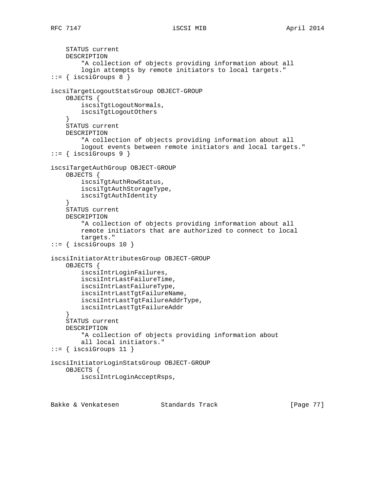```
 STATUS current
     DESCRIPTION
         "A collection of objects providing information about all
         login attempts by remote initiators to local targets."
::= { iscsiGroups 8 }
iscsiTargetLogoutStatsGroup OBJECT-GROUP
     OBJECTS {
         iscsiTgtLogoutNormals,
         iscsiTgtLogoutOthers
     }
     STATUS current
     DESCRIPTION
         "A collection of objects providing information about all
         logout events between remote initiators and local targets."
::= { iscsiGroups 9 }
iscsiTargetAuthGroup OBJECT-GROUP
     OBJECTS {
         iscsiTgtAuthRowStatus,
         iscsiTgtAuthStorageType,
         iscsiTgtAuthIdentity
 }
     STATUS current
     DESCRIPTION
         "A collection of objects providing information about all
         remote initiators that are authorized to connect to local
         targets."
::= { iscsiGroups 10 }
iscsiInitiatorAttributesGroup OBJECT-GROUP
     OBJECTS {
         iscsiIntrLoginFailures,
         iscsiIntrLastFailureTime,
         iscsiIntrLastFailureType,
         iscsiIntrLastTgtFailureName,
         iscsiIntrLastTgtFailureAddrType,
         iscsiIntrLastTgtFailureAddr
     }
     STATUS current
     DESCRIPTION
         "A collection of objects providing information about
         all local initiators."
::= { iscsiGroups 11 }
iscsiInitiatorLoginStatsGroup OBJECT-GROUP
     OBJECTS {
         iscsiIntrLoginAcceptRsps,
```
Bakke & Venkatesen Standards Track [Page 77]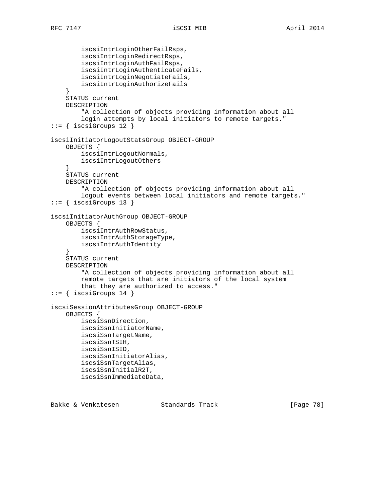```
 iscsiIntrLoginOtherFailRsps,
         iscsiIntrLoginRedirectRsps,
         iscsiIntrLoginAuthFailRsps,
         iscsiIntrLoginAuthenticateFails,
         iscsiIntrLoginNegotiateFails,
         iscsiIntrLoginAuthorizeFails
     }
     STATUS current
     DESCRIPTION
         "A collection of objects providing information about all
         login attempts by local initiators to remote targets."
::= { iscsiGroups 12 }
iscsiInitiatorLogoutStatsGroup OBJECT-GROUP
     OBJECTS {
         iscsiIntrLogoutNormals,
         iscsiIntrLogoutOthers
     }
     STATUS current
     DESCRIPTION
         "A collection of objects providing information about all
         logout events between local initiators and remote targets."
::= { iscsiGroups 13 }
iscsiInitiatorAuthGroup OBJECT-GROUP
     OBJECTS {
         iscsiIntrAuthRowStatus,
         iscsiIntrAuthStorageType,
         iscsiIntrAuthIdentity
     }
     STATUS current
     DESCRIPTION
         "A collection of objects providing information about all
         remote targets that are initiators of the local system
         that they are authorized to access."
::= { iscsiGroups 14 }
iscsiSessionAttributesGroup OBJECT-GROUP
     OBJECTS {
         iscsiSsnDirection,
         iscsiSsnInitiatorName,
         iscsiSsnTargetName,
         iscsiSsnTSIH,
         iscsiSsnISID,
         iscsiSsnInitiatorAlias,
         iscsiSsnTargetAlias,
         iscsiSsnInitialR2T,
         iscsiSsnImmediateData,
```
Bakke & Venkatesen Standards Track [Page 78]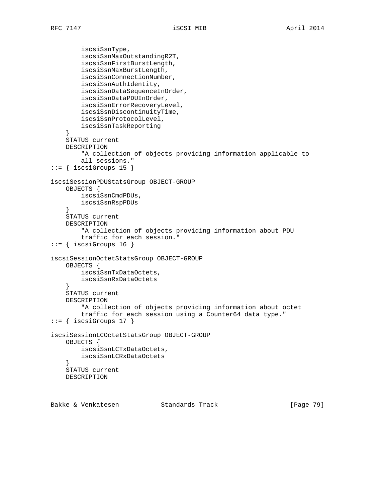iscsiSsnType, iscsiSsnMaxOutstandingR2T, iscsiSsnFirstBurstLength, iscsiSsnMaxBurstLength, iscsiSsnConnectionNumber, iscsiSsnAuthIdentity, iscsiSsnDataSequenceInOrder, iscsiSsnDataPDUInOrder, iscsiSsnErrorRecoveryLevel, iscsiSsnDiscontinuityTime, iscsiSsnProtocolLevel, iscsiSsnTaskReporting } STATUS current DESCRIPTION "A collection of objects providing information applicable to all sessions." ::= { iscsiGroups 15 } iscsiSessionPDUStatsGroup OBJECT-GROUP OBJECTS { iscsiSsnCmdPDUs, iscsiSsnRspPDUs } STATUS current DESCRIPTION "A collection of objects providing information about PDU traffic for each session." ::= { iscsiGroups 16 } iscsiSessionOctetStatsGroup OBJECT-GROUP OBJECTS { iscsiSsnTxDataOctets, iscsiSsnRxDataOctets } STATUS current DESCRIPTION "A collection of objects providing information about octet traffic for each session using a Counter64 data type." ::= { iscsiGroups 17 } iscsiSessionLCOctetStatsGroup OBJECT-GROUP OBJECTS { iscsiSsnLCTxDataOctets, iscsiSsnLCRxDataOctets } STATUS current DESCRIPTION

Bakke & Venkatesen Standards Track [Page 79]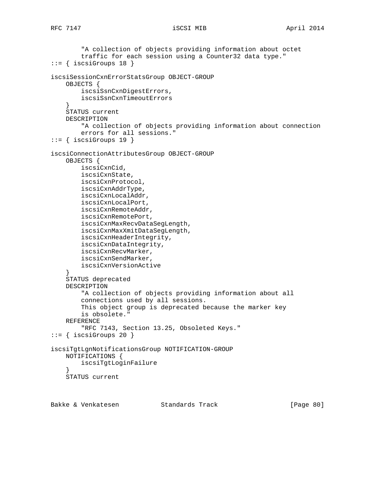```
 "A collection of objects providing information about octet
         traffic for each session using a Counter32 data type."
::= { iscsiGroups 18 }
iscsiSessionCxnErrorStatsGroup OBJECT-GROUP
     OBJECTS {
         iscsiSsnCxnDigestErrors,
         iscsiSsnCxnTimeoutErrors
     }
     STATUS current
     DESCRIPTION
         "A collection of objects providing information about connection
         errors for all sessions."
::= { iscsiGroups 19 }
iscsiConnectionAttributesGroup OBJECT-GROUP
    OBJECTS {
        iscsiCxnCid,
         iscsiCxnState,
         iscsiCxnProtocol,
         iscsiCxnAddrType,
         iscsiCxnLocalAddr,
         iscsiCxnLocalPort,
         iscsiCxnRemoteAddr,
         iscsiCxnRemotePort,
         iscsiCxnMaxRecvDataSegLength,
         iscsiCxnMaxXmitDataSegLength,
         iscsiCxnHeaderIntegrity,
         iscsiCxnDataIntegrity,
         iscsiCxnRecvMarker,
         iscsiCxnSendMarker,
         iscsiCxnVersionActive
     }
     STATUS deprecated
     DESCRIPTION
         "A collection of objects providing information about all
         connections used by all sessions.
         This object group is deprecated because the marker key
         is obsolete."
     REFERENCE
         "RFC 7143, Section 13.25, Obsoleted Keys."
::= { iscsiGroups 20 }
iscsiTgtLgnNotificationsGroup NOTIFICATION-GROUP
     NOTIFICATIONS {
         iscsiTgtLoginFailure
 }
     STATUS current
```
Bakke & Venkatesen Standards Track [Page 80]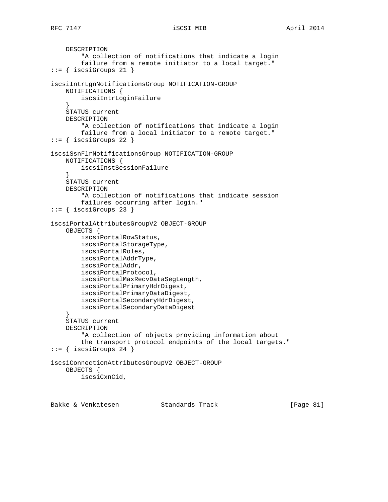```
 DESCRIPTION
         "A collection of notifications that indicate a login
         failure from a remote initiator to a local target."
::= { iscsiGroups 21 }
iscsiIntrLgnNotificationsGroup NOTIFICATION-GROUP
     NOTIFICATIONS {
         iscsiIntrLoginFailure
     }
     STATUS current
     DESCRIPTION
         "A collection of notifications that indicate a login
         failure from a local initiator to a remote target."
::= { iscsiGroups 22 }
iscsiSsnFlrNotificationsGroup NOTIFICATION-GROUP
    NOTIFICATIONS {
        iscsiInstSessionFailure
 }
     STATUS current
     DESCRIPTION
         "A collection of notifications that indicate session
         failures occurring after login."
::= { iscsiGroups 23 }
iscsiPortalAttributesGroupV2 OBJECT-GROUP
     OBJECTS {
         iscsiPortalRowStatus,
         iscsiPortalStorageType,
         iscsiPortalRoles,
         iscsiPortalAddrType,
         iscsiPortalAddr,
         iscsiPortalProtocol,
         iscsiPortalMaxRecvDataSegLength,
         iscsiPortalPrimaryHdrDigest,
         iscsiPortalPrimaryDataDigest,
         iscsiPortalSecondaryHdrDigest,
         iscsiPortalSecondaryDataDigest
     }
     STATUS current
     DESCRIPTION
         "A collection of objects providing information about
         the transport protocol endpoints of the local targets."
::= { iscsiGroups 24 }
iscsiConnectionAttributesGroupV2 OBJECT-GROUP
     OBJECTS {
         iscsiCxnCid,
```
Bakke & Venkatesen Standards Track [Page 81]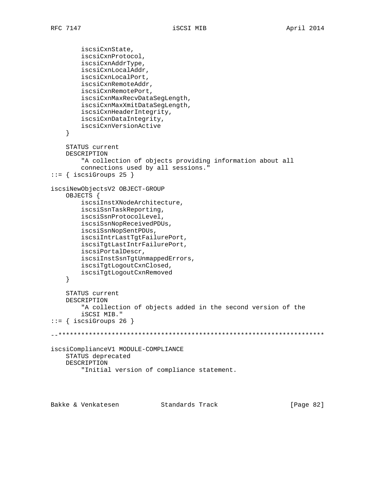```
 iscsiCxnState,
         iscsiCxnProtocol,
         iscsiCxnAddrType,
         iscsiCxnLocalAddr,
         iscsiCxnLocalPort,
         iscsiCxnRemoteAddr,
         iscsiCxnRemotePort,
         iscsiCxnMaxRecvDataSegLength,
         iscsiCxnMaxXmitDataSegLength,
         iscsiCxnHeaderIntegrity,
         iscsiCxnDataIntegrity,
         iscsiCxnVersionActive
     }
     STATUS current
     DESCRIPTION
         "A collection of objects providing information about all
         connections used by all sessions."
::= { iscsiGroups 25 }
iscsiNewObjectsV2 OBJECT-GROUP
     OBJECTS {
         iscsiInstXNodeArchitecture,
         iscsiSsnTaskReporting,
         iscsiSsnProtocolLevel,
         iscsiSsnNopReceivedPDUs,
         iscsiSsnNopSentPDUs,
         iscsiIntrLastTgtFailurePort,
         iscsiTgtLastIntrFailurePort,
         iscsiPortalDescr,
         iscsiInstSsnTgtUnmappedErrors,
         iscsiTgtLogoutCxnClosed,
         iscsiTgtLogoutCxnRemoved
     }
     STATUS current
     DESCRIPTION
         "A collection of objects added in the second version of the
         iSCSI MIB."
::= { iscsiGroups 26 }
--**********************************************************************
iscsiComplianceV1 MODULE-COMPLIANCE
     STATUS deprecated
     DESCRIPTION
         "Initial version of compliance statement.
```
Bakke & Venkatesen Standards Track [Page 82]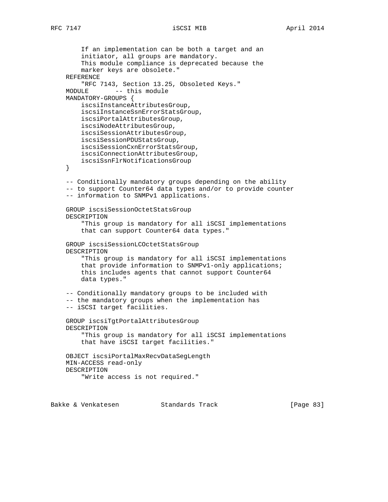If an implementation can be both a target and an initiator, all groups are mandatory. This module compliance is deprecated because the marker keys are obsolete." REFERENCE "RFC 7143, Section 13.25, Obsoleted Keys." MODULE -- this module MANDATORY-GROUPS { iscsiInstanceAttributesGroup, iscsiInstanceSsnErrorStatsGroup, iscsiPortalAttributesGroup, iscsiNodeAttributesGroup, iscsiSessionAttributesGroup, iscsiSessionPDUStatsGroup, iscsiSessionCxnErrorStatsGroup, iscsiConnectionAttributesGroup, iscsiSsnFlrNotificationsGroup } -- Conditionally mandatory groups depending on the ability -- to support Counter64 data types and/or to provide counter -- information to SNMPv1 applications. GROUP iscsiSessionOctetStatsGroup DESCRIPTION "This group is mandatory for all iSCSI implementations that can support Counter64 data types." GROUP iscsiSessionLCOctetStatsGroup DESCRIPTION "This group is mandatory for all iSCSI implementations that provide information to SNMPv1-only applications; this includes agents that cannot support Counter64 data types." -- Conditionally mandatory groups to be included with -- the mandatory groups when the implementation has -- iSCSI target facilities. GROUP iscsiTgtPortalAttributesGroup DESCRIPTION "This group is mandatory for all iSCSI implementations that have iSCSI target facilities." OBJECT iscsiPortalMaxRecvDataSegLength MIN-ACCESS read-only DESCRIPTION "Write access is not required."

Bakke & Venkatesen Standards Track [Page 83]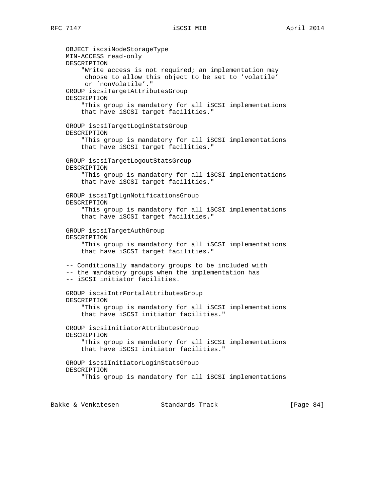OBJECT iscsiNodeStorageType MIN-ACCESS read-only DESCRIPTION "Write access is not required; an implementation may choose to allow this object to be set to 'volatile' or 'nonVolatile'." GROUP iscsiTargetAttributesGroup DESCRIPTION "This group is mandatory for all iSCSI implementations that have iSCSI target facilities." GROUP iscsiTargetLoginStatsGroup DESCRIPTION "This group is mandatory for all iSCSI implementations that have iSCSI target facilities." GROUP iscsiTargetLogoutStatsGroup DESCRIPTION "This group is mandatory for all iSCSI implementations that have iSCSI target facilities." GROUP iscsiTgtLgnNotificationsGroup DESCRIPTION "This group is mandatory for all iSCSI implementations that have iSCSI target facilities." GROUP iscsiTargetAuthGroup DESCRIPTION "This group is mandatory for all iSCSI implementations that have iSCSI target facilities." -- Conditionally mandatory groups to be included with -- the mandatory groups when the implementation has -- iSCSI initiator facilities. GROUP iscsiIntrPortalAttributesGroup DESCRIPTION "This group is mandatory for all iSCSI implementations that have iSCSI initiator facilities." GROUP iscsiInitiatorAttributesGroup DESCRIPTION "This group is mandatory for all iSCSI implementations that have iSCSI initiator facilities." GROUP iscsiInitiatorLoginStatsGroup DESCRIPTION "This group is mandatory for all iSCSI implementations

Bakke & Venkatesen Standards Track [Paqe 84]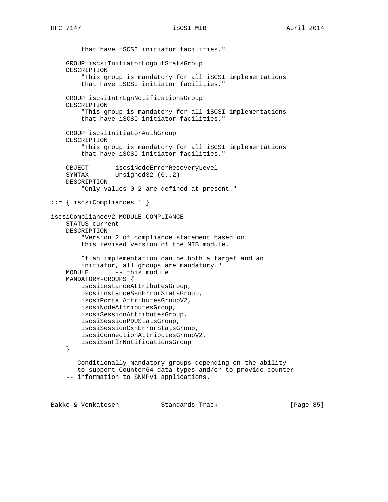that have iSCSI initiator facilities." GROUP iscsiInitiatorLogoutStatsGroup DESCRIPTION "This group is mandatory for all iSCSI implementations that have iSCSI initiator facilities." GROUP iscsiIntrLgnNotificationsGroup DESCRIPTION "This group is mandatory for all iSCSI implementations that have iSCSI initiator facilities." GROUP iscsiInitiatorAuthGroup DESCRIPTION "This group is mandatory for all iSCSI implementations that have iSCSI initiator facilities." OBJECT iscsiNodeErrorRecoveryLevel SYNTAX Unsigned32 (0..2) DESCRIPTION "Only values 0-2 are defined at present." ::= { iscsiCompliances 1 } iscsiComplianceV2 MODULE-COMPLIANCE STATUS current DESCRIPTION "Version 2 of compliance statement based on this revised version of the MIB module. If an implementation can be both a target and an initiator, all groups are mandatory." MODULE -- this module MANDATORY-GROUPS { iscsiInstanceAttributesGroup, iscsiInstanceSsnErrorStatsGroup, iscsiPortalAttributesGroupV2, iscsiNodeAttributesGroup, iscsiSessionAttributesGroup, iscsiSessionPDUStatsGroup, iscsiSessionCxnErrorStatsGroup, iscsiConnectionAttributesGroupV2, iscsiSsnFlrNotificationsGroup } -- Conditionally mandatory groups depending on the ability -- to support Counter64 data types and/or to provide counter -- information to SNMPv1 applications.

Bakke & Venkatesen Standards Track [Page 85]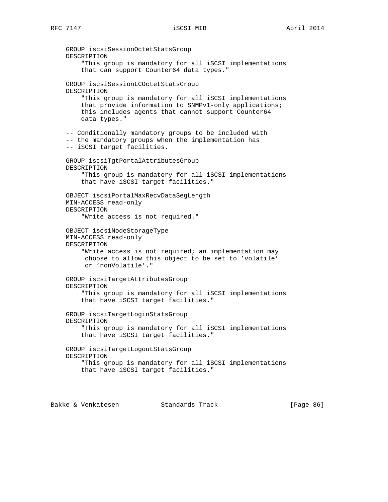GROUP iscsiSessionOctetStatsGroup DESCRIPTION "This group is mandatory for all iSCSI implementations that can support Counter64 data types." GROUP iscsiSessionLCOctetStatsGroup DESCRIPTION "This group is mandatory for all iSCSI implementations that provide information to SNMPv1-only applications; this includes agents that cannot support Counter64 data types." -- Conditionally mandatory groups to be included with -- the mandatory groups when the implementation has -- iSCSI target facilities. GROUP iscsiTgtPortalAttributesGroup DESCRIPTION "This group is mandatory for all iSCSI implementations that have iSCSI target facilities." OBJECT iscsiPortalMaxRecvDataSegLength MIN-ACCESS read-only DESCRIPTION "Write access is not required." OBJECT iscsiNodeStorageType MIN-ACCESS read-only DESCRIPTION "Write access is not required; an implementation may choose to allow this object to be set to 'volatile' or 'nonVolatile'." GROUP iscsiTargetAttributesGroup DESCRIPTION "This group is mandatory for all iSCSI implementations that have iSCSI target facilities." GROUP iscsiTargetLoginStatsGroup DESCRIPTION "This group is mandatory for all iSCSI implementations that have iSCSI target facilities." GROUP iscsiTargetLogoutStatsGroup DESCRIPTION "This group is mandatory for all iSCSI implementations that have iSCSI target facilities."

Bakke & Venkatesen Standards Track [Page 86]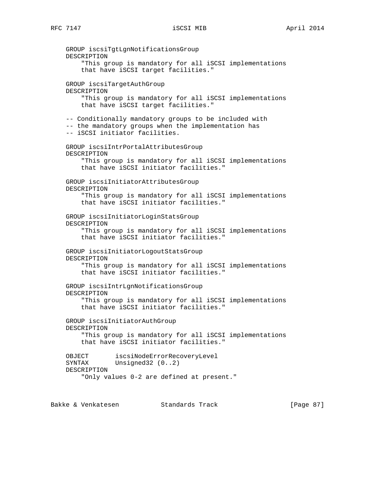GROUP iscsiTgtLgnNotificationsGroup DESCRIPTION "This group is mandatory for all iSCSI implementations that have iSCSI target facilities." GROUP iscsiTargetAuthGroup DESCRIPTION "This group is mandatory for all iSCSI implementations that have iSCSI target facilities." -- Conditionally mandatory groups to be included with -- the mandatory groups when the implementation has -- iSCSI initiator facilities. GROUP iscsiIntrPortalAttributesGroup DESCRIPTION "This group is mandatory for all iSCSI implementations that have iSCSI initiator facilities." GROUP iscsiInitiatorAttributesGroup DESCRIPTION "This group is mandatory for all iSCSI implementations that have iSCSI initiator facilities." GROUP iscsiInitiatorLoginStatsGroup DESCRIPTION "This group is mandatory for all iSCSI implementations that have iSCSI initiator facilities." GROUP iscsiInitiatorLogoutStatsGroup DESCRIPTION "This group is mandatory for all iSCSI implementations that have iSCSI initiator facilities." GROUP iscsiIntrLgnNotificationsGroup DESCRIPTION "This group is mandatory for all iSCSI implementations that have iSCSI initiator facilities." GROUP iscsiInitiatorAuthGroup DESCRIPTION "This group is mandatory for all iSCSI implementations that have iSCSI initiator facilities." OBJECT iscsiNodeErrorRecoveryLevel SYNTAX Unsigned32 (0..2) DESCRIPTION "Only values 0-2 are defined at present."

Bakke & Venkatesen Standards Track [Paqe 87]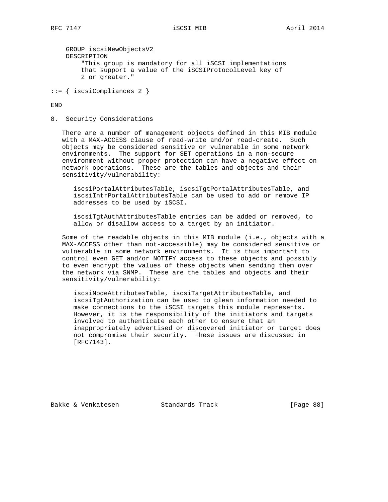```
 GROUP iscsiNewObjectsV2
    DESCRIPTION
         "This group is mandatory for all iSCSI implementations
         that support a value of the iSCSIProtocolLevel key of
         2 or greater."
::= { iscsiCompliances 2 }
```
END

8. Security Considerations

 There are a number of management objects defined in this MIB module with a MAX-ACCESS clause of read-write and/or read-create. Such objects may be considered sensitive or vulnerable in some network environments. The support for SET operations in a non-secure environment without proper protection can have a negative effect on network operations. These are the tables and objects and their sensitivity/vulnerability:

 iscsiPortalAttributesTable, iscsiTgtPortalAttributesTable, and iscsiIntrPortalAttributesTable can be used to add or remove IP addresses to be used by iSCSI.

 iscsiTgtAuthAttributesTable entries can be added or removed, to allow or disallow access to a target by an initiator.

 Some of the readable objects in this MIB module (i.e., objects with a MAX-ACCESS other than not-accessible) may be considered sensitive or vulnerable in some network environments. It is thus important to control even GET and/or NOTIFY access to these objects and possibly to even encrypt the values of these objects when sending them over the network via SNMP. These are the tables and objects and their sensitivity/vulnerability:

 iscsiNodeAttributesTable, iscsiTargetAttributesTable, and iscsiTgtAuthorization can be used to glean information needed to make connections to the iSCSI targets this module represents. However, it is the responsibility of the initiators and targets involved to authenticate each other to ensure that an inappropriately advertised or discovered initiator or target does not compromise their security. These issues are discussed in [RFC7143].

Bakke & Venkatesen Standards Track [Page 88]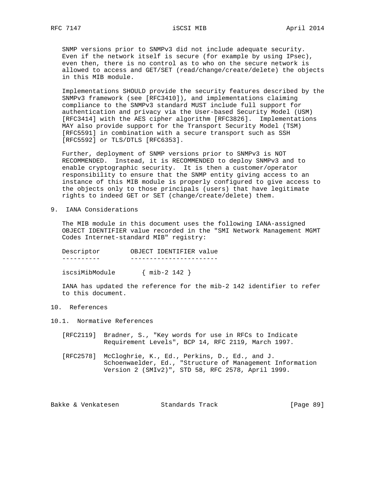SNMP versions prior to SNMPv3 did not include adequate security. Even if the network itself is secure (for example by using IPsec), even then, there is no control as to who on the secure network is allowed to access and GET/SET (read/change/create/delete) the objects in this MIB module.

 Implementations SHOULD provide the security features described by the SNMPv3 framework (see [RFC3410]), and implementations claiming compliance to the SNMPv3 standard MUST include full support for authentication and privacy via the User-based Security Model (USM) [RFC3414] with the AES cipher algorithm [RFC3826]. Implementations MAY also provide support for the Transport Security Model (TSM) [RFC5591] in combination with a secure transport such as SSH [RFC5592] or TLS/DTLS [RFC6353].

 Further, deployment of SNMP versions prior to SNMPv3 is NOT RECOMMENDED. Instead, it is RECOMMENDED to deploy SNMPv3 and to enable cryptographic security. It is then a customer/operator responsibility to ensure that the SNMP entity giving access to an instance of this MIB module is properly configured to give access to the objects only to those principals (users) that have legitimate rights to indeed GET or SET (change/create/delete) them.

9. IANA Considerations

 The MIB module in this document uses the following IANA-assigned OBJECT IDENTIFIER value recorded in the "SMI Network Management MGMT Codes Internet-standard MIB" registry:

Descriptor OBJECT IDENTIFIER value<br>---------- ----------------------- ---------- ---------------------- iscsiMibModule { mib-2 142 }

 IANA has updated the reference for the mib-2 142 identifier to refer to this document.

## 10. References

- 10.1. Normative References
	- [RFC2119] Bradner, S., "Key words for use in RFCs to Indicate Requirement Levels", BCP 14, RFC 2119, March 1997.
	- [RFC2578] McCloghrie, K., Ed., Perkins, D., Ed., and J. Schoenwaelder, Ed., "Structure of Management Information Version 2 (SMIv2)", STD 58, RFC 2578, April 1999.

Bakke & Venkatesen Standards Track [Page 89]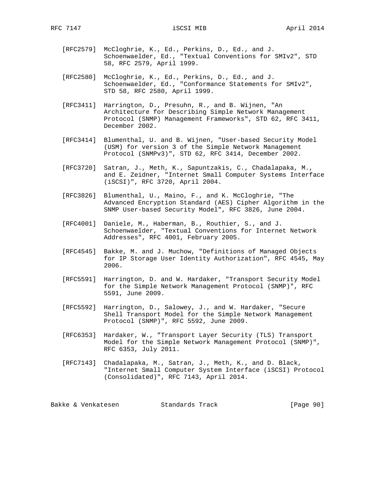- [RFC2579] McCloghrie, K., Ed., Perkins, D., Ed., and J. Schoenwaelder, Ed., "Textual Conventions for SMIv2", STD 58, RFC 2579, April 1999.
- [RFC2580] McCloghrie, K., Ed., Perkins, D., Ed., and J. Schoenwaelder, Ed., "Conformance Statements for SMIv2", STD 58, RFC 2580, April 1999.
- [RFC3411] Harrington, D., Presuhn, R., and B. Wijnen, "An Architecture for Describing Simple Network Management Protocol (SNMP) Management Frameworks", STD 62, RFC 3411, December 2002.
- [RFC3414] Blumenthal, U. and B. Wijnen, "User-based Security Model (USM) for version 3 of the Simple Network Management Protocol (SNMPv3)", STD 62, RFC 3414, December 2002.
- [RFC3720] Satran, J., Meth, K., Sapuntzakis, C., Chadalapaka, M., and E. Zeidner, "Internet Small Computer Systems Interface (iSCSI)", RFC 3720, April 2004.
- [RFC3826] Blumenthal, U., Maino, F., and K. McCloghrie, "The Advanced Encryption Standard (AES) Cipher Algorithm in the SNMP User-based Security Model", RFC 3826, June 2004.
- [RFC4001] Daniele, M., Haberman, B., Routhier, S., and J. Schoenwaelder, "Textual Conventions for Internet Network Addresses", RFC 4001, February 2005.
- [RFC4545] Bakke, M. and J. Muchow, "Definitions of Managed Objects for IP Storage User Identity Authorization", RFC 4545, May 2006.
- [RFC5591] Harrington, D. and W. Hardaker, "Transport Security Model for the Simple Network Management Protocol (SNMP)", RFC 5591, June 2009.
- [RFC5592] Harrington, D., Salowey, J., and W. Hardaker, "Secure Shell Transport Model for the Simple Network Management Protocol (SNMP)", RFC 5592, June 2009.
- [RFC6353] Hardaker, W., "Transport Layer Security (TLS) Transport Model for the Simple Network Management Protocol (SNMP)", RFC 6353, July 2011.
- [RFC7143] Chadalapaka, M., Satran, J., Meth, K., and D. Black, "Internet Small Computer System Interface (iSCSI) Protocol (Consolidated)", RFC 7143, April 2014.

Bakke & Venkatesen Standards Track [Page 90]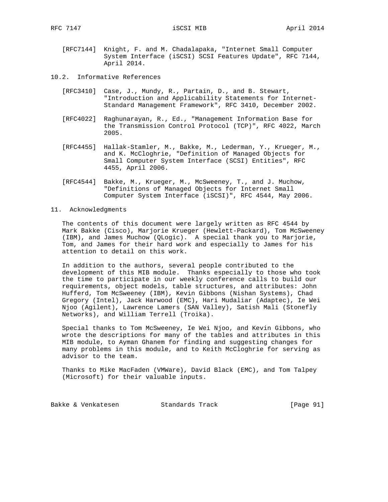- [RFC7144] Knight, F. and M. Chadalapaka, "Internet Small Computer System Interface (iSCSI) SCSI Features Update", RFC 7144, April 2014.
- 10.2. Informative References
	- [RFC3410] Case, J., Mundy, R., Partain, D., and B. Stewart, "Introduction and Applicability Statements for Internet- Standard Management Framework", RFC 3410, December 2002.
	- [RFC4022] Raghunarayan, R., Ed., "Management Information Base for the Transmission Control Protocol (TCP)", RFC 4022, March 2005.
	- [RFC4455] Hallak-Stamler, M., Bakke, M., Lederman, Y., Krueger, M., and K. McCloghrie, "Definition of Managed Objects for Small Computer System Interface (SCSI) Entities", RFC 4455, April 2006.
	- [RFC4544] Bakke, M., Krueger, M., McSweeney, T., and J. Muchow, "Definitions of Managed Objects for Internet Small Computer System Interface (iSCSI)", RFC 4544, May 2006.

## 11. Acknowledgments

 The contents of this document were largely written as RFC 4544 by Mark Bakke (Cisco), Marjorie Krueger (Hewlett-Packard), Tom McSweeney (IBM), and James Muchow (QLogic). A special thank you to Marjorie, Tom, and James for their hard work and especially to James for his attention to detail on this work.

 In addition to the authors, several people contributed to the development of this MIB module. Thanks especially to those who took the time to participate in our weekly conference calls to build our requirements, object models, table structures, and attributes: John Hufferd, Tom McSweeney (IBM), Kevin Gibbons (Nishan Systems), Chad Gregory (Intel), Jack Harwood (EMC), Hari Mudaliar (Adaptec), Ie Wei Njoo (Agilent), Lawrence Lamers (SAN Valley), Satish Mali (Stonefly Networks), and William Terrell (Troika).

 Special thanks to Tom McSweeney, Ie Wei Njoo, and Kevin Gibbons, who wrote the descriptions for many of the tables and attributes in this MIB module, to Ayman Ghanem for finding and suggesting changes for many problems in this module, and to Keith McCloghrie for serving as advisor to the team.

 Thanks to Mike MacFaden (VMWare), David Black (EMC), and Tom Talpey (Microsoft) for their valuable inputs.

Bakke & Venkatesen Standards Track [Page 91]